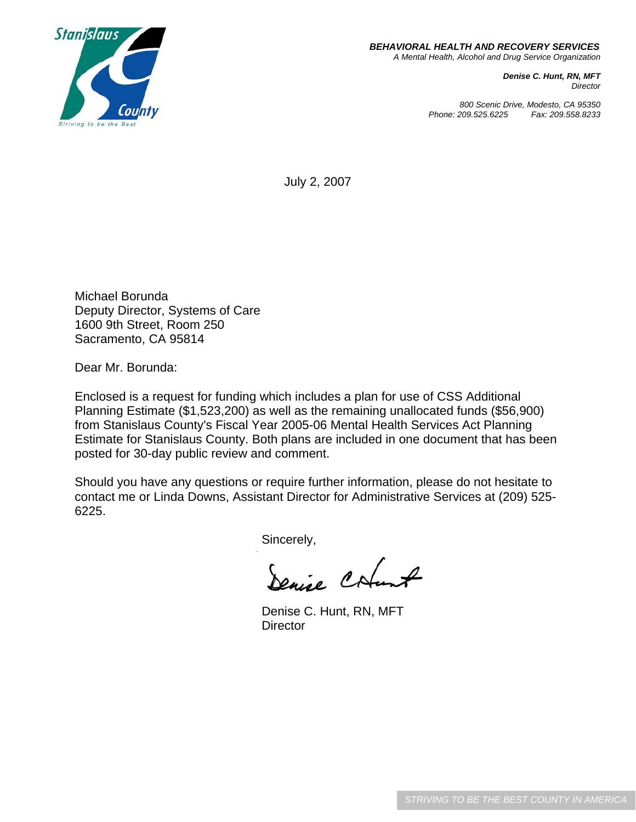

 *BEHAVIORAL HEALTH AND RECOVERY SERVICES A Mental Health, Alcohol and Drug Service Organization*

> *Denise C. Hunt, RN, MFT Director*

*800 Scenic Drive, Modesto, CA 95350 Phone: 209.525.6225 Fax: 209.558.8233*

July 2, 2007

Michael Borunda Deputy Director, Systems of Care 1600 9th Street, Room 250 Sacramento, CA 95814

Dear Mr. Borunda:

Enclosed is a request for funding which includes a plan for use of CSS Additional Planning Estimate (\$1,523,200) as well as the remaining unallocated funds (\$56,900) from Stanislaus County's Fiscal Year 2005-06 Mental Health Services Act Planning Estimate for Stanislaus County. Both plans are included in one document that has been posted for 30-day public review and comment.

Should you have any questions or require further information, please do not hesitate to contact me or Linda Downs, Assistant Director for Administrative Services at (209) 525- 6225.

Sincerely,

Denise Cotant

Denise C. Hunt, RN, MFT **Director**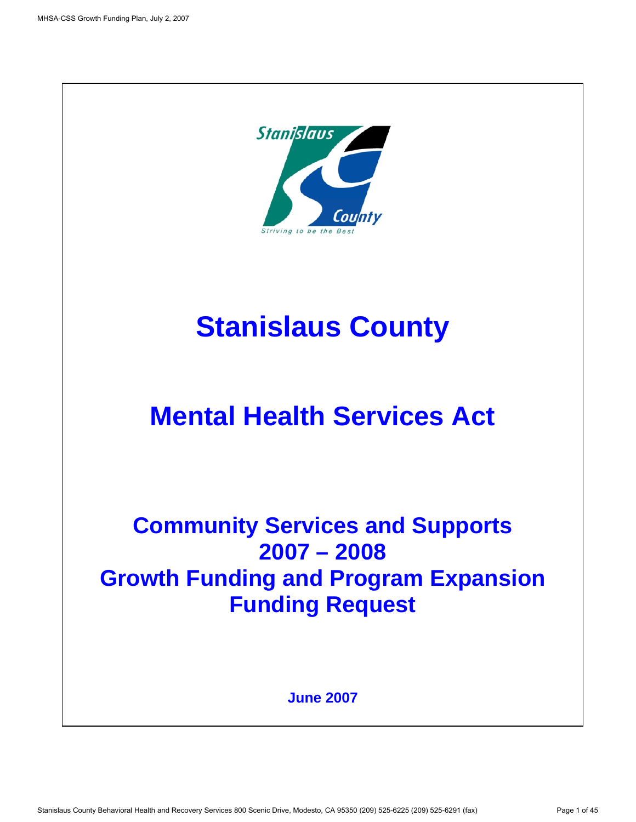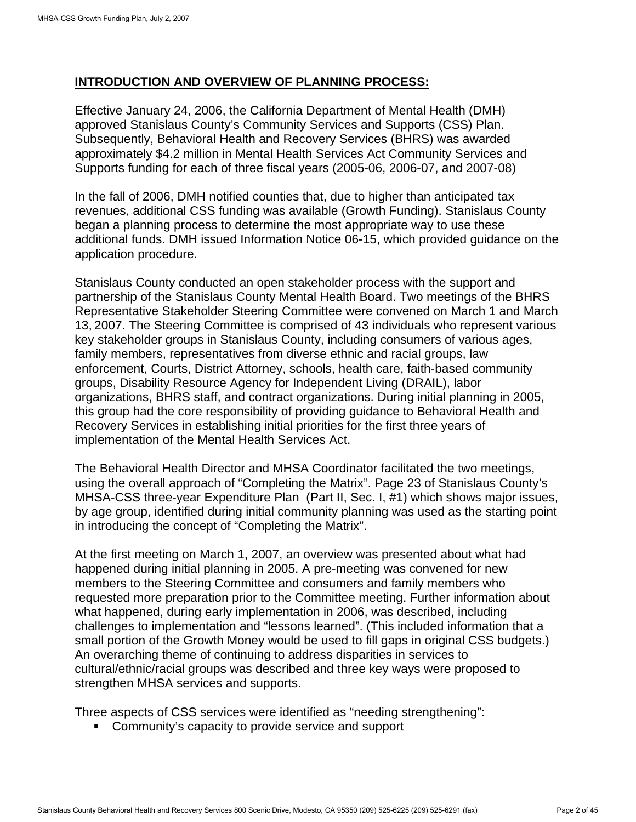#### **INTRODUCTION AND OVERVIEW OF PLANNING PROCESS:**

Effective January 24, 2006, the California Department of Mental Health (DMH) approved Stanislaus County's Community Services and Supports (CSS) Plan. Subsequently, Behavioral Health and Recovery Services (BHRS) was awarded approximately \$4.2 million in Mental Health Services Act Community Services and Supports funding for each of three fiscal years (2005-06, 2006-07, and 2007-08)

In the fall of 2006, DMH notified counties that, due to higher than anticipated tax revenues, additional CSS funding was available (Growth Funding). Stanislaus County began a planning process to determine the most appropriate way to use these additional funds. DMH issued Information Notice 06-15, which provided guidance on the application procedure.

Stanislaus County conducted an open stakeholder process with the support and partnership of the Stanislaus County Mental Health Board. Two meetings of the BHRS Representative Stakeholder Steering Committee were convened on March 1 and March 13, 2007. The Steering Committee is comprised of 43 individuals who represent various key stakeholder groups in Stanislaus County, including consumers of various ages, family members, representatives from diverse ethnic and racial groups, law enforcement, Courts, District Attorney, schools, health care, faith-based community groups, Disability Resource Agency for Independent Living (DRAIL), labor organizations, BHRS staff, and contract organizations. During initial planning in 2005, this group had the core responsibility of providing guidance to Behavioral Health and Recovery Services in establishing initial priorities for the first three years of implementation of the Mental Health Services Act.

The Behavioral Health Director and MHSA Coordinator facilitated the two meetings, using the overall approach of "Completing the Matrix". Page 23 of Stanislaus County's MHSA-CSS three-year Expenditure Plan (Part II, Sec. I, #1) which shows major issues, by age group, identified during initial community planning was used as the starting point in introducing the concept of "Completing the Matrix".

At the first meeting on March 1, 2007, an overview was presented about what had happened during initial planning in 2005. A pre-meeting was convened for new members to the Steering Committee and consumers and family members who requested more preparation prior to the Committee meeting. Further information about what happened, during early implementation in 2006, was described, including challenges to implementation and "lessons learned". (This included information that a small portion of the Growth Money would be used to fill gaps in original CSS budgets.) An overarching theme of continuing to address disparities in services to cultural/ethnic/racial groups was described and three key ways were proposed to strengthen MHSA services and supports.

Three aspects of CSS services were identified as "needing strengthening":

**Community's capacity to provide service and support**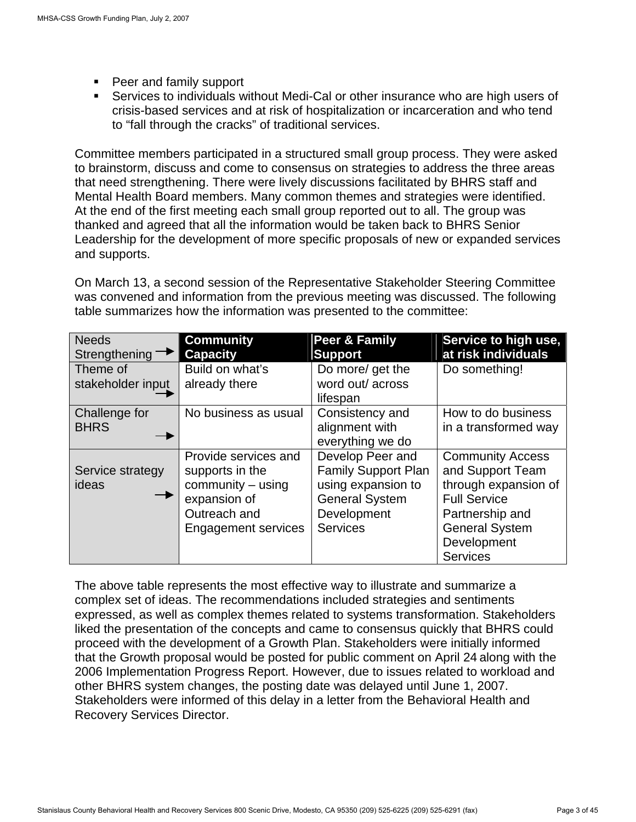- Peer and family support
- Services to individuals without Medi-Cal or other insurance who are high users of crisis-based services and at risk of hospitalization or incarceration and who tend to "fall through the cracks" of traditional services.

Committee members participated in a structured small group process. They were asked to brainstorm, discuss and come to consensus on strategies to address the three areas that need strengthening. There were lively discussions facilitated by BHRS staff and Mental Health Board members. Many common themes and strategies were identified. At the end of the first meeting each small group reported out to all. The group was thanked and agreed that all the information would be taken back to BHRS Senior Leadership for the development of more specific proposals of new or expanded services and supports.

On March 13, a second session of the Representative Stakeholder Steering Committee was convened and information from the previous meeting was discussed. The following table summarizes how the information was presented to the committee:

| <b>Needs</b><br>Strengthening | <b>Community</b><br><b>Capacity</b>                                                                                        | Peer & Family<br>Support                                                                                                        | Service to high use,<br>at risk individuals                                                                                                                              |
|-------------------------------|----------------------------------------------------------------------------------------------------------------------------|---------------------------------------------------------------------------------------------------------------------------------|--------------------------------------------------------------------------------------------------------------------------------------------------------------------------|
| Theme of<br>stakeholder input | Build on what's<br>already there                                                                                           | Do more/ get the<br>word out/across<br>lifespan                                                                                 | Do something!                                                                                                                                                            |
| Challenge for<br><b>BHRS</b>  | No business as usual                                                                                                       | Consistency and<br>alignment with<br>everything we do                                                                           | How to do business<br>in a transformed way                                                                                                                               |
| Service strategy<br>ideas     | Provide services and<br>supports in the<br>community - using<br>expansion of<br>Outreach and<br><b>Engagement services</b> | Develop Peer and<br><b>Family Support Plan</b><br>using expansion to<br><b>General System</b><br>Development<br><b>Services</b> | <b>Community Access</b><br>and Support Team<br>through expansion of<br><b>Full Service</b><br>Partnership and<br><b>General System</b><br>Development<br><b>Services</b> |

The above table represents the most effective way to illustrate and summarize a complex set of ideas. The recommendations included strategies and sentiments expressed, as well as complex themes related to systems transformation. Stakeholders liked the presentation of the concepts and came to consensus quickly that BHRS could proceed with the development of a Growth Plan. Stakeholders were initially informed that the Growth proposal would be posted for public comment on April 24 along with the 2006 Implementation Progress Report. However, due to issues related to workload and other BHRS system changes, the posting date was delayed until June 1, 2007. Stakeholders were informed of this delay in a letter from the Behavioral Health and Recovery Services Director.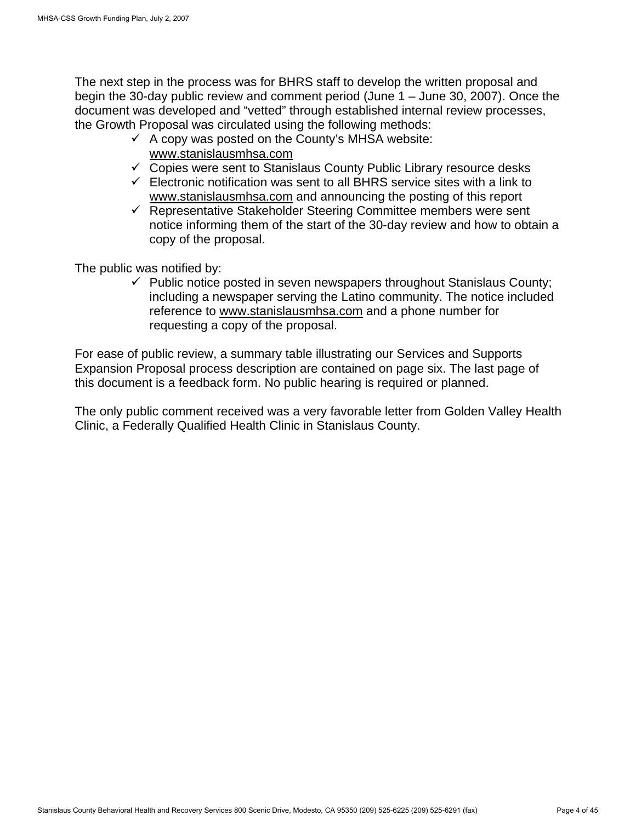The next step in the process was for BHRS staff to develop the written proposal and begin the 30-day public review and comment period (June 1 – June 30, 2007). Once the document was developed and "vetted" through established internal review processes, the Growth Proposal was circulated using the following methods:

- $\checkmark$  A copy was posted on the County's MHSA website: www.stanislausmhsa.com
- $\checkmark$  Copies were sent to Stanislaus County Public Library resource desks
- $\checkmark$  Electronic notification was sent to all BHRS service sites with a link to www.stanislausmhsa.com and announcing the posting of this report
- $\sqrt{ }$  Representative Stakeholder Steering Committee members were sent notice informing them of the start of the 30-day review and how to obtain a copy of the proposal.

The public was notified by:

 $\checkmark$  Public notice posted in seven newspapers throughout Stanislaus County; including a newspaper serving the Latino community. The notice included reference to www.stanislausmhsa.com and a phone number for requesting a copy of the proposal.

For ease of public review, a summary table illustrating our Services and Supports Expansion Proposal process description are contained on page six. The last page of this document is a feedback form. No public hearing is required or planned.

The only public comment received was a very favorable letter from Golden Valley Health Clinic, a Federally Qualified Health Clinic in Stanislaus County.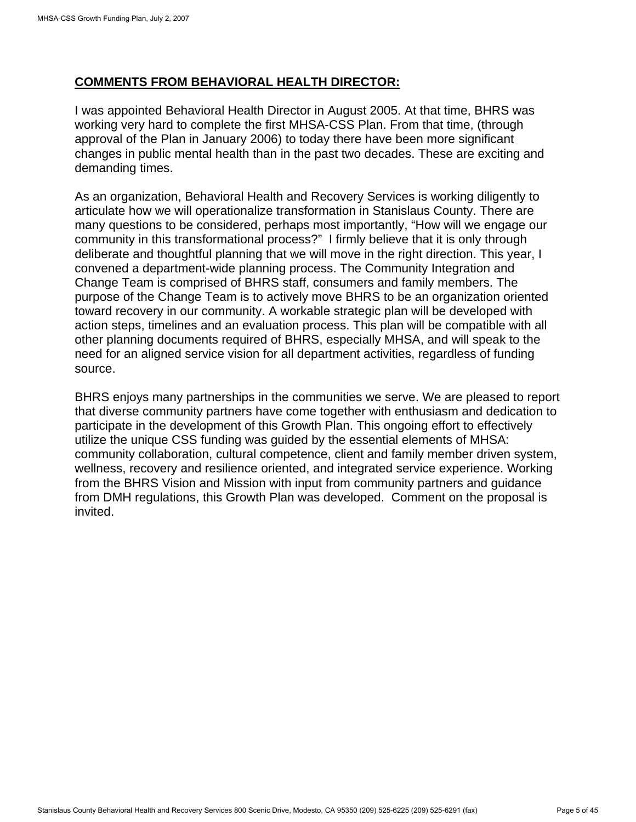### **COMMENTS FROM BEHAVIORAL HEALTH DIRECTOR:**

I was appointed Behavioral Health Director in August 2005. At that time, BHRS was working very hard to complete the first MHSA-CSS Plan. From that time, (through approval of the Plan in January 2006) to today there have been more significant changes in public mental health than in the past two decades. These are exciting and demanding times.

As an organization, Behavioral Health and Recovery Services is working diligently to articulate how we will operationalize transformation in Stanislaus County. There are many questions to be considered, perhaps most importantly, "How will we engage our community in this transformational process?" I firmly believe that it is only through deliberate and thoughtful planning that we will move in the right direction. This year, I convened a department-wide planning process. The Community Integration and Change Team is comprised of BHRS staff, consumers and family members. The purpose of the Change Team is to actively move BHRS to be an organization oriented toward recovery in our community. A workable strategic plan will be developed with action steps, timelines and an evaluation process. This plan will be compatible with all other planning documents required of BHRS, especially MHSA, and will speak to the need for an aligned service vision for all department activities, regardless of funding source.

BHRS enjoys many partnerships in the communities we serve. We are pleased to report that diverse community partners have come together with enthusiasm and dedication to participate in the development of this Growth Plan. This ongoing effort to effectively utilize the unique CSS funding was guided by the essential elements of MHSA: community collaboration, cultural competence, client and family member driven system, wellness, recovery and resilience oriented, and integrated service experience. Working from the BHRS Vision and Mission with input from community partners and guidance from DMH regulations, this Growth Plan was developed. Comment on the proposal is invited.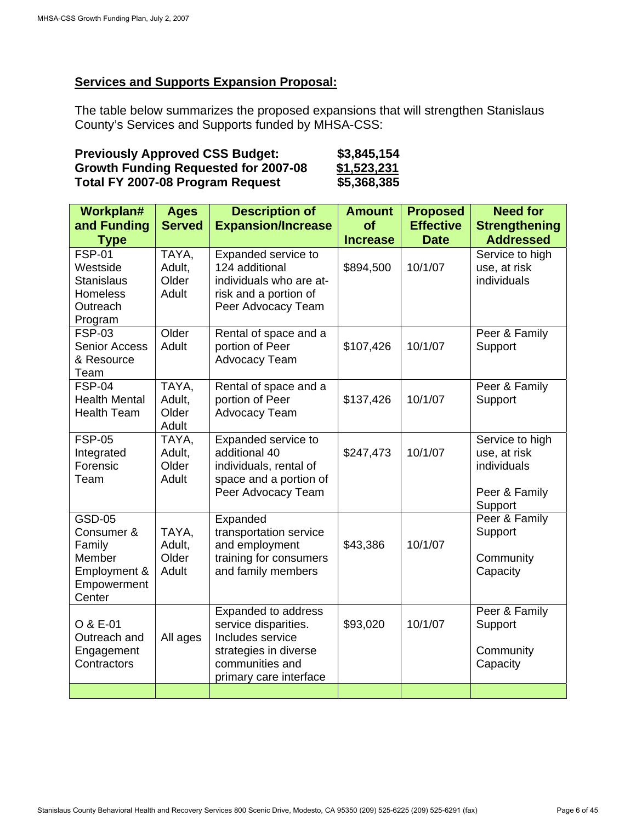## **Services and Supports Expansion Proposal:**

The table below summarizes the proposed expansions that will strengthen Stanislaus County's Services and Supports funded by MHSA-CSS:

| <b>Previously Approved CSS Budget:</b>      | \$3,845,154 |
|---------------------------------------------|-------------|
| <b>Growth Funding Requested for 2007-08</b> | \$1,523,231 |
| Total FY 2007-08 Program Request            | \$5,368,385 |

| Workplan#                   | <b>Ages</b>     | <b>Description of</b>                       | <b>Amount</b>   | <b>Proposed</b>  | <b>Need for</b>                 |
|-----------------------------|-----------------|---------------------------------------------|-----------------|------------------|---------------------------------|
| and Funding                 | <b>Served</b>   | <b>Expansion/Increase</b>                   | of              | <b>Effective</b> | <b>Strengthening</b>            |
| <b>Type</b>                 |                 |                                             | <b>Increase</b> | <b>Date</b>      | <b>Addressed</b>                |
| <b>FSP-01</b>               | TAYA,           | Expanded service to                         |                 |                  | Service to high                 |
| Westside                    | Adult,          | 124 additional                              | \$894,500       | 10/1/07          | use, at risk                    |
| <b>Stanislaus</b>           | Older           | individuals who are at-                     |                 |                  | individuals                     |
| <b>Homeless</b><br>Outreach | Adult           | risk and a portion of<br>Peer Advocacy Team |                 |                  |                                 |
| Program                     |                 |                                             |                 |                  |                                 |
| <b>FSP-03</b>               | Older           | Rental of space and a                       |                 |                  | Peer & Family                   |
| <b>Senior Access</b>        | Adult           | portion of Peer                             | \$107,426       | 10/1/07          | Support                         |
| & Resource                  |                 | <b>Advocacy Team</b>                        |                 |                  |                                 |
| Team                        |                 |                                             |                 |                  |                                 |
| <b>FSP-04</b>               | TAYA,           | Rental of space and a                       |                 |                  | Peer & Family                   |
| <b>Health Mental</b>        | Adult,          | portion of Peer                             | \$137,426       | 10/1/07          | Support                         |
| <b>Health Team</b>          | Older           | <b>Advocacy Team</b>                        |                 |                  |                                 |
| <b>FSP-05</b>               | Adult           |                                             |                 |                  |                                 |
| Integrated                  | TAYA,<br>Adult, | Expanded service to<br>additional 40        | \$247,473       | 10/1/07          | Service to high<br>use, at risk |
| Forensic                    | Older           | individuals, rental of                      |                 |                  | individuals                     |
| Team                        | Adult           | space and a portion of                      |                 |                  |                                 |
|                             |                 | Peer Advocacy Team                          |                 |                  | Peer & Family                   |
|                             |                 |                                             |                 |                  | Support                         |
| <b>GSD-05</b>               |                 | Expanded                                    |                 |                  | Peer & Family                   |
| Consumer &                  | TAYA,           | transportation service                      |                 |                  | Support                         |
| Family                      | Adult,          | and employment                              | \$43,386        | 10/1/07          |                                 |
| Member                      | Older           | training for consumers                      |                 |                  | Community                       |
| Employment &                | Adult           | and family members                          |                 |                  | Capacity                        |
| Empowerment<br>Center       |                 |                                             |                 |                  |                                 |
|                             |                 | Expanded to address                         |                 |                  | Peer & Family                   |
| O & E-01                    |                 | service disparities.                        | \$93,020        | 10/1/07          | Support                         |
| Outreach and                | All ages        | Includes service                            |                 |                  |                                 |
| Engagement                  |                 | strategies in diverse                       |                 |                  | Community                       |
| Contractors                 |                 | communities and                             |                 |                  | Capacity                        |
|                             |                 | primary care interface                      |                 |                  |                                 |
|                             |                 |                                             |                 |                  |                                 |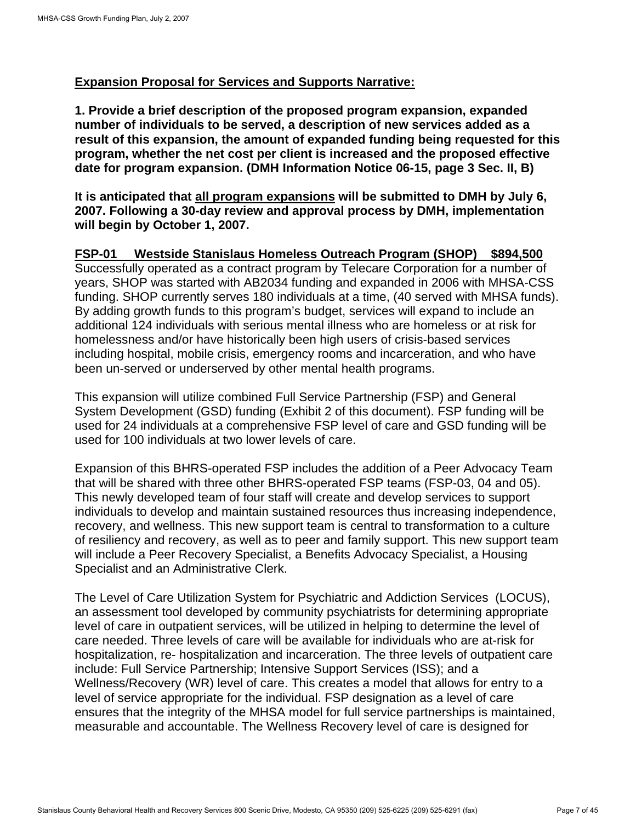#### **Expansion Proposal for Services and Supports Narrative:**

**1. Provide a brief description of the proposed program expansion, expanded number of individuals to be served, a description of new services added as a result of this expansion, the amount of expanded funding being requested for this program, whether the net cost per client is increased and the proposed effective date for program expansion. (DMH Information Notice 06-15, page 3 Sec. II, B)** 

**It is anticipated that all program expansions will be submitted to DMH by July 6, 2007. Following a 30-day review and approval process by DMH, implementation will begin by October 1, 2007.** 

## **FSP-01 Westside Stanislaus Homeless Outreach Program (SHOP) \$894,500**

Successfully operated as a contract program by Telecare Corporation for a number of years, SHOP was started with AB2034 funding and expanded in 2006 with MHSA-CSS funding. SHOP currently serves 180 individuals at a time, (40 served with MHSA funds). By adding growth funds to this program's budget, services will expand to include an additional 124 individuals with serious mental illness who are homeless or at risk for homelessness and/or have historically been high users of crisis-based services including hospital, mobile crisis, emergency rooms and incarceration, and who have been un-served or underserved by other mental health programs.

This expansion will utilize combined Full Service Partnership (FSP) and General System Development (GSD) funding (Exhibit 2 of this document). FSP funding will be used for 24 individuals at a comprehensive FSP level of care and GSD funding will be used for 100 individuals at two lower levels of care.

Expansion of this BHRS-operated FSP includes the addition of a Peer Advocacy Team that will be shared with three other BHRS-operated FSP teams (FSP-03, 04 and 05). This newly developed team of four staff will create and develop services to support individuals to develop and maintain sustained resources thus increasing independence, recovery, and wellness. This new support team is central to transformation to a culture of resiliency and recovery, as well as to peer and family support. This new support team will include a Peer Recovery Specialist, a Benefits Advocacy Specialist, a Housing Specialist and an Administrative Clerk.

The Level of Care Utilization System for Psychiatric and Addiction Services (LOCUS), an assessment tool developed by community psychiatrists for determining appropriate level of care in outpatient services, will be utilized in helping to determine the level of care needed. Three levels of care will be available for individuals who are at-risk for hospitalization, re- hospitalization and incarceration. The three levels of outpatient care include: Full Service Partnership; Intensive Support Services (ISS); and a Wellness/Recovery (WR) level of care. This creates a model that allows for entry to a level of service appropriate for the individual. FSP designation as a level of care ensures that the integrity of the MHSA model for full service partnerships is maintained, measurable and accountable. The Wellness Recovery level of care is designed for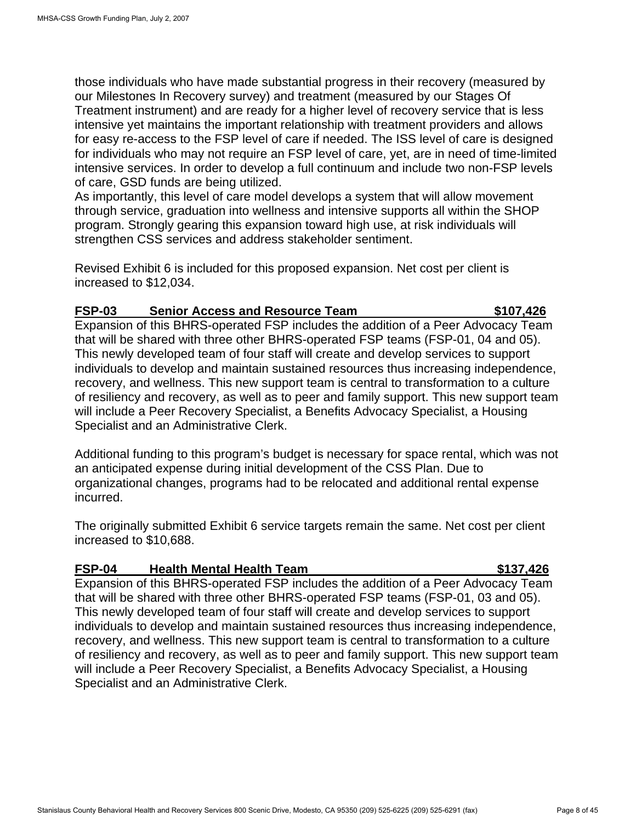those individuals who have made substantial progress in their recovery (measured by our Milestones In Recovery survey) and treatment (measured by our Stages Of Treatment instrument) and are ready for a higher level of recovery service that is less intensive yet maintains the important relationship with treatment providers and allows for easy re-access to the FSP level of care if needed. The ISS level of care is designed for individuals who may not require an FSP level of care, yet, are in need of time-limited intensive services. In order to develop a full continuum and include two non-FSP levels of care, GSD funds are being utilized.

As importantly, this level of care model develops a system that will allow movement through service, graduation into wellness and intensive supports all within the SHOP program. Strongly gearing this expansion toward high use, at risk individuals will strengthen CSS services and address stakeholder sentiment.

Revised Exhibit 6 is included for this proposed expansion. Net cost per client is increased to \$12,034.

#### **FSP-03 Senior Access and Resource Team \$107,426**

Expansion of this BHRS-operated FSP includes the addition of a Peer Advocacy Team that will be shared with three other BHRS-operated FSP teams (FSP-01, 04 and 05). This newly developed team of four staff will create and develop services to support individuals to develop and maintain sustained resources thus increasing independence, recovery, and wellness. This new support team is central to transformation to a culture of resiliency and recovery, as well as to peer and family support. This new support team will include a Peer Recovery Specialist, a Benefits Advocacy Specialist, a Housing Specialist and an Administrative Clerk.

Additional funding to this program's budget is necessary for space rental, which was not an anticipated expense during initial development of the CSS Plan. Due to organizational changes, programs had to be relocated and additional rental expense incurred.

The originally submitted Exhibit 6 service targets remain the same. Net cost per client increased to \$10,688.

#### **FSP-04 Health Mental Health Team \$137,426**

Expansion of this BHRS-operated FSP includes the addition of a Peer Advocacy Team that will be shared with three other BHRS-operated FSP teams (FSP-01, 03 and 05). This newly developed team of four staff will create and develop services to support individuals to develop and maintain sustained resources thus increasing independence, recovery, and wellness. This new support team is central to transformation to a culture of resiliency and recovery, as well as to peer and family support. This new support team will include a Peer Recovery Specialist, a Benefits Advocacy Specialist, a Housing Specialist and an Administrative Clerk.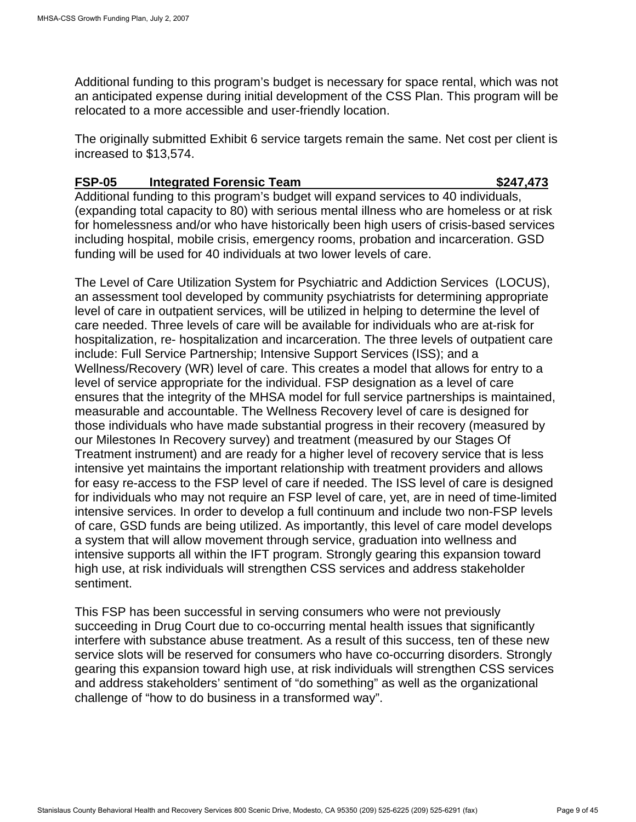Additional funding to this program's budget is necessary for space rental, which was not an anticipated expense during initial development of the CSS Plan. This program will be relocated to a more accessible and user-friendly location.

The originally submitted Exhibit 6 service targets remain the same. Net cost per client is increased to \$13,574.

#### **FSP-05 Integrated Forensic Team \$247,473**

Additional funding to this program's budget will expand services to 40 individuals, (expanding total capacity to 80) with serious mental illness who are homeless or at risk for homelessness and/or who have historically been high users of crisis-based services including hospital, mobile crisis, emergency rooms, probation and incarceration. GSD funding will be used for 40 individuals at two lower levels of care.

The Level of Care Utilization System for Psychiatric and Addiction Services (LOCUS), an assessment tool developed by community psychiatrists for determining appropriate level of care in outpatient services, will be utilized in helping to determine the level of care needed. Three levels of care will be available for individuals who are at-risk for hospitalization, re- hospitalization and incarceration. The three levels of outpatient care include: Full Service Partnership; Intensive Support Services (ISS); and a Wellness/Recovery (WR) level of care. This creates a model that allows for entry to a level of service appropriate for the individual. FSP designation as a level of care ensures that the integrity of the MHSA model for full service partnerships is maintained, measurable and accountable. The Wellness Recovery level of care is designed for those individuals who have made substantial progress in their recovery (measured by our Milestones In Recovery survey) and treatment (measured by our Stages Of Treatment instrument) and are ready for a higher level of recovery service that is less intensive yet maintains the important relationship with treatment providers and allows for easy re-access to the FSP level of care if needed. The ISS level of care is designed for individuals who may not require an FSP level of care, yet, are in need of time-limited intensive services. In order to develop a full continuum and include two non-FSP levels of care, GSD funds are being utilized. As importantly, this level of care model develops a system that will allow movement through service, graduation into wellness and intensive supports all within the IFT program. Strongly gearing this expansion toward high use, at risk individuals will strengthen CSS services and address stakeholder sentiment.

This FSP has been successful in serving consumers who were not previously succeeding in Drug Court due to co-occurring mental health issues that significantly interfere with substance abuse treatment. As a result of this success, ten of these new service slots will be reserved for consumers who have co-occurring disorders. Strongly gearing this expansion toward high use, at risk individuals will strengthen CSS services and address stakeholders' sentiment of "do something" as well as the organizational challenge of "how to do business in a transformed way".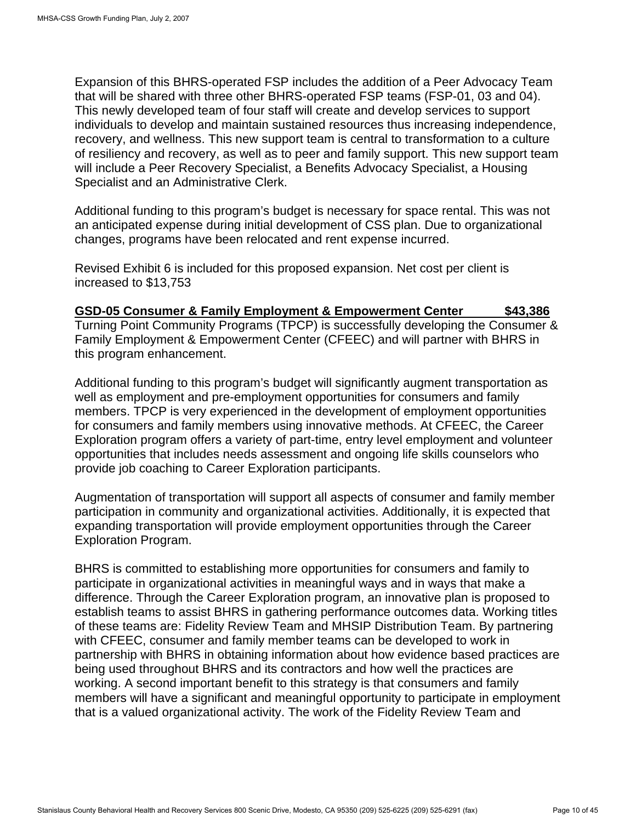Expansion of this BHRS-operated FSP includes the addition of a Peer Advocacy Team that will be shared with three other BHRS-operated FSP teams (FSP-01, 03 and 04). This newly developed team of four staff will create and develop services to support individuals to develop and maintain sustained resources thus increasing independence, recovery, and wellness. This new support team is central to transformation to a culture of resiliency and recovery, as well as to peer and family support. This new support team will include a Peer Recovery Specialist, a Benefits Advocacy Specialist, a Housing Specialist and an Administrative Clerk.

Additional funding to this program's budget is necessary for space rental. This was not an anticipated expense during initial development of CSS plan. Due to organizational changes, programs have been relocated and rent expense incurred.

Revised Exhibit 6 is included for this proposed expansion. Net cost per client is increased to \$13,753

#### **GSD-05 Consumer & Family Employment & Empowerment Center \$43,386**  Turning Point Community Programs (TPCP) is successfully developing the Consumer & Family Employment & Empowerment Center (CFEEC) and will partner with BHRS in this program enhancement.

Additional funding to this program's budget will significantly augment transportation as well as employment and pre-employment opportunities for consumers and family members. TPCP is very experienced in the development of employment opportunities for consumers and family members using innovative methods. At CFEEC, the Career Exploration program offers a variety of part-time, entry level employment and volunteer opportunities that includes needs assessment and ongoing life skills counselors who provide job coaching to Career Exploration participants.

Augmentation of transportation will support all aspects of consumer and family member participation in community and organizational activities. Additionally, it is expected that expanding transportation will provide employment opportunities through the Career Exploration Program.

BHRS is committed to establishing more opportunities for consumers and family to participate in organizational activities in meaningful ways and in ways that make a difference. Through the Career Exploration program, an innovative plan is proposed to establish teams to assist BHRS in gathering performance outcomes data. Working titles of these teams are: Fidelity Review Team and MHSIP Distribution Team. By partnering with CFEEC, consumer and family member teams can be developed to work in partnership with BHRS in obtaining information about how evidence based practices are being used throughout BHRS and its contractors and how well the practices are working. A second important benefit to this strategy is that consumers and family members will have a significant and meaningful opportunity to participate in employment that is a valued organizational activity. The work of the Fidelity Review Team and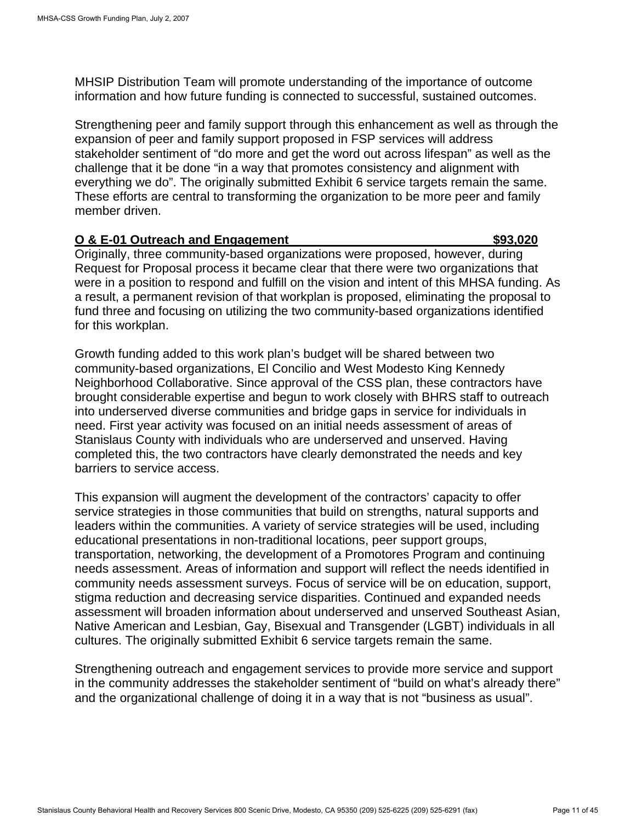MHSIP Distribution Team will promote understanding of the importance of outcome information and how future funding is connected to successful, sustained outcomes.

Strengthening peer and family support through this enhancement as well as through the expansion of peer and family support proposed in FSP services will address stakeholder sentiment of "do more and get the word out across lifespan" as well as the challenge that it be done "in a way that promotes consistency and alignment with everything we do". The originally submitted Exhibit 6 service targets remain the same. These efforts are central to transforming the organization to be more peer and family member driven.

#### **O & E-01 Outreach and Engagement \$93,020**

Originally, three community-based organizations were proposed, however, during Request for Proposal process it became clear that there were two organizations that were in a position to respond and fulfill on the vision and intent of this MHSA funding. As a result, a permanent revision of that workplan is proposed, eliminating the proposal to fund three and focusing on utilizing the two community-based organizations identified for this workplan.

Growth funding added to this work plan's budget will be shared between two community-based organizations, El Concilio and West Modesto King Kennedy Neighborhood Collaborative. Since approval of the CSS plan, these contractors have brought considerable expertise and begun to work closely with BHRS staff to outreach into underserved diverse communities and bridge gaps in service for individuals in need. First year activity was focused on an initial needs assessment of areas of Stanislaus County with individuals who are underserved and unserved. Having completed this, the two contractors have clearly demonstrated the needs and key barriers to service access.

This expansion will augment the development of the contractors' capacity to offer service strategies in those communities that build on strengths, natural supports and leaders within the communities. A variety of service strategies will be used, including educational presentations in non-traditional locations, peer support groups, transportation, networking, the development of a Promotores Program and continuing needs assessment. Areas of information and support will reflect the needs identified in community needs assessment surveys. Focus of service will be on education, support, stigma reduction and decreasing service disparities. Continued and expanded needs assessment will broaden information about underserved and unserved Southeast Asian, Native American and Lesbian, Gay, Bisexual and Transgender (LGBT) individuals in all cultures. The originally submitted Exhibit 6 service targets remain the same.

Strengthening outreach and engagement services to provide more service and support in the community addresses the stakeholder sentiment of "build on what's already there" and the organizational challenge of doing it in a way that is not "business as usual".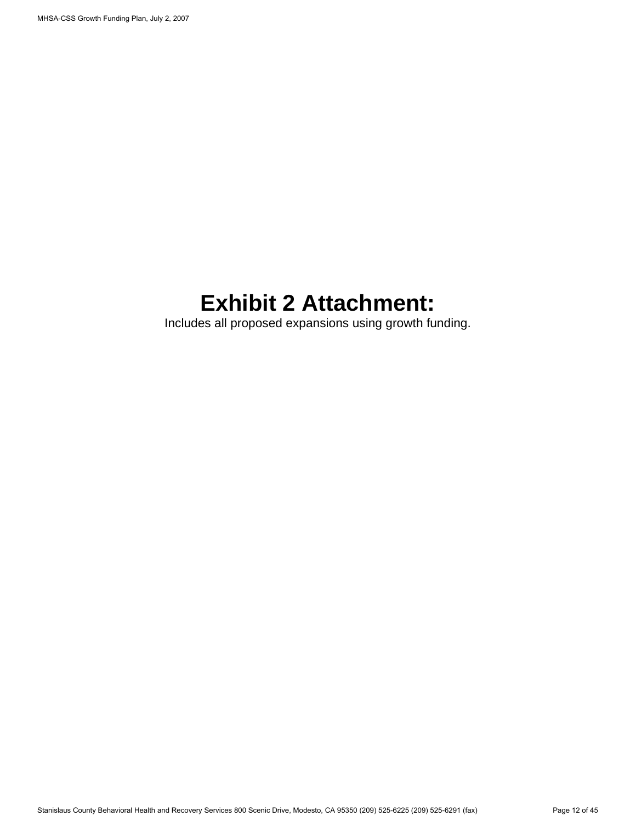# **Exhibit 2 Attachment:**

Includes all proposed expansions using growth funding.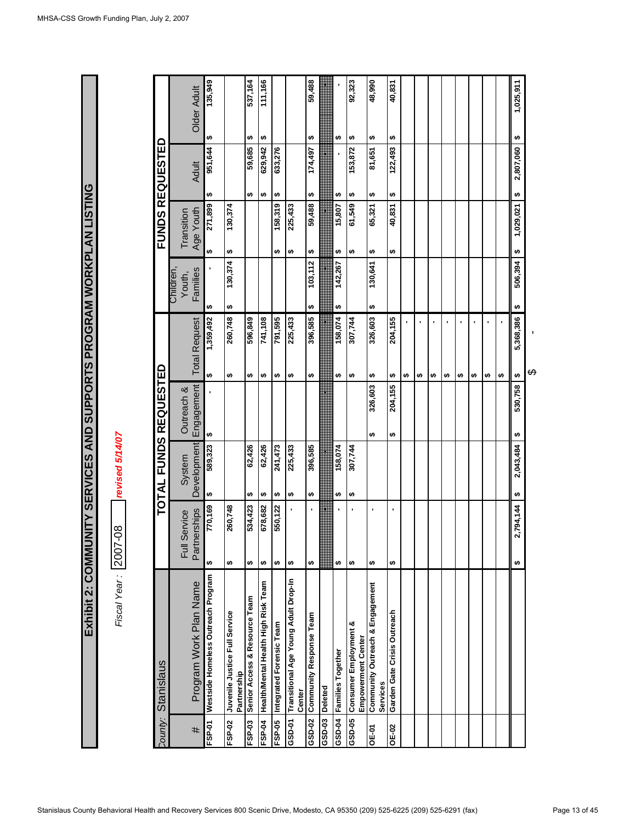Exhibit 2: COMMUNITY SERVICES AND SUPPORTS PROGRAM WORKPLAN LISTING **Exhibit 2: COMMUNITY SERVICES AND SUPPORTS PROGRAM WORKPLAN LISTING**

revised 5/14/07 *Fiscal Year :* 2007-08 *revised 5/14/07* Fiscal Year: 2007-08

|              | County: Stanislaus                             |                     |                    | TOTAL FUNDS REQUESTED |                      |                     |                     | <b>FUNDS REQUESTED</b> |                |
|--------------|------------------------------------------------|---------------------|--------------------|-----------------------|----------------------|---------------------|---------------------|------------------------|----------------|
|              |                                                | Full Service        | System             | Outreach &            |                      | Children,<br>Youth, | Transition          |                        |                |
| #            | Program Work Plan Name                         | erships<br>Partn    | <b>Development</b> | Engagement            | <b>Total Request</b> | Families            | Age Youth           | <b>Adult</b>           | Older Adult    |
| FSP-01       | Westside Homeless Outreach Program             | 770,169<br>↮        | 589,323<br>↮       | ↮                     | 1,359,492<br>↮       | ↮                   | 271,899<br>↮        | 951,644<br>↮           | 135,949<br>↮   |
| FSP-02       | Juvenile Justice Full Service<br>Partnership   | 260,748<br>↮        |                    |                       | 260,748<br>↮         | 130,374<br>↮        | 130,374<br>↮        |                        |                |
| FSP-03       | Senior Access & Resource Team                  | 534,423<br>↮        | 62,426<br>↮        |                       | 596,849<br>↮         |                     |                     | 59,685<br>↮            | 537,164<br>↮   |
| FSP-04       | Health/Mental Health High Risk Team            | 678,682<br>↮        | 62,426<br>↮        |                       | 741,108<br>↮         |                     |                     | 629,942<br>↮           | 111,166<br>↮   |
| FSP-05       | Integrated Forensic Team                       | 550,122<br>₩        | 241,473<br>↮       |                       | 791,595<br>↮         |                     | 158,319<br>↮        | 633,276<br>↮           |                |
| GSD-01       | Transitional Age Young Adult Drop-In<br>Center | ↮                   | 225,433<br>↮       |                       | 225,433<br>↮         |                     | 225,433<br>↮        |                        |                |
| GSD-02       | Community Response Team                        | $\blacksquare$<br>↮ | 396,585<br>မာ      |                       | 396,585<br>↮         | 103,112<br>↮        | 59,488<br>↮         | 174,497<br>↮           | 59,488<br>↮    |
|              | GSD-03 Deleted                                 |                     |                    |                       |                      |                     |                     |                        |                |
|              | GSD-04 Families Together                       | ٠<br>↮              | 158,074<br>↮       |                       | 158,074<br>↮         | 142,267<br>↮        | 15,807<br>↮         | ↮                      | ↮              |
| GSD-05       | Consumer Employment &                          | ↮                   | 307,744<br>↮       |                       | 307,744<br>↮         |                     | 61,549<br>↮         | 153,872<br>↮           | 92,323<br>↮    |
|              | Empowerment Center                             |                     |                    |                       |                      |                     |                     |                        |                |
| OE-01        | Community Outreach & Engagement<br>Services    | p<br>↮              |                    | 326,603<br>↮          | 326,603<br>↮         | 130,641<br>↮        | 65,321<br>↮         | 81,651<br>↮            | 48,990<br>↮    |
| <b>OE-02</b> | Garden Gate Crisis Outreach                    | ٠<br>↮              |                    | 204,155<br>မာ         | 204,155<br>↮         |                     | 40,831<br><b>SA</b> | 122,493<br>↮           | 40,831<br>↮    |
|              |                                                |                     |                    |                       | ↮                    |                     |                     |                        |                |
|              |                                                |                     |                    |                       | ↮                    |                     |                     |                        |                |
|              |                                                |                     |                    |                       | ↮                    |                     |                     |                        |                |
|              |                                                |                     |                    |                       | ٠<br>↮               |                     |                     |                        |                |
|              |                                                |                     |                    |                       | ↮                    |                     |                     |                        |                |
|              |                                                |                     |                    |                       | ₩                    |                     |                     |                        |                |
|              |                                                |                     |                    |                       | ↮                    |                     |                     |                        |                |
|              |                                                |                     |                    |                       | ↮                    |                     |                     |                        |                |
|              |                                                | 2,794,144<br>↮      | 2,043,484<br>↮     | 530,758<br>₩          | 5,368,386<br>₩       | 506,394<br>↮        | 1,029,021<br>↮      | 2,807,060<br>↮         | 1,025,911<br>↮ |
|              |                                                |                     |                    |                       | ക                    |                     |                     |                        |                |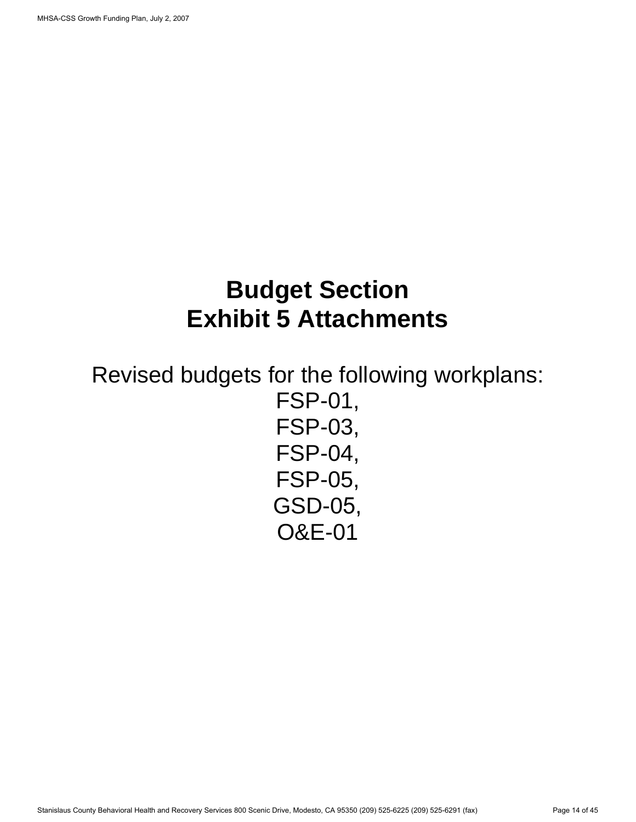# **Budget Section Exhibit 5 Attachments**

Revised budgets for the following workplans: FSP-01, FSP-03, FSP-04, FSP-05, GSD-05, O&E-01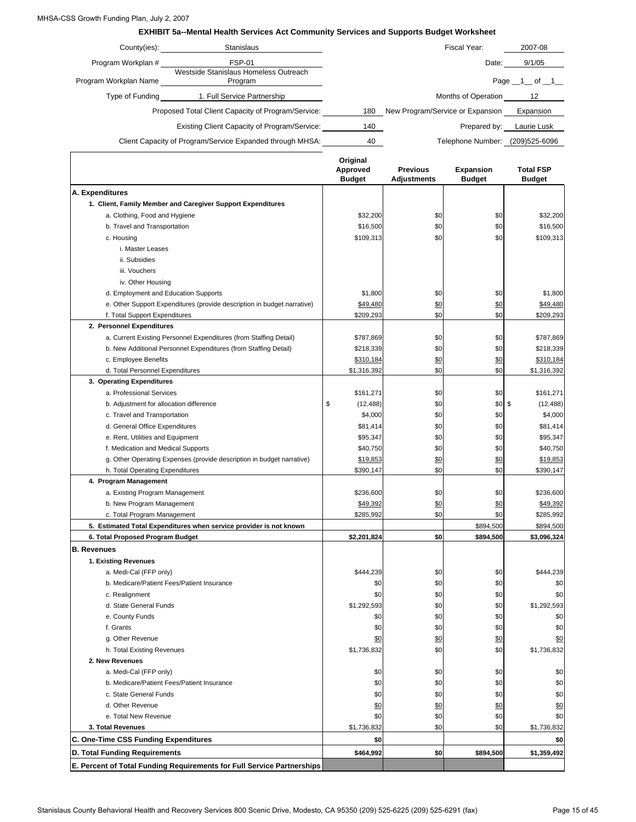#### MHSA-CSS Growth Funding Plan, July 2, 2007

 $\Gamma$ 

**EXHIBIT 5a--Mental Health Services Act Community Services and Supports Budget Worksheet**

| County(ies):          | <b>Stanislaus</b>                                         |     | Fiscal Year:                     | 2007-08             |
|-----------------------|-----------------------------------------------------------|-----|----------------------------------|---------------------|
| Program Workplan #    | <b>FSP-01</b>                                             |     | Date:                            | 9/1/05              |
| Program Workplan Name | Westside Stanislaus Homeless Outreach<br>Program          |     |                                  | Page $\_1$ of $\_1$ |
| Type of Funding       | 1. Full Service Partnership                               |     | Months of Operation              | 12                  |
|                       | Proposed Total Client Capacity of Program/Service:        | 180 | New Program/Service or Expansion | Expansion           |
|                       | Existing Client Capacity of Program/Service:              | 140 | Prepared by:                     | Laurie Lusk         |
|                       | Client Capacity of Program/Service Expanded through MHSA: | 40  | Telephone Number:                | (209)525-6096       |

|                                                                         | Original<br>Approved<br><b>Budget</b> | <b>Previous</b><br><b>Adjustments</b> | Expansion<br><b>Budget</b> | <b>Total FSP</b><br><b>Budget</b> |
|-------------------------------------------------------------------------|---------------------------------------|---------------------------------------|----------------------------|-----------------------------------|
| A. Expenditures                                                         |                                       |                                       |                            |                                   |
| 1. Client, Family Member and Caregiver Support Expenditures             |                                       |                                       |                            |                                   |
| a. Clothing, Food and Hygiene                                           | \$32,200                              | \$0                                   | \$0                        | \$32,200                          |
| b. Travel and Transportation                                            | \$16,500                              | \$0                                   | \$0                        | \$16,500                          |
| c. Housing                                                              | \$109,313                             | \$0                                   | \$0                        | \$109,313                         |
| i. Master Leases                                                        |                                       |                                       |                            |                                   |
| ii. Subsidies                                                           |                                       |                                       |                            |                                   |
| iii. Vouchers                                                           |                                       |                                       |                            |                                   |
| iv. Other Housing                                                       |                                       |                                       |                            |                                   |
| d. Employment and Education Supports                                    | \$1,800                               | \$0                                   | \$0                        | \$1,800                           |
| e. Other Support Expenditures (provide description in budget narrative) | \$49,480                              | \$0                                   | \$0                        | \$49,480                          |
| f. Total Support Expenditures                                           | \$209,293                             | \$0                                   | \$0                        | \$209,293                         |
| 2. Personnel Expenditures                                               |                                       |                                       |                            |                                   |
| a. Current Existing Personnel Expenditures (from Staffing Detail)       | \$787,869                             | \$0                                   | \$0                        | \$787,869                         |
| b. New Additional Personnel Expenditures (from Staffing Detail)         | \$218,339                             | \$0                                   | \$0                        | \$218,339                         |
| c. Employee Benefits                                                    | \$310,184                             | \$0                                   | \$0                        | \$310,184                         |
| d. Total Personnel Expenditures                                         | \$1,316,392                           | \$0                                   | \$0                        | \$1,316,392                       |
| 3. Operating Expenditures                                               |                                       |                                       |                            |                                   |
| a. Professional Services                                                | \$161,271                             | \$0                                   | \$0                        | \$161,271                         |
| b. Adjustment for allocation difference                                 | \$<br>(12, 488)                       | \$0                                   | \$0                        | \$<br>(12, 488)                   |
| c. Travel and Transportation                                            | \$4,000                               | \$0                                   | \$0                        | \$4,000                           |
| d. General Office Expenditures                                          | \$81,414                              | \$0                                   | \$0                        | \$81,414                          |
| e. Rent, Utilities and Equipment                                        | \$95,347                              | \$0                                   | \$0                        | \$95,347                          |
| f. Medication and Medical Supports                                      | \$40,750                              | \$0                                   | \$0                        | \$40,750                          |
| g. Other Operating Expenses (provide description in budget narrative)   | \$19,853                              | \$0                                   | \$0                        | \$19,853                          |
| h. Total Operating Expenditures                                         | \$390,147                             | \$0                                   | \$0                        | \$390,147                         |
| 4. Program Management                                                   |                                       |                                       |                            |                                   |
| a. Existing Program Management                                          | \$236,600                             | \$0                                   | \$0                        | \$236,600                         |
| b. New Program Management                                               | \$49,392                              | \$0                                   | \$0                        | \$49,392                          |
| c. Total Program Management                                             | \$285,992                             | \$0                                   | \$0                        | \$285,992                         |
| 5. Estimated Total Expenditures when service provider is not known      |                                       |                                       | \$894,500                  | \$894,500                         |
| 6. Total Proposed Program Budget                                        | \$2,201,824                           | \$0                                   | \$894,500                  | \$3,096,324                       |
| <b>B.</b> Revenues                                                      |                                       |                                       |                            |                                   |
| 1. Existing Revenues                                                    |                                       |                                       |                            |                                   |
| a. Medi-Cal (FFP only)                                                  | \$444,239                             | \$0                                   | \$0                        | \$444,239                         |
| b. Medicare/Patient Fees/Patient Insurance                              | \$0                                   | \$0                                   | \$0                        | \$0                               |
| c. Realignment                                                          | \$0                                   | \$0                                   | \$0                        | \$0                               |
| d. State General Funds                                                  | \$1,292,593                           | \$0                                   | \$0                        | \$1,292,593                       |
| e. County Funds                                                         | \$0                                   | \$0                                   | \$0                        | \$0                               |
| f. Grants                                                               | \$0                                   | \$0                                   | \$0                        | \$0                               |
| g. Other Revenue                                                        | \$0                                   | \$0                                   | \$0                        | \$0                               |
| h. Total Existing Revenues                                              | \$1,736,832                           | \$0                                   | \$0                        | \$1,736,832                       |
| 2. New Revenues                                                         |                                       |                                       |                            |                                   |
|                                                                         |                                       |                                       |                            |                                   |
| a. Medi-Cal (FFP only)<br>b. Medicare/Patient Fees/Patient Insurance    | \$0<br>\$0                            | \$0<br>\$0                            | \$0<br>\$0                 | \$0<br>\$0                        |
|                                                                         |                                       |                                       |                            |                                   |
| c. State General Funds<br>d. Other Revenue                              | \$0                                   | \$0                                   | \$0                        | \$0                               |
| e. Total New Revenue                                                    | \$0                                   | \$0                                   | \$0                        | \$0                               |
| 3. Total Revenues                                                       | \$0<br>\$1,736,832                    | \$0<br>\$0                            | \$0<br>\$0                 | \$0<br>\$1,736,832                |
| C. One-Time CSS Funding Expenditures                                    | \$0                                   |                                       |                            |                                   |
|                                                                         |                                       |                                       |                            | \$0                               |
| D. Total Funding Requirements                                           | \$464,992                             | \$0                                   | \$894,500                  | \$1,359,492                       |
| E. Percent of Total Funding Requirements for Full Service Partnerships  |                                       |                                       |                            |                                   |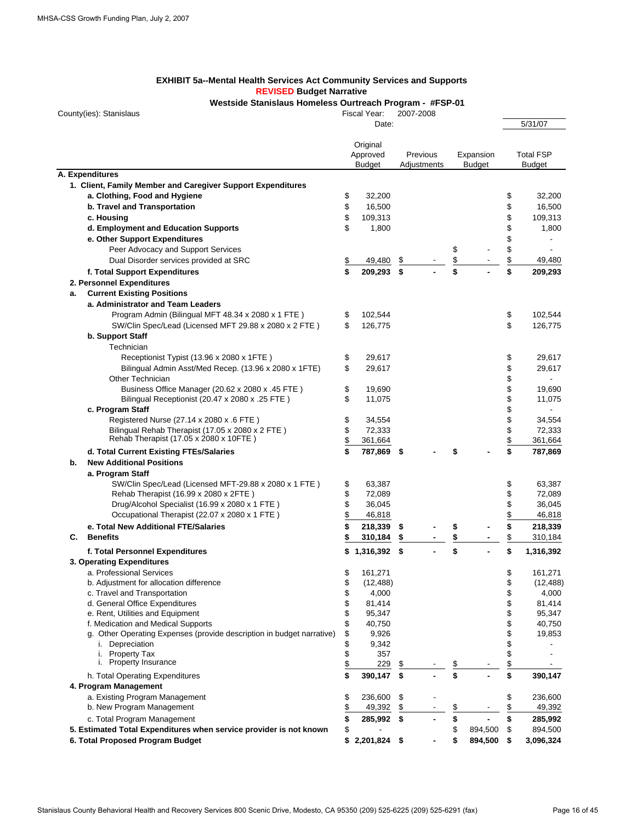#### **EXHIBIT 5a--Mental Health Services Act Community Services and Supports REVISED Budget Narrative**

**Westside Stanislaus Homeless Ourtreach Program - #FSP-01**

County(ies): Stanislaus

Fiscal Year: 2007-2008

|    |                                                                       |               | Date:                |    |             |                  |               | 5/31/07          |
|----|-----------------------------------------------------------------------|---------------|----------------------|----|-------------|------------------|---------------|------------------|
|    |                                                                       |               | Original<br>Approved |    | Previous    | Expansion        |               | <b>Total FSP</b> |
|    |                                                                       |               | <b>Budget</b>        |    | Adjustments | <b>Budget</b>    |               | <b>Budget</b>    |
|    | A. Expenditures                                                       |               |                      |    |             |                  |               |                  |
|    | 1. Client, Family Member and Caregiver Support Expenditures           |               |                      |    |             |                  |               |                  |
|    | a. Clothing, Food and Hygiene                                         | \$            | 32,200               |    |             |                  | \$            | 32,200           |
|    | b. Travel and Transportation                                          | \$            | 16,500               |    |             |                  | \$            | 16,500           |
|    | c. Housing                                                            | \$            | 109,313              |    |             |                  | \$            | 109,313          |
|    | d. Employment and Education Supports                                  | \$            | 1,800                |    |             |                  | \$            | 1,800            |
|    | e. Other Support Expenditures                                         |               |                      |    |             |                  | \$            |                  |
|    | Peer Advocacy and Support Services                                    |               |                      |    |             | \$               | \$            |                  |
|    | Dual Disorder services provided at SRC                                | $\frac{1}{2}$ | 49,480               | \$ |             | \$               | \$            | 49,480           |
|    | f. Total Support Expenditures                                         | \$            | 209,293              | \$ |             | \$               | \$            | 209,293          |
|    | 2. Personnel Expenditures                                             |               |                      |    |             |                  |               |                  |
| а. | <b>Current Existing Positions</b>                                     |               |                      |    |             |                  |               |                  |
|    | a. Administrator and Team Leaders                                     |               |                      |    |             |                  |               |                  |
|    | Program Admin (Bilingual MFT 48.34 x 2080 x 1 FTE)                    | \$            | 102,544              |    |             |                  | \$            | 102,544          |
|    | SW/Clin Spec/Lead (Licensed MFT 29.88 x 2080 x 2 FTE)                 | \$            | 126,775              |    |             |                  | \$            | 126,775          |
|    | b. Support Staff                                                      |               |                      |    |             |                  |               |                  |
|    | Technician                                                            |               |                      |    |             |                  |               |                  |
|    | Receptionist Typist (13.96 x 2080 x 1FTE)                             | \$            | 29,617               |    |             |                  | \$            | 29,617           |
|    | Bilingual Admin Asst/Med Recep. (13.96 x 2080 x 1FTE)                 | \$            | 29,617               |    |             |                  | \$            | 29,617           |
|    | Other Technician                                                      |               |                      |    |             |                  | \$            |                  |
|    | Business Office Manager (20.62 x 2080 x .45 FTE)                      | \$            | 19,690               |    |             |                  | \$            | 19,690           |
|    | Bilingual Receptionist (20.47 x 2080 x .25 FTE)                       | \$            | 11,075               |    |             |                  | \$            | 11,075           |
|    | c. Program Staff                                                      |               |                      |    |             |                  | \$            |                  |
|    | Registered Nurse (27.14 x 2080 x .6 FTE)                              | \$            | 34,554               |    |             |                  | \$            | 34,554           |
|    | Bilingual Rehab Therapist (17.05 x 2080 x 2 FTE)                      | \$            | 72,333               |    |             |                  | \$            | 72,333           |
|    | Rehab Therapist (17.05 x 2080 x 10FTE)                                | $\frac{1}{2}$ | 361,664              |    |             |                  | $\frac{1}{2}$ | 361,664          |
|    | d. Total Current Existing FTEs/Salaries                               | \$            | 787,869              | S  |             |                  | \$            | 787,869          |
| b. | <b>New Additional Positions</b>                                       |               |                      |    |             |                  |               |                  |
|    | a. Program Staff                                                      |               |                      |    |             |                  |               |                  |
|    | SW/Clin Spec/Lead (Licensed MFT-29.88 x 2080 x 1 FTE)                 | \$            | 63,387               |    |             |                  | \$            | 63,387           |
|    | Rehab Therapist (16.99 x 2080 x 2FTE)                                 | \$            | 72,089               |    |             |                  | \$            | 72,089           |
|    | Drug/Alcohol Specialist (16.99 x 2080 x 1 FTE)                        | \$            | 36,045               |    |             |                  | \$            | 36,045           |
|    | Occupational Therapist (22.07 x 2080 x 1 FTE)                         | \$            | 46,818               |    |             |                  | $\frac{1}{2}$ | 46,818           |
|    | e. Total New Additional FTE/Salaries                                  | \$            | 218,339              | \$ |             | \$               | \$            | 218,339          |
| C. | <b>Benefits</b>                                                       | \$            | 310,184              |    |             |                  | \$            | 310,184          |
|    | f. Total Personnel Expenditures                                       |               | $$1,316,392$ \$      |    |             | \$               | \$            | 1,316,392        |
|    | 3. Operating Expenditures                                             |               |                      |    |             |                  |               |                  |
|    | a. Professional Services                                              | \$            | 161,271              |    |             |                  | \$            | 161,271          |
|    | b. Adjustment for allocation difference                               | \$            | (12, 488)            |    |             |                  | \$            | (12, 488)        |
|    | c. Travel and Transportation                                          | \$            | 4,000                |    |             |                  | \$            | 4,000            |
|    | d. General Office Expenditures                                        | \$            | 81,414               |    |             |                  | \$            | 81,414           |
|    | e. Rent, Utilities and Equipment                                      | \$            | 95,347               |    |             |                  | \$            | 95,347           |
|    | f. Medication and Medical Supports                                    | \$            | 40,750               |    |             |                  | \$            | 40,750           |
|    | g. Other Operating Expenses (provide description in budget narrative) | \$            | 9,926                |    |             |                  | \$            | 19,853           |
|    | i. Depreciation                                                       | \$            | 9,342                |    |             |                  | \$            |                  |
|    | i. Property Tax                                                       | \$            | 357                  |    |             |                  | \$            |                  |
|    | i. Property Insurance                                                 | $\frac{1}{2}$ | 229                  | \$ |             | \$               | $\frac{1}{2}$ |                  |
|    | h. Total Operating Expenditures                                       | \$            | 390,147              | \$ |             | \$               | \$            | 390,147          |
|    | 4. Program Management                                                 |               |                      |    |             |                  |               |                  |
|    | a. Existing Program Management                                        | \$            | 236,600              | \$ |             |                  | \$            | 236,600          |
|    | b. New Program Management                                             | \$            | 49,392               | \$ |             | \$               | \$            | 49,392           |
|    | c. Total Program Management                                           | \$            | 285,992 \$           |    |             | \$               | \$            | 285,992          |
|    | 5. Estimated Total Expenditures when service provider is not known    | \$            |                      |    |             | \$<br>894,500    | \$            | 894,500          |
|    | 6. Total Proposed Program Budget                                      |               | $$2,201,824$ \$      |    |             | \$<br>894,500 \$ |               | 3,096,324        |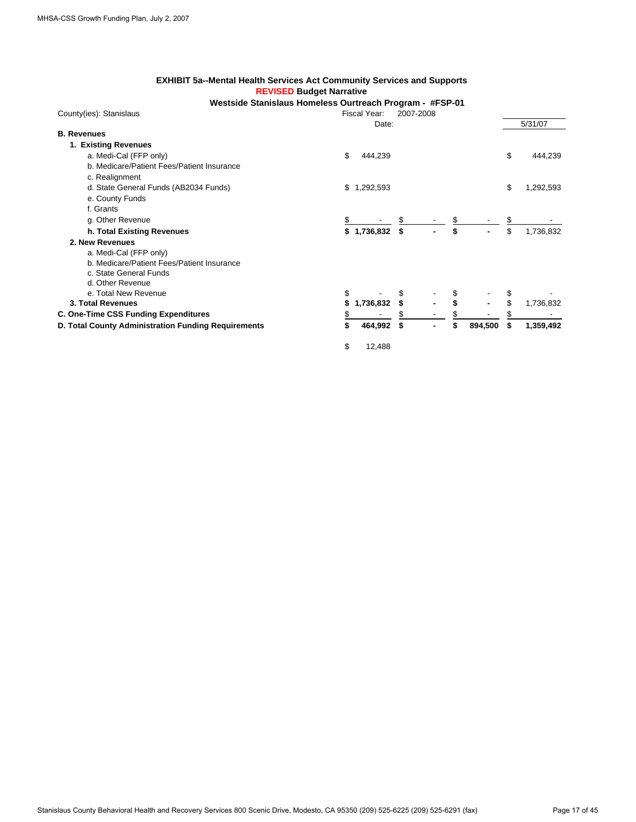#### **EXHIBIT 5a--Mental Health Services Act Community Services and Supports REVISED Budget Narrative**

**Westside Stanislaus Homeless Ourtreach Program - #FSP-01**

| County(ies): Stanislaus                             | Fiscal Year:    | 2007-2008            |               |    |           |
|-----------------------------------------------------|-----------------|----------------------|---------------|----|-----------|
|                                                     | Date:           |                      |               |    | 5/31/07   |
| <b>B.</b> Revenues                                  |                 |                      |               |    |           |
| 1. Existing Revenues                                |                 |                      |               |    |           |
| a. Medi-Cal (FFP only)                              | \$<br>444,239   |                      |               | \$ | 444,239   |
| b. Medicare/Patient Fees/Patient Insurance          |                 |                      |               |    |           |
| c. Realignment                                      |                 |                      |               |    |           |
| d. State General Funds (AB2034 Funds)               | 1,292,593<br>S  |                      |               | \$ | 1,292,593 |
| e. County Funds                                     |                 |                      |               |    |           |
| f. Grants                                           |                 |                      |               |    |           |
| g. Other Revenue                                    |                 |                      |               |    |           |
| h. Total Existing Revenues                          | \$1,736,832     | \$<br>$\blacksquare$ | \$            | \$ | 1,736,832 |
| 2. New Revenues                                     |                 |                      |               |    |           |
| a. Medi-Cal (FFP only)                              |                 |                      |               |    |           |
| b. Medicare/Patient Fees/Patient Insurance          |                 |                      |               |    |           |
| c. State General Funds                              |                 |                      |               |    |           |
| d. Other Revenue                                    |                 |                      |               |    |           |
| e. Total New Revenue                                | \$              |                      |               |    |           |
| 3. Total Revenues                                   | 1,736,832<br>\$ |                      |               |    | 1,736,832 |
| C. One-Time CSS Funding Expenditures                | S               |                      |               |    |           |
| D. Total County Administration Funding Requirements | \$<br>464,992   | \$                   | \$<br>894,500 | S  | 1,359,492 |
|                                                     |                 |                      |               |    |           |

\$ 12,488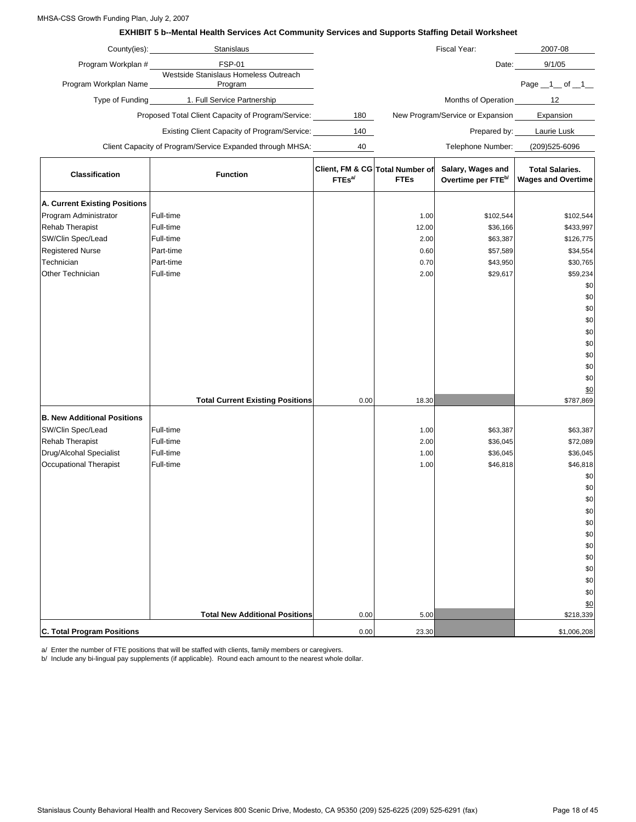#### MHSA-CSS Growth Funding Plan, July 2, 2007

#### **EXHIBIT 5 b--Mental Health Services Act Community Services and Supports Staffing Detail Worksheet**

|                                      | County(ies): <u>county</u><br>Stanislaus                  |                    |                                                | Fiscal Year:                                        | 2007-08                                             |
|--------------------------------------|-----------------------------------------------------------|--------------------|------------------------------------------------|-----------------------------------------------------|-----------------------------------------------------|
| Program Workplan #                   | <b>FSP-01</b>                                             |                    |                                                | Date:                                               | 9/1/05                                              |
| Program Workplan Name                | Westside Stanislaus Homeless Outreach<br>Program          |                    |                                                |                                                     | Page $\_1$ of $\_1$                                 |
|                                      | Type of Funding 1. Full Service Partnership               |                    |                                                | Months of Operation                                 | 12                                                  |
|                                      | Proposed Total Client Capacity of Program/Service:        | 180                |                                                | New Program/Service or Expansion                    | Expansion                                           |
|                                      | <b>Existing Client Capacity of Program/Service:</b>       | 140                |                                                |                                                     | Prepared by: Laurie Lusk                            |
|                                      | Client Capacity of Program/Service Expanded through MHSA: | 40                 |                                                | Telephone Number:                                   | (209)525-6096                                       |
| <b>Classification</b>                | <b>Function</b>                                           | FTEs <sup>al</sup> | Client, FM & CG Total Number of<br><b>FTEs</b> | Salary, Wages and<br>Overtime per FTE <sup>b/</sup> | <b>Total Salaries.</b><br><b>Wages and Overtime</b> |
| <b>A. Current Existing Positions</b> |                                                           |                    |                                                |                                                     |                                                     |
| Program Administrator                | Full-time                                                 |                    | 1.00                                           | \$102,544                                           | \$102,544                                           |
| <b>Rehab Therapist</b>               | Full-time                                                 |                    | 12.00                                          | \$36,166                                            | \$433,997                                           |
| SW/Clin Spec/Lead                    | Full-time                                                 |                    | 2.00                                           | \$63,387                                            | \$126,775                                           |
| <b>Registered Nurse</b>              | Part-time                                                 |                    | 0.60                                           | \$57,589                                            | \$34,554                                            |
| Technician                           | Part-time                                                 |                    | 0.70                                           | \$43,950                                            | \$30,765                                            |
| Other Technician                     | Full-time                                                 |                    | 2.00                                           | \$29,617                                            | \$59,234                                            |
|                                      |                                                           |                    |                                                |                                                     | \$0                                                 |
|                                      |                                                           |                    |                                                |                                                     | \$0                                                 |
|                                      |                                                           |                    |                                                |                                                     | \$0                                                 |
|                                      |                                                           |                    |                                                |                                                     | \$0                                                 |
|                                      |                                                           |                    |                                                |                                                     | \$0                                                 |
|                                      |                                                           |                    |                                                |                                                     | \$0                                                 |

|                                    |                                         |      |       |          | \$0         |
|------------------------------------|-----------------------------------------|------|-------|----------|-------------|
|                                    |                                         |      |       |          | \$0         |
|                                    |                                         |      |       |          | \$0         |
|                                    |                                         |      |       |          | \$0         |
|                                    | <b>Total Current Existing Positions</b> | 0.00 | 18.30 |          | \$787,869   |
| <b>B. New Additional Positions</b> |                                         |      |       |          |             |
| SW/Clin Spec/Lead                  | Full-time                               |      | 1.00  | \$63,387 | \$63,387    |
| Rehab Therapist                    | Full-time                               |      | 2.00  | \$36,045 | \$72,089    |
| Drug/Alcohal Specialist            | Full-time                               |      | 1.00  | \$36,045 | \$36,045    |
| Occupational Therapist             | Full-time                               |      | 1.00  | \$46,818 | \$46,818    |
|                                    |                                         |      |       |          | \$0         |
|                                    |                                         |      |       |          | \$0         |
|                                    |                                         |      |       |          | \$0         |
|                                    |                                         |      |       |          | \$0         |
|                                    |                                         |      |       |          | \$0         |
|                                    |                                         |      |       |          | \$0         |
|                                    |                                         |      |       |          | \$0         |
|                                    |                                         |      |       |          | \$0         |
|                                    |                                         |      |       |          | \$0         |
|                                    |                                         |      |       |          | \$0         |
|                                    |                                         |      |       |          | \$0         |
|                                    |                                         |      |       |          | \$0         |
|                                    | <b>Total New Additional Positions</b>   | 0.00 | 5.00  |          | \$218,339   |
| <b>C. Total Program Positions</b>  |                                         | 0.00 | 23.30 |          | \$1,006,208 |

a/ Enter the number of FTE positions that will be staffed with clients, family members or caregivers.

b/ Include any bi-lingual pay supplements (if applicable). Round each amount to the nearest whole dollar.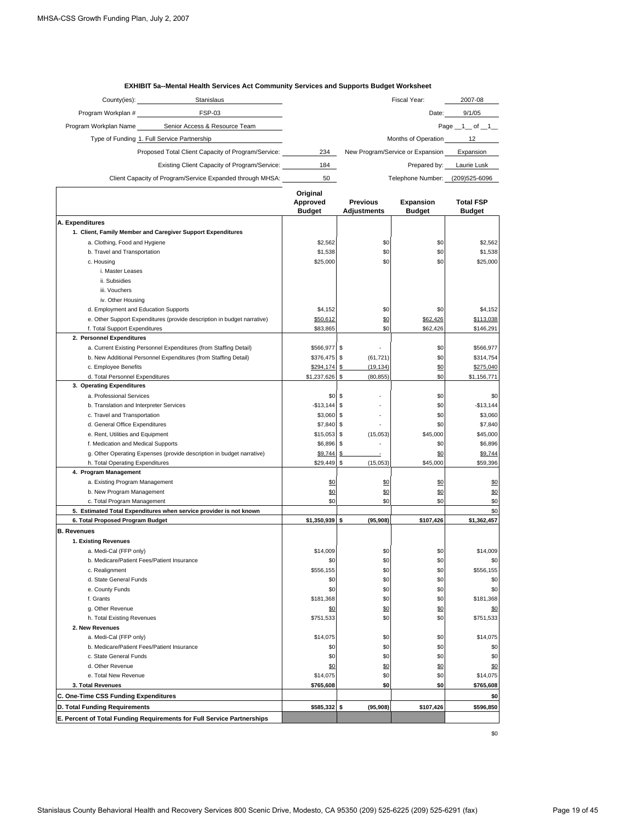| 2007-08             |
|---------------------|
| 9/1/05              |
| Page $\_1$ of $\_1$ |
| 12                  |
| Expansion           |
| Laurie Lusk         |
| (209)525-6096       |
|                     |

**EXHIBIT 5a--Mental Health Services Act Community Services and Supports Budget Worksheet**

|                                                                         | Original<br>Approved<br><b>Budget</b> | <b>Previous</b><br><b>Adjustments</b> | Expansion<br><b>Budget</b> | <b>Total FSP</b><br><b>Budget</b> |
|-------------------------------------------------------------------------|---------------------------------------|---------------------------------------|----------------------------|-----------------------------------|
| A. Expenditures                                                         |                                       |                                       |                            |                                   |
| 1. Client, Family Member and Caregiver Support Expenditures             |                                       |                                       |                            |                                   |
| a. Clothing, Food and Hygiene                                           | \$2,562                               | \$0                                   | \$0                        | \$2,562                           |
| b. Travel and Transportation                                            | \$1,538                               | \$0                                   | \$0                        | \$1,538                           |
| c. Housing                                                              | \$25,000                              | \$0                                   | \$0                        | \$25,000                          |
| i. Master Leases                                                        |                                       |                                       |                            |                                   |
| ii. Subsidies                                                           |                                       |                                       |                            |                                   |
| iii. Vouchers                                                           |                                       |                                       |                            |                                   |
| iv. Other Housing                                                       |                                       |                                       |                            |                                   |
| d. Employment and Education Supports                                    | \$4,152                               | \$0                                   | \$0                        | \$4,152                           |
| e. Other Support Expenditures (provide description in budget narrative) | \$50,612                              | \$0                                   | \$62,426                   | \$113,038                         |
| f. Total Support Expenditures                                           | \$83,865                              | \$0                                   | \$62,426                   | \$146,291                         |
| 2. Personnel Expenditures                                               |                                       |                                       |                            |                                   |
| a. Current Existing Personnel Expenditures (from Staffing Detail)       | \$566,977                             | \$                                    | \$0                        | \$566,977                         |
| b. New Additional Personnel Expenditures (from Staffing Detail)         | \$376,475                             | (61, 721)<br>\$                       | \$0                        | \$314,754                         |
| c. Employee Benefits                                                    | \$294,174                             | \$<br>(19, 134)                       | \$0                        | \$275,040                         |
| d. Total Personnel Expenditures                                         | \$1,237,626                           | \$<br>(80, 855)                       | \$0                        | \$1,156,771                       |
| 3. Operating Expenditures                                               |                                       |                                       |                            |                                   |
| a. Professional Services                                                | \$0                                   | \$                                    | \$0                        | \$0                               |
| b. Translation and Interpreter Services                                 | $-$13,144$                            | \$                                    | \$0                        | $-$13,144$                        |
| c. Travel and Transportation                                            | \$3,060                               | \$                                    | \$0                        | \$3,060                           |
| d. General Office Expenditures                                          | \$7,840                               | \$                                    | \$0                        | \$7,840                           |
| e. Rent, Utilities and Equipment                                        | \$15,053                              | \$<br>(15,053)                        | \$45,000                   | \$45,000                          |
| f. Medication and Medical Supports                                      | \$6,896                               | $\mathsf{\$}$                         | \$0                        | \$6,896                           |
| g. Other Operating Expenses (provide description in budget narrative)   | \$9,744                               | \$                                    | \$0                        | \$9,744                           |
| h. Total Operating Expenditures                                         | \$29,449                              | \$<br>(15,053)                        | \$45,000                   | \$59,396                          |
| 4. Program Management                                                   |                                       |                                       |                            |                                   |
| a. Existing Program Management                                          | \$0                                   | \$0                                   | \$0                        | \$0                               |
| b. New Program Management                                               | \$0                                   | \$0                                   | \$0                        | \$0                               |
| c. Total Program Management                                             | \$0                                   | \$0                                   | \$0                        | \$0                               |
| 5. Estimated Total Expenditures when service provider is not known      |                                       |                                       |                            | \$0                               |
| 6. Total Proposed Program Budget                                        | \$1,350,939                           | (95, 908)<br>\$                       | \$107,426                  | \$1,362,457                       |
| <b>B. Revenues</b>                                                      |                                       |                                       |                            |                                   |
| 1. Existing Revenues                                                    |                                       |                                       |                            |                                   |
| a. Medi-Cal (FFP only)                                                  | \$14,009                              | \$0                                   | \$0                        | \$14,009                          |
| b. Medicare/Patient Fees/Patient Insurance                              | \$0                                   | \$0                                   | \$0                        | \$0                               |
| c. Realignment                                                          | \$556,155                             | \$0                                   | \$0                        | \$556,155                         |
| d. State General Funds                                                  | \$0                                   | \$0                                   | \$0                        | \$0                               |
| e. County Funds                                                         | \$0                                   | \$0                                   | \$0                        | \$0                               |
| f. Grants                                                               | \$181,368                             | \$0                                   | \$0                        | \$181,368                         |
| g. Other Revenue                                                        | \$0                                   | \$0                                   | \$0                        | \$0                               |
| h. Total Existing Revenues                                              | \$751.533                             | \$0                                   | \$0                        | \$751.533                         |
| 2. New Revenues                                                         |                                       |                                       |                            |                                   |
| a. Medi-Cal (FFP only)                                                  | \$14,075                              | \$0                                   | \$0                        | \$14,075                          |
| b. Medicare/Patient Fees/Patient Insurance                              | \$0                                   | \$0                                   | \$0                        | \$0                               |
| c. State General Funds                                                  | \$0                                   | \$0                                   | \$0                        | \$0                               |
| d. Other Revenue                                                        | \$0                                   | \$0                                   | \$0                        | \$0                               |
| e. Total New Revenue                                                    | \$14,075                              | \$0                                   | \$0                        | \$14,075                          |
| 3. Total Revenues                                                       | \$765,608                             | \$0                                   | \$0                        | \$765,608                         |
| C. One-Time CSS Funding Expenditures                                    |                                       |                                       |                            | \$0                               |
| D. Total Funding Requirements                                           | \$585,332 \$                          | (95, 908)                             | \$107,426                  | \$596,850                         |
|                                                                         |                                       |                                       |                            |                                   |
| E. Percent of Total Funding Requirements for Full Service Partnerships  |                                       |                                       |                            |                                   |

\$0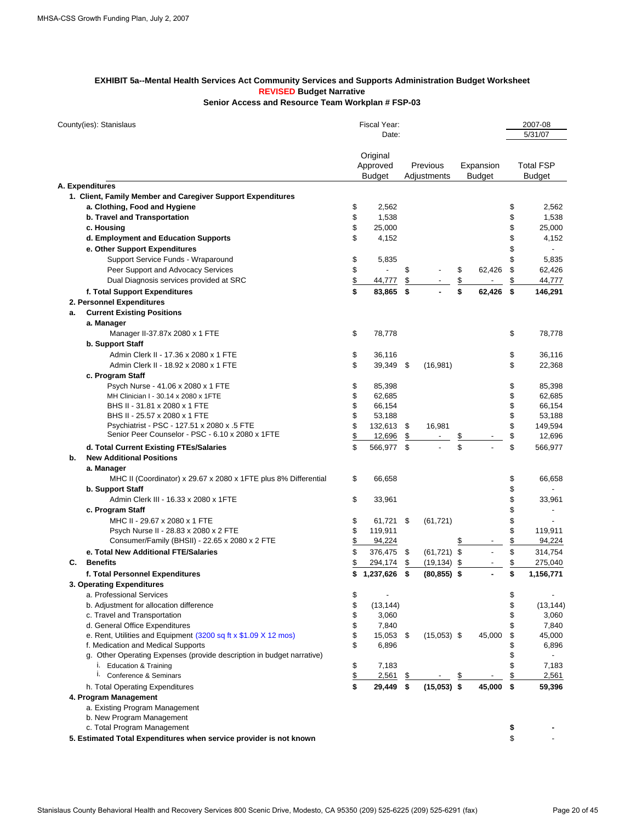#### **EXHIBIT 5a--Mental Health Services Act Community Services and Supports Administration Budget Worksheet REVISED Budget Narrative Senior Access and Resource Team Workplan # FSP-03**

| County(ies): Stanislaus                                               |               | Fiscal Year:<br>Date:                 |      |                         |                         |                            |          | 2007-08<br>5/31/07                |
|-----------------------------------------------------------------------|---------------|---------------------------------------|------|-------------------------|-------------------------|----------------------------|----------|-----------------------------------|
|                                                                       |               | Original<br>Approved<br><b>Budget</b> |      | Previous<br>Adjustments |                         | Expansion<br><b>Budget</b> |          | <b>Total FSP</b><br><b>Budget</b> |
| A. Expenditures                                                       |               |                                       |      |                         |                         |                            |          |                                   |
| 1. Client, Family Member and Caregiver Support Expenditures           |               |                                       |      |                         |                         |                            |          |                                   |
| a. Clothing, Food and Hygiene                                         | \$            | 2,562                                 |      |                         |                         |                            | \$       | 2,562                             |
| b. Travel and Transportation                                          | \$            | 1,538                                 |      |                         |                         |                            | \$       | 1,538                             |
| c. Housing                                                            | \$            | 25,000                                |      |                         |                         |                            | \$       | 25,000                            |
| d. Employment and Education Supports                                  | \$            |                                       |      |                         |                         |                            | \$       |                                   |
|                                                                       |               | 4,152                                 |      |                         |                         |                            | \$       | 4,152                             |
| e. Other Support Expenditures                                         |               |                                       |      |                         |                         |                            |          |                                   |
| Support Service Funds - Wraparound                                    | \$            | 5,835                                 |      |                         |                         |                            | \$       | 5,835                             |
| Peer Support and Advocacy Services                                    | \$            |                                       | \$   |                         | \$                      | 62,426                     | \$       | 62,426                            |
| Dual Diagnosis services provided at SRC                               | \$            | 44,777                                | \$   |                         | \$                      |                            | \$       | 44,777                            |
| f. Total Support Expenditures                                         | \$            | 83,865                                | \$   |                         | \$                      | 62,426                     | \$       | 146,291                           |
| 2. Personnel Expenditures                                             |               |                                       |      |                         |                         |                            |          |                                   |
| <b>Current Existing Positions</b><br>a.                               |               |                                       |      |                         |                         |                            |          |                                   |
| a. Manager                                                            |               |                                       |      |                         |                         |                            |          |                                   |
| Manager II-37.87x 2080 x 1 FTE                                        | \$            | 78,778                                |      |                         |                         |                            | \$       | 78,778                            |
| b. Support Staff                                                      |               |                                       |      |                         |                         |                            |          |                                   |
| Admin Clerk II - 17.36 x 2080 x 1 FTE                                 | \$            | 36,116                                |      |                         |                         |                            | \$       | 36,116                            |
| Admin Clerk II - 18.92 x 2080 x 1 FTE                                 | \$            | 39,349                                | - \$ | (16, 981)               |                         |                            | \$       | 22,368                            |
| c. Program Staff                                                      |               |                                       |      |                         |                         |                            |          |                                   |
| Psych Nurse - 41.06 x 2080 x 1 FTE                                    | \$            | 85,398                                |      |                         |                         |                            | \$       | 85,398                            |
| MH Clinician I - 30.14 x 2080 x 1FTE                                  | \$            | 62,685                                |      |                         |                         |                            | \$       | 62,685                            |
| BHS II - 31.81 x 2080 x 1 FTE                                         | \$            | 66,154                                |      |                         |                         |                            | \$       | 66,154                            |
| BHS II - 25.57 x 2080 x 1 FTE                                         | \$            | 53,188                                |      |                         |                         |                            | \$       | 53,188                            |
| Psychiatrist - PSC - 127.51 x 2080 x .5 FTE                           | \$            | 132,613                               | \$   | 16,981                  |                         |                            | \$       | 149,594                           |
| Senior Peer Counselor - PSC - 6.10 x 2080 x 1FTE                      | \$            | 12,696                                | \$   |                         | <u>\$</u>               |                            | \$       | 12,696                            |
| d. Total Current Existing FTEs/Salaries                               | \$            | 566,977                               | - \$ |                         | $\overline{\mathbf{s}}$ |                            | \$       | 566,977                           |
| <b>New Additional Positions</b><br>b.                                 |               |                                       |      |                         |                         |                            |          |                                   |
| a. Manager                                                            |               |                                       |      |                         |                         |                            |          |                                   |
|                                                                       | \$            | 66,658                                |      |                         |                         |                            |          | 66,658                            |
| MHC II (Coordinator) x 29.67 x 2080 x 1FTE plus 8% Differential       |               |                                       |      |                         |                         |                            | \$<br>\$ |                                   |
| <b>b. Support Staff</b>                                               |               |                                       |      |                         |                         |                            |          |                                   |
| Admin Clerk III - 16.33 x 2080 x 1FTE                                 | \$            | 33,961                                |      |                         |                         |                            | \$       | 33,961                            |
| c. Program Staff                                                      |               |                                       |      |                         |                         |                            | \$       |                                   |
| MHC II - 29.67 x 2080 x 1 FTE                                         | \$            | 61,721                                | -\$  | (61, 721)               |                         |                            | \$       |                                   |
| Psych Nurse II - 28.83 x 2080 x 2 FTE                                 | \$            | 119,911                               |      |                         |                         |                            | \$       | 119,911                           |
| Consumer/Family (BHSII) - 22.65 x 2080 x 2 FTE                        | \$            | 94,224                                |      |                         | \$                      |                            | \$       | 94,224                            |
| e. Total New Additional FTE/Salaries                                  | \$            | 376,475                               | \$   | $(61, 721)$ \$          |                         |                            | \$       | 314,754                           |
| <b>Benefits</b><br>C.                                                 | \$            | 294,174                               | \$   | (19, 134)               | \$                      |                            | \$       | 275,040                           |
| f. Total Personnel Expenditures                                       | \$            | 1,237,626                             | \$   | $(80, 855)$ \$          |                         |                            | \$       | 1,156,771                         |
| 3. Operating Expenditures                                             |               |                                       |      |                         |                         |                            |          |                                   |
| a. Professional Services                                              | \$            |                                       |      |                         |                         |                            | \$       |                                   |
| b. Adjustment for allocation difference                               | \$            | (13, 144)                             |      |                         |                         |                            | \$       | (13, 144)                         |
| c. Travel and Transportation                                          | \$            | 3,060                                 |      |                         |                         |                            | \$       | 3,060                             |
| d. General Office Expenditures                                        | \$            | 7,840                                 |      |                         |                         |                            | \$       | 7,840                             |
| e. Rent, Utilities and Equipment (3200 sq ft x \$1.09 X 12 mos)       | \$            | 15,053                                | \$   | $(15,053)$ \$           |                         | 45,000                     | \$       | 45,000                            |
| f. Medication and Medical Supports                                    | \$            | 6,896                                 |      |                         |                         |                            | \$       | 6,896                             |
| g. Other Operating Expenses (provide description in budget narrative) |               |                                       |      |                         |                         |                            | \$       |                                   |
| i. Education & Training                                               | \$            | 7,183                                 |      |                         |                         |                            | \$       | 7,183                             |
| Ι.<br>Conference & Seminars                                           | $\frac{1}{2}$ | 2,561                                 | \$   |                         | \$                      |                            | \$       | 2,561                             |
| h. Total Operating Expenditures                                       | \$            | 29,449                                | \$   | $(15,053)$ \$           |                         | 45,000                     | \$       | 59,396                            |
| 4. Program Management                                                 |               |                                       |      |                         |                         |                            |          |                                   |
| a. Existing Program Management                                        |               |                                       |      |                         |                         |                            |          |                                   |
| b. New Program Management                                             |               |                                       |      |                         |                         |                            |          |                                   |
| c. Total Program Management                                           |               |                                       |      |                         |                         |                            | \$       |                                   |
| 5. Estimated Total Expenditures when service provider is not known    |               |                                       |      |                         |                         |                            | \$       |                                   |
|                                                                       |               |                                       |      |                         |                         |                            |          |                                   |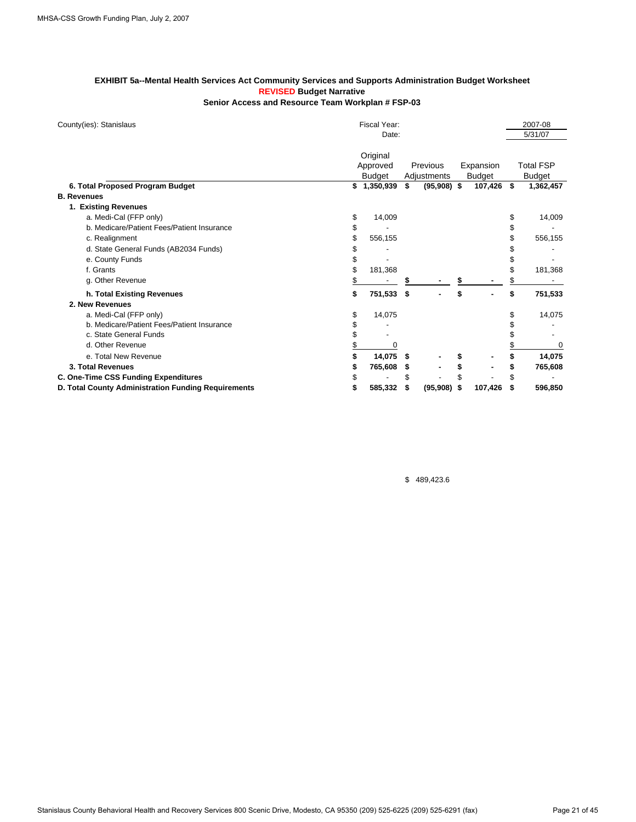#### **EXHIBIT 5a--Mental Health Services Act Community Services and Supports Administration Budget Worksheet REVISED Budget Narrative Senior Access and Resource Team Workplan # FSP-03**

| County(ies): Stanislaus                             | Fiscal Year:         |    |               |     |               | 2007-08          |
|-----------------------------------------------------|----------------------|----|---------------|-----|---------------|------------------|
|                                                     | Date:                |    |               |     |               | 5/31/07          |
|                                                     | Original<br>Approved |    | Previous      |     | Expansion     | <b>Total FSP</b> |
|                                                     | <b>Budget</b>        |    | Adjustments   |     | <b>Budget</b> | Budget           |
| 6. Total Proposed Program Budget                    | \$<br>1,350,939      | \$ | $(95,908)$ \$ |     | 107,426 \$    | 1,362,457        |
| <b>B.</b> Revenues                                  |                      |    |               |     |               |                  |
| 1. Existing Revenues                                |                      |    |               |     |               |                  |
| a. Medi-Cal (FFP only)                              | \$<br>14,009         |    |               |     |               | \$<br>14,009     |
| b. Medicare/Patient Fees/Patient Insurance          | \$                   |    |               |     |               | \$               |
| c. Realignment                                      | 556,155              |    |               |     |               | 556,155          |
| d. State General Funds (AB2034 Funds)               |                      |    |               |     |               |                  |
| e. County Funds                                     |                      |    |               |     |               |                  |
| f. Grants                                           | 181,368              |    |               |     |               | 181,368          |
| g. Other Revenue                                    |                      |    |               |     |               |                  |
| h. Total Existing Revenues                          | 751,533              | \$ |               | \$  |               | \$<br>751,533    |
| 2. New Revenues                                     |                      |    |               |     |               |                  |
| a. Medi-Cal (FFP only)                              | \$<br>14,075         |    |               |     |               | 14,075           |
| b. Medicare/Patient Fees/Patient Insurance          |                      |    |               |     |               |                  |
| c. State General Funds                              |                      |    |               |     |               |                  |
| d. Other Revenue                                    | 0                    |    |               |     |               | $\Omega$         |
| e. Total New Revenue                                | 14,075               | \$ |               |     |               | 14,075           |
| 3. Total Revenues                                   | 765,608              | S  |               |     |               | 765,608          |
| C. One-Time CSS Funding Expenditures                |                      | \$ |               |     |               |                  |
| D. Total County Administration Funding Requirements | 585,332              | S  | (95,908)      | -\$ | 107,426       | \$<br>596,850    |

\$ 489,423.6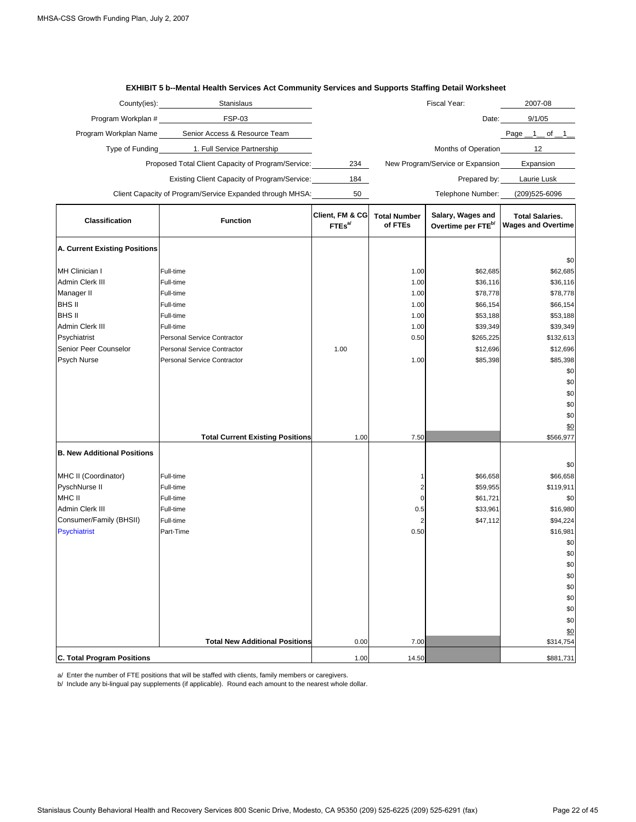|                                                                                                                                                                                      | County(ies):<br>Stanislaus                                                                                                                                                                                         |                                       |                                                                      | Fiscal Year:                                                                                              | 2007-08                                                                                                                                                                 |
|--------------------------------------------------------------------------------------------------------------------------------------------------------------------------------------|--------------------------------------------------------------------------------------------------------------------------------------------------------------------------------------------------------------------|---------------------------------------|----------------------------------------------------------------------|-----------------------------------------------------------------------------------------------------------|-------------------------------------------------------------------------------------------------------------------------------------------------------------------------|
| Program Workplan #                                                                                                                                                                   | <b>FSP-03</b>                                                                                                                                                                                                      |                                       |                                                                      | Date:                                                                                                     | 9/1/05                                                                                                                                                                  |
| Program Workplan Name                                                                                                                                                                | Senior Access & Resource Team                                                                                                                                                                                      |                                       |                                                                      |                                                                                                           | Page $\_1$ of $\_1$                                                                                                                                                     |
| Type of Funding                                                                                                                                                                      | 1. Full Service Partnership                                                                                                                                                                                        |                                       |                                                                      | Months of Operation                                                                                       | 12                                                                                                                                                                      |
|                                                                                                                                                                                      | Proposed Total Client Capacity of Program/Service:                                                                                                                                                                 | 234                                   |                                                                      | New Program/Service or Expansion                                                                          | Expansion                                                                                                                                                               |
|                                                                                                                                                                                      | Existing Client Capacity of Program/Service:                                                                                                                                                                       | 184                                   |                                                                      | Prepared by:                                                                                              | Laurie Lusk                                                                                                                                                             |
|                                                                                                                                                                                      | Client Capacity of Program/Service Expanded through MHSA:                                                                                                                                                          | 50                                    |                                                                      | Telephone Number:                                                                                         | (209) 525-6096                                                                                                                                                          |
| <b>Classification</b>                                                                                                                                                                | <b>Function</b>                                                                                                                                                                                                    | Client, FM & CG<br>FTEs <sup>al</sup> | <b>Total Number</b><br>of FTEs                                       | Salary, Wages and<br>Overtime per FTE <sup>b/</sup>                                                       | <b>Total Salaries.</b><br><b>Wages and Overtime</b>                                                                                                                     |
| A. Current Existing Positions                                                                                                                                                        |                                                                                                                                                                                                                    |                                       |                                                                      |                                                                                                           | \$0                                                                                                                                                                     |
| MH Clinician I<br>Admin Clerk III<br>Manager II<br>BHS II<br>BHS II<br>Admin Clerk III<br>Psychiatrist<br>Senior Peer Counselor<br>Psych Nurse<br><b>B. New Additional Positions</b> | Full-time<br>Full-time<br>Full-time<br>Full-time<br>Full-time<br>Full-time<br>Personal Service Contractor<br>Personal Service Contractor<br>Personal Service Contractor<br><b>Total Current Existing Positions</b> | 1.00<br>1.00                          | 1.00<br>1.00<br>1.00<br>1.00<br>1.00<br>1.00<br>0.50<br>1.00<br>7.50 | \$62,685<br>\$36,116<br>\$78,778<br>\$66,154<br>\$53,188<br>\$39,349<br>\$265,225<br>\$12,696<br>\$85,398 | \$62,685<br>\$36,116<br>\$78,778<br>\$66,154<br>\$53,188<br>\$39,349<br>\$132,613<br>\$12,696<br>\$85,398<br>\$0<br>\$0<br>\$0<br>\$0<br>\$0<br>\$0<br>\$566,977<br>\$0 |
| MHC II (Coordinator)<br>PyschNurse II<br>MHC II<br>Admin Clerk III<br>Consumer/Family (BHSII)<br><b>Psychiatrist</b>                                                                 | Full-time<br>Full-time<br>Full-time<br>Full-time<br>Full-time<br>Part-Time<br><b>Total New Additional Positions</b>                                                                                                | 0.00                                  | 1<br>2<br>0<br>0.5<br>2<br>0.50<br>7.00                              | \$66,658<br>\$59,955<br>\$61,721<br>\$33,961<br>\$47,112                                                  | \$66,658<br>\$119,911<br>\$0<br>\$16,980<br>\$94,224<br>\$16,981<br>\$0<br>\$0<br>\$0<br>\$0<br>\$0<br>\$0<br>\$0<br>\$0<br>\$0<br>\$314,754                            |
| <b>C. Total Program Positions</b>                                                                                                                                                    |                                                                                                                                                                                                                    | 1.00                                  | 14.50                                                                |                                                                                                           | \$881,731                                                                                                                                                               |

#### **EXHIBIT 5 b--Mental Health Services Act Community Services and Supports Staffing Detail Worksheet**

a/ Enter the number of FTE positions that will be staffed with clients, family members or caregivers.

b/ Include any bi-lingual pay supplements (if applicable). Round each amount to the nearest whole dollar.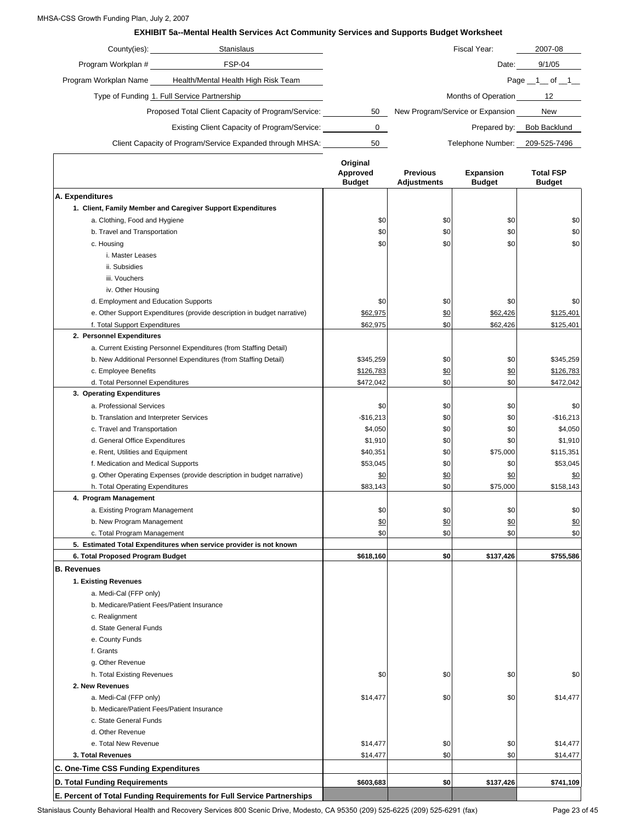#### MHSA-CSS Growth Funding Plan, July 2, 2007

#### **EXHIBIT 5a--Mental Health Services Act Community Services and Supports Budget Worksheet**

| County(ies):          | Stanislaus                                                |    | Fiscal Year:                     | 2007-08           |
|-----------------------|-----------------------------------------------------------|----|----------------------------------|-------------------|
| Program Workplan #    | FSP-04                                                    |    | Date:                            | 9/1/05            |
| Program Workplan Name | Health/Mental Health High Risk Team                       |    |                                  | Page $-1$ of $-1$ |
|                       | Type of Funding 1. Full Service Partnership               |    | Months of Operation              | 12                |
|                       | Proposed Total Client Capacity of Program/Service:        | 50 | New Program/Service or Expansion | <b>New</b>        |
|                       | Existing Client Capacity of Program/Service:              |    | Prepared by:                     | Bob Backlund      |
|                       | Client Capacity of Program/Service Expanded through MHSA: | 50 | Telephone Number:                | 209-525-7496      |
|                       |                                                           |    |                                  |                   |

|                                                                         | Original<br>Approved<br><b>Budget</b> | <b>Previous</b><br>Adjustments | Expansion<br><b>Budget</b> | <b>Total FSP</b><br><b>Budget</b> |
|-------------------------------------------------------------------------|---------------------------------------|--------------------------------|----------------------------|-----------------------------------|
| A. Expenditures                                                         |                                       |                                |                            |                                   |
| 1. Client, Family Member and Caregiver Support Expenditures             |                                       |                                |                            |                                   |
| a. Clothing, Food and Hygiene                                           | \$0                                   | \$0                            | \$0                        | \$0                               |
| b. Travel and Transportation                                            | \$0                                   | \$0                            | \$0                        | \$0                               |
| c. Housing                                                              | \$0                                   | \$0                            | \$0                        | \$0                               |
| i. Master Leases                                                        |                                       |                                |                            |                                   |
| ii. Subsidies                                                           |                                       |                                |                            |                                   |
| iii. Vouchers                                                           |                                       |                                |                            |                                   |
| iv. Other Housing                                                       |                                       |                                |                            |                                   |
| d. Employment and Education Supports                                    | \$0                                   | \$0                            | \$0                        | \$0                               |
| e. Other Support Expenditures (provide description in budget narrative) | \$62,975                              | \$0                            | \$62,426                   | \$125,401                         |
| f. Total Support Expenditures                                           | \$62,975                              | \$0                            | \$62,426                   | \$125,401                         |
| 2. Personnel Expenditures                                               |                                       |                                |                            |                                   |
| a. Current Existing Personnel Expenditures (from Staffing Detail)       |                                       |                                |                            |                                   |
| b. New Additional Personnel Expenditures (from Staffing Detail)         | \$345,259                             | \$0                            | \$0                        | \$345,259                         |
| c. Employee Benefits                                                    | \$126,783                             | \$0                            | \$0                        | \$126,783                         |
| d. Total Personnel Expenditures                                         | \$472,042                             | \$0                            | \$0                        | \$472,042                         |
| 3. Operating Expenditures                                               |                                       |                                |                            |                                   |
| a. Professional Services                                                |                                       |                                |                            |                                   |
|                                                                         | \$0                                   | \$0                            | \$0<br>\$0                 | \$0                               |
| b. Translation and Interpreter Services                                 | $-$16,213$                            | \$0                            | \$0                        | $-$16,213$                        |
| c. Travel and Transportation                                            | \$4,050                               | \$0                            |                            | \$4,050                           |
| d. General Office Expenditures                                          | \$1,910                               | \$0                            | \$0                        | \$1,910                           |
| e. Rent, Utilities and Equipment                                        | \$40,351                              | \$0                            | \$75,000                   | \$115,351                         |
| f. Medication and Medical Supports                                      | \$53,045                              | \$0                            | \$0                        | \$53,045                          |
| g. Other Operating Expenses (provide description in budget narrative)   | \$0                                   | \$0                            | \$0                        | \$0                               |
| h. Total Operating Expenditures                                         | \$83,143                              | \$0                            | \$75,000                   | \$158,143                         |
| 4. Program Management                                                   |                                       |                                |                            |                                   |
| a. Existing Program Management                                          | \$0                                   | \$0                            | \$0                        | \$0                               |
| b. New Program Management                                               | \$0                                   | \$0                            | \$0                        | \$0                               |
| c. Total Program Management                                             | \$0                                   | \$0                            | \$0                        | \$0                               |
| 5. Estimated Total Expenditures when service provider is not known      |                                       |                                |                            |                                   |
| 6. Total Proposed Program Budget                                        | \$618,160                             | \$0                            | \$137,426                  | \$755,586                         |
| <b>B.</b> Revenues                                                      |                                       |                                |                            |                                   |
| 1. Existing Revenues                                                    |                                       |                                |                            |                                   |
| a. Medi-Cal (FFP only)                                                  |                                       |                                |                            |                                   |
| b. Medicare/Patient Fees/Patient Insurance                              |                                       |                                |                            |                                   |
| c. Realignment                                                          |                                       |                                |                            |                                   |
| d. State General Funds                                                  |                                       |                                |                            |                                   |
| e. County Funds                                                         |                                       |                                |                            |                                   |
| f. Grants                                                               |                                       |                                |                            |                                   |
| g. Other Revenue                                                        |                                       |                                |                            |                                   |
| h. Total Existing Revenues                                              | \$0                                   | \$0                            | \$0                        | \$0                               |
| 2. New Revenues                                                         |                                       |                                |                            |                                   |
| a. Medi-Cal (FFP only)                                                  | \$14,477                              | \$0                            | \$0                        | \$14,477                          |
| b. Medicare/Patient Fees/Patient Insurance                              |                                       |                                |                            |                                   |
| c. State General Funds                                                  |                                       |                                |                            |                                   |
| d. Other Revenue                                                        |                                       |                                |                            |                                   |
| e. Total New Revenue                                                    | \$14,477                              | \$0                            | \$0                        | \$14,477                          |
| 3. Total Revenues                                                       | \$14,477                              | \$0                            | \$0                        | \$14,477                          |
| C. One-Time CSS Funding Expenditures                                    |                                       |                                |                            |                                   |
| D. Total Funding Requirements                                           | \$603,683                             | \$0                            | \$137,426                  | \$741,109                         |
| E. Percent of Total Funding Requirements for Full Service Partnerships  |                                       |                                |                            |                                   |

Stanislaus County Behavioral Health and Recovery Services 800 Scenic Drive, Modesto, CA 95350 (209) 525-6225 (209) 525-6291 (fax) Page 23 of 45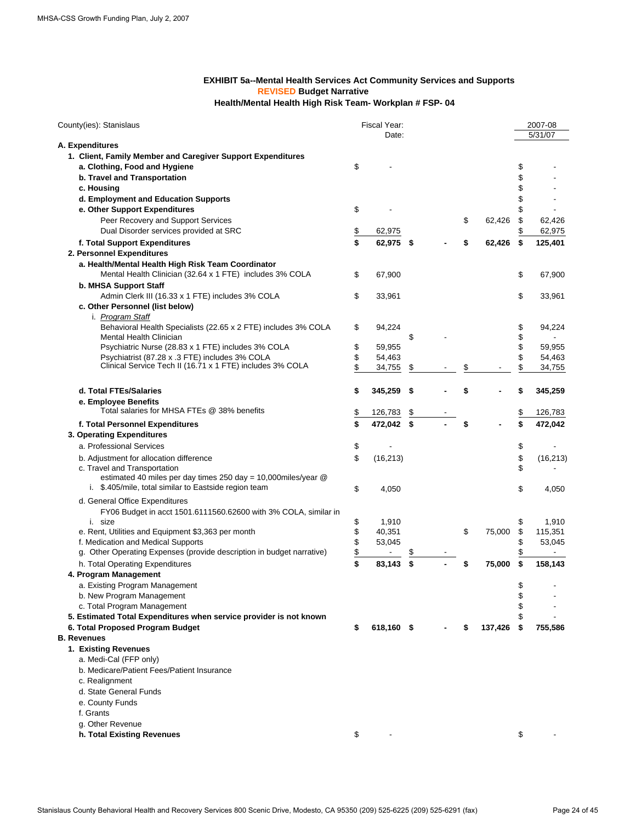#### **REVISED Budget Narrative Health/Mental Health High Risk Team- Workplan # FSP- 04 EXHIBIT 5a--Mental Health Services Act Community Services and Supports**

| County(ies): Stanislaus                                               | Fiscal Year:<br>Date: |     |    |         |      | 2007-08<br>5/31/07 |
|-----------------------------------------------------------------------|-----------------------|-----|----|---------|------|--------------------|
| A. Expenditures                                                       |                       |     |    |         |      |                    |
| 1. Client, Family Member and Caregiver Support Expenditures           |                       |     |    |         |      |                    |
| a. Clothing, Food and Hygiene                                         | \$                    |     |    |         | \$   |                    |
| b. Travel and Transportation                                          |                       |     |    |         | \$   |                    |
| c. Housing                                                            |                       |     |    |         | \$   |                    |
| d. Employment and Education Supports                                  |                       |     |    |         | \$   |                    |
| e. Other Support Expenditures                                         | \$                    |     |    |         | \$   |                    |
| Peer Recovery and Support Services                                    |                       |     | \$ | 62.426  | \$   | 62,426             |
| Dual Disorder services provided at SRC                                | 62,975                |     |    |         | \$   | 62,975             |
|                                                                       | \$                    |     |    |         |      |                    |
| f. Total Support Expenditures                                         | \$<br>62,975 \$       |     | \$ | 62,426  | \$   | 125,401            |
| 2. Personnel Expenditures                                             |                       |     |    |         |      |                    |
| a. Health/Mental Health High Risk Team Coordinator                    |                       |     |    |         |      |                    |
| Mental Health Clinician (32.64 x 1 FTE) includes 3% COLA              | \$<br>67,900          |     |    |         | \$   | 67,900             |
| b. MHSA Support Staff                                                 |                       |     |    |         |      |                    |
| Admin Clerk III (16.33 x 1 FTE) includes 3% COLA                      | \$<br>33,961          |     |    |         | \$   | 33,961             |
| c. Other Personnel (list below)                                       |                       |     |    |         |      |                    |
| i. Program Staff                                                      |                       |     |    |         |      |                    |
| Behavioral Health Specialists (22.65 x 2 FTE) includes 3% COLA        | \$<br>94,224          |     |    |         | \$   | 94,224             |
| <b>Mental Health Clinician</b>                                        |                       | \$  |    |         | \$   |                    |
| Psychiatric Nurse (28.83 x 1 FTE) includes 3% COLA                    | \$<br>59,955          |     |    |         | \$   | 59,955             |
| Psychiatrist (87.28 x .3 FTE) includes 3% COLA                        | \$<br>54,463          |     |    |         | \$   | 54,463             |
| Clinical Service Tech II (16.71 x 1 FTE) includes 3% COLA             | \$<br>34,755          | \$  | \$ |         | \$   | 34,755             |
|                                                                       |                       |     |    |         |      |                    |
| d. Total FTEs/Salaries                                                | \$<br>345,259         | -\$ | \$ |         | \$   | 345,259            |
| e. Employee Benefits                                                  |                       |     |    |         |      |                    |
| Total salaries for MHSA FTEs @ 38% benefits                           |                       |     |    |         |      |                    |
|                                                                       | \$<br>126,783         | \$  |    |         | \$   | 126,783            |
| f. Total Personnel Expenditures                                       | \$<br>472,042 \$      |     | \$ |         | \$   | 472,042            |
| 3. Operating Expenditures                                             |                       |     |    |         |      |                    |
| a. Professional Services                                              | \$                    |     |    |         | \$   |                    |
| b. Adjustment for allocation difference                               | \$<br>(16, 213)       |     |    |         | \$   | (16, 213)          |
| c. Travel and Transportation                                          |                       |     |    |         | \$   |                    |
| estimated 40 miles per day times 250 day = 10,000miles/year @         |                       |     |    |         |      |                    |
| i. \$.405/mile, total similar to Eastside region team                 | \$<br>4,050           |     |    |         | \$   | 4,050              |
| d. General Office Expenditures                                        |                       |     |    |         |      |                    |
| FY06 Budget in acct 1501.6111560.62600 with 3% COLA, similar in       |                       |     |    |         |      |                    |
| i. size                                                               | \$<br>1,910           |     |    |         | \$   | 1,910              |
| e. Rent, Utilities and Equipment \$3,363 per month                    | \$<br>40,351          |     | \$ | 75,000  | \$   | 115,351            |
| f. Medication and Medical Supports                                    | \$<br>53,045          |     |    |         | \$   | 53,045             |
| g. Other Operating Expenses (provide description in budget narrative) | \$                    |     |    |         | \$   |                    |
| h. Total Operating Expenditures                                       | \$<br>83,143          | \$  |    | 75,000  | \$   | 158,143            |
| 4. Program Management                                                 |                       |     |    |         |      |                    |
|                                                                       |                       |     |    |         |      |                    |
| a. Existing Program Management                                        |                       |     |    |         | \$   |                    |
| b. New Program Management                                             |                       |     |    |         | \$   |                    |
| c. Total Program Management                                           |                       |     |    |         |      |                    |
| 5. Estimated Total Expenditures when service provider is not known    |                       |     |    |         | \$   |                    |
| 6. Total Proposed Program Budget                                      | \$<br>618,160 \$      |     |    | 137,426 | - \$ | 755,586            |
| <b>B.</b> Revenues                                                    |                       |     |    |         |      |                    |
| 1. Existing Revenues                                                  |                       |     |    |         |      |                    |
| a. Medi-Cal (FFP only)                                                |                       |     |    |         |      |                    |
| b. Medicare/Patient Fees/Patient Insurance                            |                       |     |    |         |      |                    |
| c. Realignment                                                        |                       |     |    |         |      |                    |
| d. State General Funds                                                |                       |     |    |         |      |                    |
| e. County Funds                                                       |                       |     |    |         |      |                    |
| f. Grants                                                             |                       |     |    |         |      |                    |
| g. Other Revenue                                                      |                       |     |    |         |      |                    |
| h. Total Existing Revenues                                            | \$                    |     |    |         | \$   |                    |
|                                                                       |                       |     |    |         |      |                    |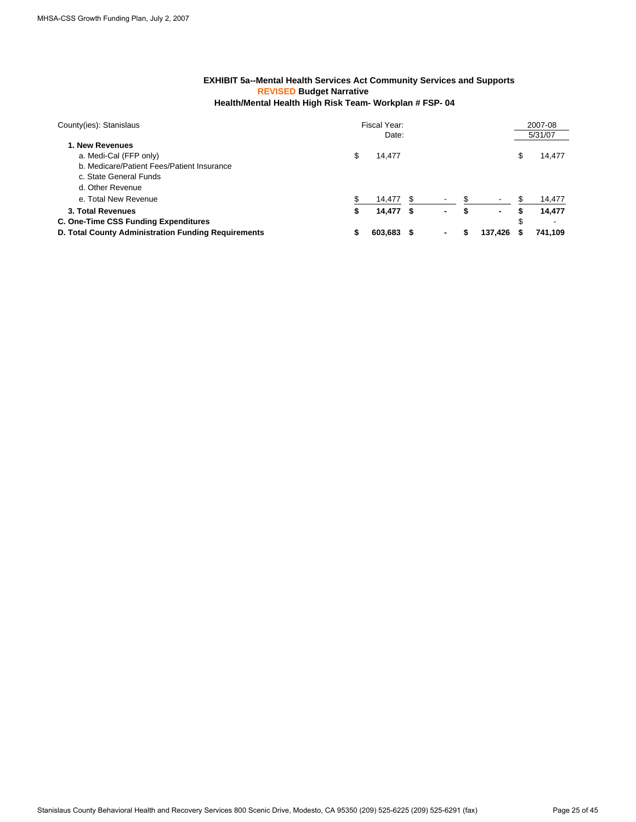#### **REVISED Budget Narrative Health/Mental Health High Risk Team- Workplan # FSP- 04 EXHIBIT 5a--Mental Health Services Act Community Services and Supports**

| County(ies): Stanislaus                             | Fiscal Year: |         |     |                |  |         | 2007-08 |         |  |
|-----------------------------------------------------|--------------|---------|-----|----------------|--|---------|---------|---------|--|
|                                                     |              | Date:   |     |                |  |         |         | 5/31/07 |  |
| 1. New Revenues                                     |              |         |     |                |  |         |         |         |  |
| a. Medi-Cal (FFP only)                              | \$           | 14.477  |     |                |  |         | \$      | 14,477  |  |
| b. Medicare/Patient Fees/Patient Insurance          |              |         |     |                |  |         |         |         |  |
| c. State General Funds                              |              |         |     |                |  |         |         |         |  |
| d. Other Revenue                                    |              |         |     |                |  |         |         |         |  |
| e. Total New Revenue                                |              | 14.477  |     |                |  |         |         | 14,477  |  |
| 3. Total Revenues                                   | S            | 14,477  | - 5 | $\blacksquare$ |  | $\sim$  | S       | 14,477  |  |
| C. One-Time CSS Funding Expenditures                |              |         |     |                |  |         | \$      |         |  |
| D. Total County Administration Funding Requirements |              | 603,683 |     |                |  | 137.426 |         | 741,109 |  |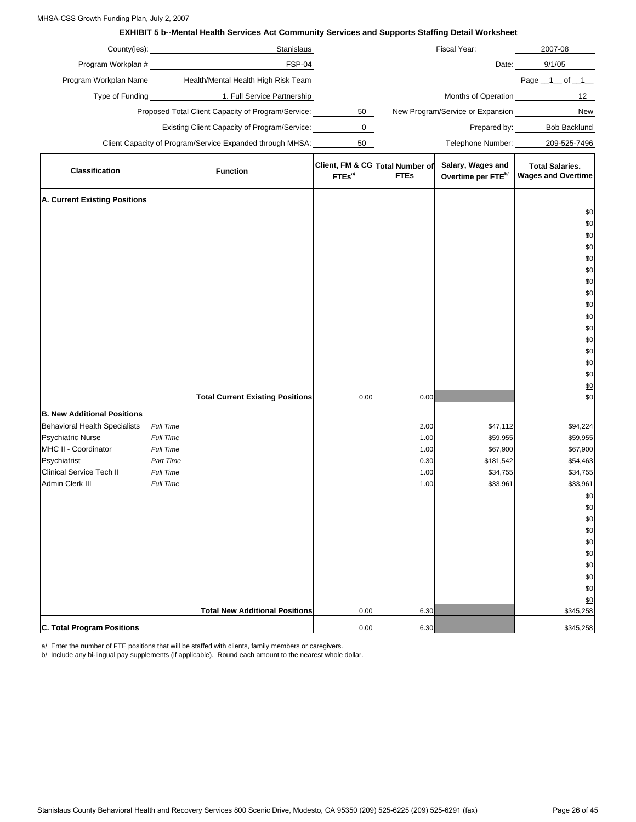#### MHSA-CSS Growth Funding Plan, July 2, 2007

#### **EXHIBIT 5 b--Mental Health Services Act Community Services and Supports Staffing Detail Worksheet**

| 2007-08             | Fiscal Year:                     |    | Stanislaus                                                | County(ies):          |
|---------------------|----------------------------------|----|-----------------------------------------------------------|-----------------------|
| 9/1/05              | Date:                            |    | FSP-04                                                    | Program Workplan #    |
| Page 1<br>of 1      |                                  |    | Health/Mental Health High Risk Team                       | Program Workplan Name |
| 12                  | Months of Operation              |    | 1. Full Service Partnership                               | Type of Funding       |
| <b>New</b>          | New Program/Service or Expansion | 50 | Proposed Total Client Capacity of Program/Service:        |                       |
| <b>Bob Backlund</b> | Prepared by:                     |    | Existing Client Capacity of Program/Service:              |                       |
| 209-525-7496        | Telephone Number:                | 50 | Client Capacity of Program/Service Expanded through MHSA: |                       |
|                     |                                  |    |                                                           |                       |

| Classification                       | <b>Function</b>                         | FTEs <sup>al</sup> | Client, FM & CG Total Number of<br><b>FTEs</b> | Salary, Wages and<br>Overtime per FTE <sup>b/</sup> | <b>Total Salaries.</b><br><b>Wages and Overtime</b> |
|--------------------------------------|-----------------------------------------|--------------------|------------------------------------------------|-----------------------------------------------------|-----------------------------------------------------|
| A. Current Existing Positions        |                                         |                    |                                                |                                                     |                                                     |
|                                      |                                         |                    |                                                |                                                     | \$0                                                 |
|                                      |                                         |                    |                                                |                                                     | \$0                                                 |
|                                      |                                         |                    |                                                |                                                     | \$0                                                 |
|                                      |                                         |                    |                                                |                                                     | \$0                                                 |
|                                      |                                         |                    |                                                |                                                     | \$0                                                 |
|                                      |                                         |                    |                                                |                                                     | \$0                                                 |
|                                      |                                         |                    |                                                |                                                     | \$0                                                 |
|                                      |                                         |                    |                                                |                                                     | \$0                                                 |
|                                      |                                         |                    |                                                |                                                     | $$0$$                                               |
|                                      |                                         |                    |                                                |                                                     | \$0                                                 |
|                                      |                                         |                    |                                                |                                                     | \$0<br>$$0$$                                        |
|                                      |                                         |                    |                                                |                                                     | $$0$$                                               |
|                                      |                                         |                    |                                                |                                                     | \$0                                                 |
|                                      |                                         |                    |                                                |                                                     | \$0                                                 |
|                                      |                                         |                    |                                                |                                                     | \$0                                                 |
|                                      | <b>Total Current Existing Positions</b> | 0.00               | 0.00                                           |                                                     | \$0                                                 |
| <b>B. New Additional Positions</b>   |                                         |                    |                                                |                                                     |                                                     |
| <b>Behavioral Health Specialists</b> | Full Time                               |                    | 2.00                                           | \$47,112                                            | \$94,224                                            |
| <b>Psychiatric Nurse</b>             | Full Time                               |                    | 1.00                                           | \$59,955                                            | \$59,955                                            |
| MHC II - Coordinator                 | Full Time                               |                    | 1.00                                           | \$67,900                                            | \$67,900                                            |
| Psychiatrist                         | Part Time                               |                    | 0.30                                           | \$181,542                                           | \$54,463                                            |
| <b>Clinical Service Tech II</b>      | Full Time                               |                    | 1.00                                           | \$34,755                                            | \$34,755                                            |
| Admin Clerk III                      | Full Time                               |                    | 1.00                                           | \$33,961                                            | \$33,961                                            |
|                                      |                                         |                    |                                                |                                                     | \$0                                                 |
|                                      |                                         |                    |                                                |                                                     | \$0                                                 |
|                                      |                                         |                    |                                                |                                                     | $$0$$                                               |
|                                      |                                         |                    |                                                |                                                     | \$0                                                 |
|                                      |                                         |                    |                                                |                                                     | \$0<br>\$0                                          |
|                                      |                                         |                    |                                                |                                                     | \$0                                                 |
|                                      |                                         |                    |                                                |                                                     | $\$0$                                               |
|                                      |                                         |                    |                                                |                                                     | \$0                                                 |
|                                      |                                         |                    |                                                |                                                     | \$0                                                 |
|                                      | <b>Total New Additional Positions</b>   | 0.00               | 6.30                                           |                                                     | \$345,258                                           |
| C. Total Program Positions           |                                         | 0.00               | 6.30                                           |                                                     | \$345,258                                           |

a/ Enter the number of FTE positions that will be staffed with clients, family members or caregivers.

b/ Include any bi-lingual pay supplements (if applicable). Round each amount to the nearest whole dollar.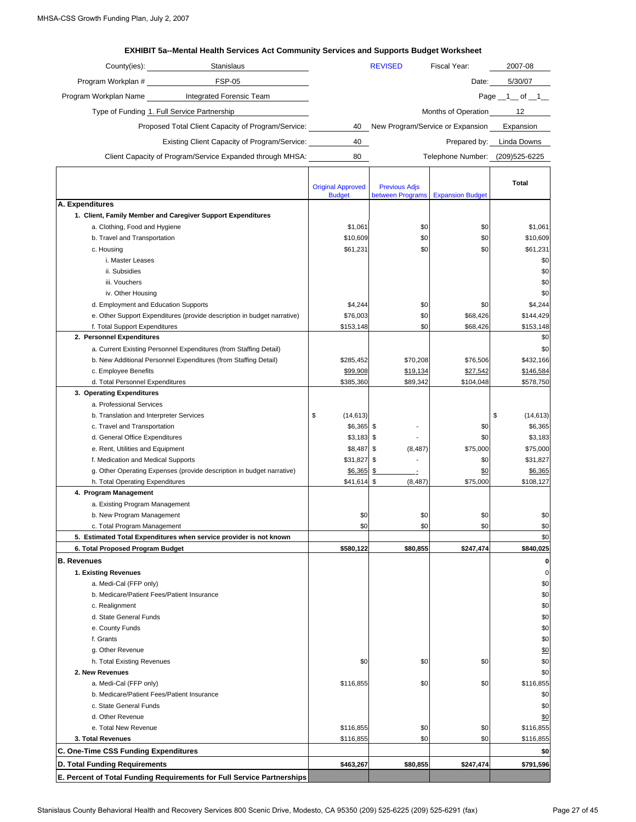#### **EXHIBIT 5a--Mental Health Services Act Community Services and Supports Budget Worksheet**

| County(ies):                                       | <b>Stanislaus</b>                                         |    | <b>REVISED</b>                   | Fiscal Year:                    | 2007-08             |
|----------------------------------------------------|-----------------------------------------------------------|----|----------------------------------|---------------------------------|---------------------|
| Program Workplan #                                 | <b>FSP-05</b>                                             |    |                                  | Date:                           | 5/30/07             |
| Program Workplan Name                              | Integrated Forensic Team                                  |    |                                  |                                 | Page $\_1$ of $\_1$ |
| Type of Funding 1. Full Service Partnership        |                                                           |    | Months of Operation              | 12                              |                     |
| Proposed Total Client Capacity of Program/Service: | 40                                                        |    | New Program/Service or Expansion | Expansion                       |                     |
|                                                    | Existing Client Capacity of Program/Service:              | 40 |                                  | Prepared by:                    | Linda Downs         |
|                                                    | Client Capacity of Program/Service Expanded through MHSA: | 80 |                                  | Telephone Number: (209)525-6225 |                     |

|                                                                         |                                           |                                          |                         | <b>Total</b>    |
|-------------------------------------------------------------------------|-------------------------------------------|------------------------------------------|-------------------------|-----------------|
|                                                                         | <b>Original Approved</b><br><b>Budget</b> | <b>Previous Adjs</b><br>between Programs | <b>Expansion Budget</b> |                 |
| A. Expenditures                                                         |                                           |                                          |                         |                 |
| 1. Client, Family Member and Caregiver Support Expenditures             |                                           |                                          |                         |                 |
| a. Clothing, Food and Hygiene                                           | \$1,061                                   | \$0                                      | \$0                     | \$1,061         |
| b. Travel and Transportation                                            | \$10,609                                  | \$0                                      | \$0                     | \$10,609        |
| c. Housing                                                              | \$61,231                                  | \$0                                      | \$0                     | \$61,231        |
| i. Master Leases                                                        |                                           |                                          |                         | \$0             |
| ii. Subsidies                                                           |                                           |                                          |                         | \$0             |
| iii. Vouchers                                                           |                                           |                                          |                         | \$0             |
| iv. Other Housing                                                       |                                           |                                          |                         | \$0             |
| d. Employment and Education Supports                                    | \$4,244                                   | \$0                                      | \$0                     | \$4,244         |
| e. Other Support Expenditures (provide description in budget narrative) | \$76,003                                  | \$0                                      | \$68,426                | \$144,429       |
| f. Total Support Expenditures                                           | \$153,148                                 | \$0                                      | \$68,426                | \$153,148       |
| 2. Personnel Expenditures                                               |                                           |                                          |                         | \$0             |
| a. Current Existing Personnel Expenditures (from Staffing Detail)       |                                           |                                          |                         | \$0             |
| b. New Additional Personnel Expenditures (from Staffing Detail)         | \$285,452                                 | \$70,208                                 | \$76,506                | \$432,166       |
| c. Employee Benefits                                                    | \$99,908                                  | \$19,134                                 | \$27,542                | \$146,584       |
| d. Total Personnel Expenditures                                         | \$385.360                                 | \$89,342                                 | \$104,048               | \$578,750       |
| 3. Operating Expenditures                                               |                                           |                                          |                         |                 |
| a. Professional Services                                                |                                           |                                          |                         |                 |
| b. Translation and Interpreter Services                                 | \$<br>(14, 613)                           |                                          |                         | \$<br>(14, 613) |
| c. Travel and Transportation                                            | $$6,365$ \$                               |                                          | \$0                     | \$6,365         |
| d. General Office Expenditures                                          | $$3,183$ \$                               |                                          | \$0                     | \$3,183         |
| e. Rent, Utilities and Equipment                                        | \$8,487 \$                                | (8, 487)                                 | \$75,000                | \$75,000        |
| f. Medication and Medical Supports                                      | \$31,827 \$                               | $\overline{a}$                           | \$0                     | \$31,827        |
| g. Other Operating Expenses (provide description in budget narrative)   | \$6,365                                   | \$<br>$\overline{\phantom{a}}$           | \$0                     | \$6,365         |
| h. Total Operating Expenditures                                         | \$41,614 \$                               | (8, 487)                                 | \$75,000                | \$108,127       |
| 4. Program Management                                                   |                                           |                                          |                         |                 |
| a. Existing Program Management                                          |                                           |                                          |                         |                 |
| b. New Program Management                                               | \$0                                       | \$0                                      | \$0                     | \$0             |
| c. Total Program Management                                             | \$0                                       | \$0                                      | \$0                     | \$0             |
| 5. Estimated Total Expenditures when service provider is not known      |                                           |                                          |                         | \$0             |
| 6. Total Proposed Program Budget                                        | \$580,122                                 | \$80,855                                 | \$247,474               | \$840,025       |
| <b>B.</b> Revenues                                                      |                                           |                                          |                         | 0               |
| 1. Existing Revenues                                                    |                                           |                                          |                         | $\mathbf 0$     |
| a. Medi-Cal (FFP only)                                                  |                                           |                                          |                         | \$0             |
| b. Medicare/Patient Fees/Patient Insurance                              |                                           |                                          |                         | \$0             |
| c. Realignment                                                          |                                           |                                          |                         | \$0             |
| d. State General Funds                                                  |                                           |                                          |                         | \$0             |
| e. County Funds                                                         |                                           |                                          |                         | \$0             |
| f. Grants                                                               |                                           |                                          |                         | \$0             |
| g. Other Revenue                                                        |                                           |                                          |                         | \$0             |
| h. Total Existing Revenues                                              | \$0                                       | \$0                                      | \$0                     | \$0             |
| 2. New Revenues                                                         |                                           |                                          |                         | \$0             |
| a. Medi-Cal (FFP only)                                                  | \$116,855                                 | \$0                                      | \$0                     | \$116,855       |
| b. Medicare/Patient Fees/Patient Insurance                              |                                           |                                          |                         | \$0             |
| c. State General Funds                                                  |                                           |                                          |                         | \$0             |
| d. Other Revenue                                                        |                                           |                                          |                         | \$0             |
| e. Total New Revenue                                                    | \$116,855                                 | \$0                                      | \$0                     | \$116,855       |
| 3. Total Revenues                                                       | \$116,855                                 | \$0                                      | \$0                     | \$116,855       |
| C. One-Time CSS Funding Expenditures                                    |                                           |                                          |                         | \$0             |
| D. Total Funding Requirements                                           | \$463,267                                 | \$80,855                                 | \$247,474               | \$791,596       |
| E. Percent of Total Funding Requirements for Full Service Partnerships  |                                           |                                          |                         |                 |

Stanislaus County Behavioral Health and Recovery Services 800 Scenic Drive, Modesto, CA 95350 (209) 525-6225 (209) 525-6291 (fax) Page 27 of 45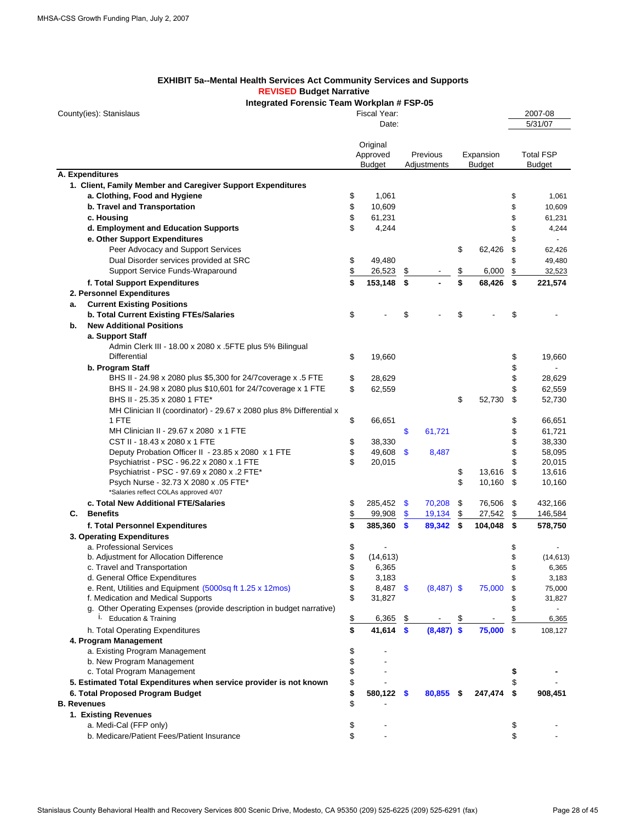#### **EXHIBIT 5a--Mental Health Services Act Community Services and Supports REVISED Budget Narrative**

#### **Integrated Forensic Team Workplan # FSP-05**

| County(ies): Stanislaus |                                                                       |           | Fiscal Year:         |               |              |           |               |    | 2007-08          |
|-------------------------|-----------------------------------------------------------------------|-----------|----------------------|---------------|--------------|-----------|---------------|----|------------------|
|                         |                                                                       |           | Date:                |               |              |           |               |    | 5/31/07          |
|                         |                                                                       |           |                      |               |              |           |               |    |                  |
|                         |                                                                       |           | Original<br>Approved |               | Previous     |           | Expansion     |    | <b>Total FSP</b> |
|                         |                                                                       |           | <b>Budget</b>        |               | Adjustments  |           | <b>Budget</b> |    | <b>Budget</b>    |
| A. Expenditures         |                                                                       |           |                      |               |              |           |               |    |                  |
|                         | 1. Client, Family Member and Caregiver Support Expenditures           |           |                      |               |              |           |               |    |                  |
|                         | a. Clothing, Food and Hygiene                                         | \$        | 1,061                |               |              |           |               | \$ | 1,061            |
|                         | b. Travel and Transportation                                          | \$        | 10,609               |               |              |           |               | \$ | 10,609           |
|                         | c. Housing                                                            | \$        | 61,231               |               |              |           |               | \$ | 61,231           |
|                         | d. Employment and Education Supports                                  | \$        | 4,244                |               |              |           |               | \$ | 4,244            |
|                         | e. Other Support Expenditures                                         |           |                      |               |              |           |               | \$ | ÷.               |
|                         | Peer Advocacy and Support Services                                    |           |                      |               |              | \$        | 62,426        | \$ | 62,426           |
|                         | Dual Disorder services provided at SRC                                | \$        | 49,480               |               |              |           |               | \$ | 49,480           |
|                         | Support Service Funds-Wraparound                                      | \$        | 26,523               | \$            |              | <u>\$</u> | 6,000         | \$ | 32,523           |
|                         |                                                                       | \$        |                      |               |              | \$        |               |    |                  |
|                         | f. Total Support Expenditures                                         |           | 153,148              | \$            |              |           | 68,426        | \$ | 221,574          |
|                         | 2. Personnel Expenditures                                             |           |                      |               |              |           |               |    |                  |
| а.                      | <b>Current Existing Positions</b>                                     |           |                      |               |              |           |               |    |                  |
|                         | <b>b. Total Current Existing FTEs/Salaries</b>                        | \$        |                      | \$            |              | \$        |               | \$ |                  |
| b.                      | <b>New Additional Positions</b>                                       |           |                      |               |              |           |               |    |                  |
|                         | a. Support Staff                                                      |           |                      |               |              |           |               |    |                  |
|                         | Admin Clerk III - 18.00 x 2080 x .5FTE plus 5% Bilingual              |           |                      |               |              |           |               |    |                  |
|                         | Differential                                                          | \$        | 19,660               |               |              |           |               | \$ | 19,660           |
|                         | b. Program Staff                                                      |           |                      |               |              |           |               | \$ |                  |
|                         | BHS II - 24.98 x 2080 plus \$5,300 for 24/7 coverage x .5 FTE         | \$        | 28,629               |               |              |           |               | \$ | 28,629           |
|                         | BHS II - 24.98 x 2080 plus \$10,601 for 24/7 coverage x 1 FTE         | \$        | 62,559               |               |              |           |               | \$ | 62,559           |
|                         | BHS II - 25.35 x 2080 1 FTE*                                          |           |                      |               |              | \$        | 52,730        | \$ | 52,730           |
|                         | MH Clinician II (coordinator) - 29.67 x 2080 plus 8% Differential x   |           |                      |               |              |           |               |    |                  |
|                         | 1 FTE                                                                 | \$        | 66,651               |               |              |           |               | \$ | 66,651           |
|                         | MH Clinician II - 29.67 x 2080 x 1 FTE                                |           |                      | \$            | 61,721       |           |               | \$ | 61,721           |
|                         | CST II - 18.43 x 2080 x 1 FTE                                         | \$        | 38,330               |               |              |           |               | \$ | 38,330           |
|                         | Deputy Probation Officer II - 23.85 x 2080 x 1 FTE                    | \$        | 49,608               | $\mathbf{\$}$ | 8,487        |           |               | \$ | 58,095           |
|                         | Psychiatrist - PSC - 96.22 x 2080 x .1 FTE                            | \$        | 20,015               |               |              |           |               | \$ | 20,015           |
|                         | Psychiatrist - PSC - 97.69 x 2080 x .2 FTE*                           |           |                      |               |              | \$        | 13,616        | \$ | 13,616           |
|                         | Psych Nurse - 32.73 X 2080 x .05 FTE*                                 |           |                      |               |              | \$        | 10,160        | \$ | 10,160           |
|                         | *Salaries reflect COLAs approved 4/07                                 |           |                      |               |              |           |               |    |                  |
|                         | c. Total New Additional FTE/Salaries                                  | \$        | 285,452              | \$            | 70,208       | \$        | 76,506        | \$ | 432,166          |
| С.                      | <b>Benefits</b>                                                       | \$        | 99,908               | \$            | 19,134       | \$        | 27,542        | \$ | 146,584          |
|                         | f. Total Personnel Expenditures                                       | \$        | 385,360              | $\mathbf{s}$  | 89,342       | - \$      | 104,048       | \$ | 578,750          |
|                         | 3. Operating Expenditures                                             |           |                      |               |              |           |               |    |                  |
|                         | a. Professional Services                                              | \$        |                      |               |              |           |               | \$ |                  |
|                         | b. Adjustment for Allocation Difference                               | \$        | (14, 613)            |               |              |           |               | \$ | (14, 613)        |
|                         | c. Travel and Transportation                                          | \$        | 6,365                |               |              |           |               | \$ | 6,365            |
|                         | d. General Office Expenditures                                        | \$        | 3,183                |               |              |           |               |    | 3,183            |
|                         | e. Rent, Utilities and Equipment (5000sq ft 1.25 x 12mos)             | \$        | $8,487$ \$           |               | $(8,487)$ \$ |           | 75,000        | £  | 75,000           |
|                         | f. Medication and Medical Supports                                    | \$        | 31,827               |               |              |           |               |    | 31,827           |
|                         | g. Other Operating Expenses (provide description in budget narrative) |           |                      |               |              |           |               | S  |                  |
|                         | <sup>i.</sup> Education & Training                                    | <u>\$</u> | 6,365                |               |              | \$        |               |    | 6,365            |
|                         | h. Total Operating Expenditures                                       | \$        | 41,614               | \$            | $(8,487)$ \$ |           | 75,000        | \$ | 108,127          |
|                         | 4. Program Management                                                 |           |                      |               |              |           |               |    |                  |
|                         | a. Existing Program Management                                        | \$        |                      |               |              |           |               |    |                  |
|                         | b. New Program Management                                             | \$        |                      |               |              |           |               |    |                  |
|                         | c. Total Program Management                                           | \$        |                      |               |              |           |               | \$ |                  |
|                         | 5. Estimated Total Expenditures when service provider is not known    | \$        |                      |               |              |           |               |    |                  |
|                         | 6. Total Proposed Program Budget                                      | \$        | 580,122              | \$            | 80,855       | \$        | 247,474       | \$ | 908,451          |
| <b>B.</b> Revenues      |                                                                       | \$        |                      |               |              |           |               |    |                  |
|                         | 1. Existing Revenues                                                  |           |                      |               |              |           |               |    |                  |
|                         | a. Medi-Cal (FFP only)                                                | \$        |                      |               |              |           |               | \$ |                  |
|                         | b. Medicare/Patient Fees/Patient Insurance                            | \$        |                      |               |              |           |               | \$ |                  |
|                         |                                                                       |           |                      |               |              |           |               |    |                  |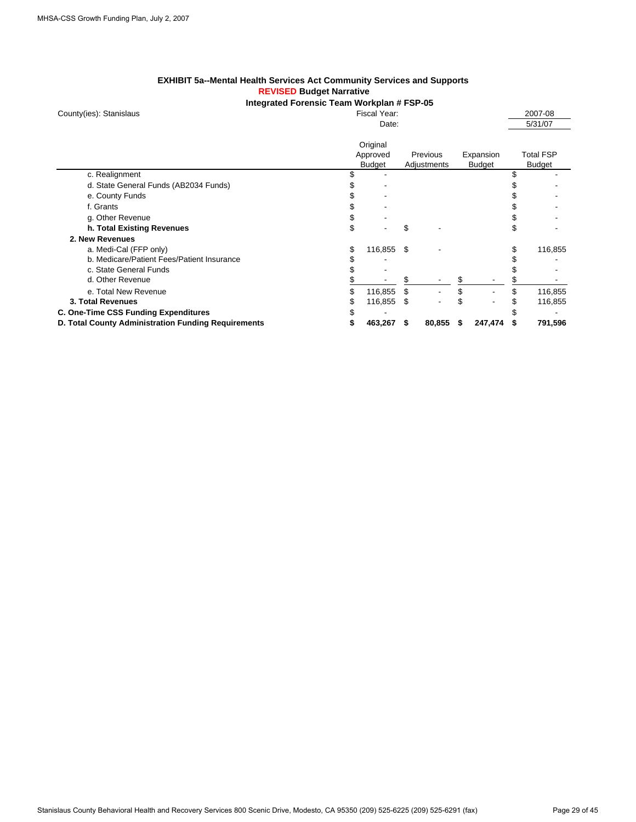#### **EXHIBIT 5a--Mental Health Services Act Community Services and Supports REVISED Budget Narrative**

#### **Integrated Forensic Team Workplan # FSP-05** Fiscal Year: 2007-08

|  |  | County(ies): Stanislaus |
|--|--|-------------------------|
|--|--|-------------------------|

|                                                     |    | Date:                                 |                         |   |                            | 5/31/07                           |
|-----------------------------------------------------|----|---------------------------------------|-------------------------|---|----------------------------|-----------------------------------|
|                                                     |    | Original<br>Approved<br><b>Budget</b> | Previous<br>Adjustments |   | Expansion<br><b>Budget</b> | <b>Total FSP</b><br><b>Budget</b> |
| c. Realignment                                      |    |                                       |                         |   |                            | \$                                |
| d. State General Funds (AB2034 Funds)               |    |                                       |                         |   |                            |                                   |
| e. County Funds                                     |    |                                       |                         |   |                            |                                   |
| f. Grants                                           |    |                                       |                         |   |                            |                                   |
| g. Other Revenue                                    |    |                                       |                         |   |                            | \$                                |
| h. Total Existing Revenues                          | S  |                                       | \$                      |   |                            | \$                                |
| 2. New Revenues                                     |    |                                       |                         |   |                            |                                   |
| a. Medi-Cal (FFP only)                              | \$ | 116,855 \$                            |                         |   |                            | \$<br>116,855                     |
| b. Medicare/Patient Fees/Patient Insurance          |    |                                       |                         |   |                            |                                   |
| c. State General Funds                              |    |                                       |                         |   |                            |                                   |
| d. Other Revenue                                    |    |                                       |                         |   |                            |                                   |
| e. Total New Revenue                                |    | 116,855                               | \$                      |   |                            | 116,855                           |
| 3. Total Revenues                                   |    | 116,855 \$                            |                         |   |                            | 116,855                           |
| C. One-Time CSS Funding Expenditures                |    |                                       |                         |   |                            |                                   |
| D. Total County Administration Funding Requirements |    | 463,267                               | 80,855                  | 5 | 247,474                    | 791,596                           |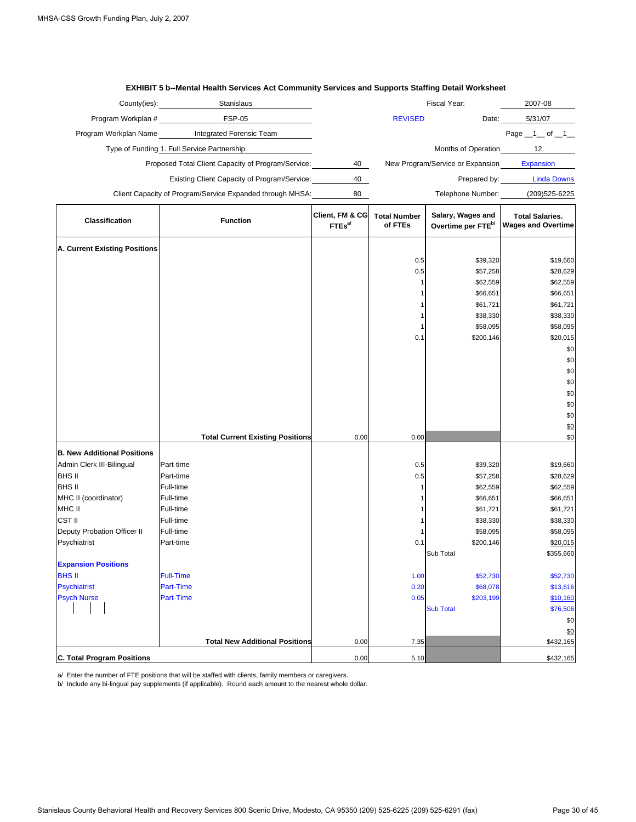|                                      | Stanislaus                                                |                                       |                                | Fiscal Year:                                        | 2007-08                                             |
|--------------------------------------|-----------------------------------------------------------|---------------------------------------|--------------------------------|-----------------------------------------------------|-----------------------------------------------------|
|                                      |                                                           |                                       |                                |                                                     |                                                     |
| Program Workplan #                   | <b>FSP-05</b>                                             |                                       | <b>REVISED</b>                 | Date:                                               | 5/31/07                                             |
|                                      | Program Workplan Name Integrated Forensic Team            |                                       |                                |                                                     | Page $\_1$ of $\_1$                                 |
|                                      | Type of Funding 1. Full Service Partnership               |                                       |                                | Months of Operation                                 | 12                                                  |
|                                      | Proposed Total Client Capacity of Program/Service:        | 40                                    |                                | New Program/Service or Expansion                    | Expansion                                           |
|                                      | Existing Client Capacity of Program/Service:              | 40                                    |                                |                                                     | Prepared by: Linda Downs                            |
|                                      | Client Capacity of Program/Service Expanded through MHSA: | 80                                    |                                | Telephone Number:                                   | (209) 525-6225                                      |
| <b>Classification</b>                | <b>Function</b>                                           | Client, FM & CG<br>FTEs <sup>al</sup> | <b>Total Number</b><br>of FTEs | Salary, Wages and<br>Overtime per FTE <sup>b/</sup> | <b>Total Salaries.</b><br><b>Wages and Overtime</b> |
| <b>A. Current Existing Positions</b> |                                                           |                                       |                                |                                                     |                                                     |
|                                      |                                                           |                                       | 0.5                            | \$39,320                                            | \$19,660                                            |
|                                      |                                                           |                                       | 0.5                            | \$57,258                                            | \$28,629                                            |
|                                      |                                                           |                                       | 1                              | \$62,559                                            | \$62,559                                            |
|                                      |                                                           |                                       |                                | \$66,651                                            | \$66,651                                            |
|                                      |                                                           |                                       | 1                              | \$61,721                                            | \$61,721                                            |
|                                      |                                                           |                                       | 1                              | \$38,330                                            | \$38,330                                            |
|                                      |                                                           |                                       | 1                              | \$58,095                                            | \$58,095                                            |
|                                      |                                                           |                                       | 0.1                            | \$200,146                                           | \$20,015                                            |
|                                      |                                                           |                                       |                                |                                                     | \$0                                                 |
|                                      |                                                           |                                       |                                |                                                     | \$0                                                 |
|                                      |                                                           |                                       |                                |                                                     | \$0                                                 |
|                                      |                                                           |                                       |                                |                                                     | \$0                                                 |
|                                      |                                                           |                                       |                                |                                                     | \$0                                                 |
|                                      |                                                           |                                       |                                |                                                     | \$0                                                 |
|                                      |                                                           |                                       |                                |                                                     | \$0                                                 |
|                                      | <b>Total Current Existing Positions</b>                   | 0.00                                  | 0.00                           |                                                     | \$0<br>\$0                                          |
|                                      |                                                           |                                       |                                |                                                     |                                                     |
| <b>B. New Additional Positions</b>   |                                                           |                                       |                                |                                                     |                                                     |
| Admin Clerk III-Bilingual            | Part-time                                                 |                                       | 0.5                            | \$39,320                                            | \$19,660                                            |
| <b>BHS II</b>                        | Part-time                                                 |                                       | 0.5                            | \$57,258                                            | \$28,629                                            |
| BHS II                               | Full-time<br>Full-time                                    |                                       | 1                              | \$62,559                                            | \$62,559                                            |
| MHC II (coordinator)<br>MHC II       | Full-time                                                 |                                       | 1<br>1                         | \$66,651                                            | \$66,651                                            |
| <b>CST II</b>                        | Full-time                                                 |                                       | 1                              | \$61,721<br>\$38,330                                | \$61,721<br>\$38,330                                |
| Deputy Probation Officer II          | Full-time                                                 |                                       |                                | \$58,095                                            | \$58,095                                            |
| Psychiatrist                         | Part-time                                                 |                                       | 0.1                            | \$200,146                                           | \$20,015                                            |
|                                      |                                                           |                                       |                                | Sub Total                                           | \$355,660                                           |
| <b>Expansion Positions</b>           |                                                           |                                       |                                |                                                     |                                                     |
| <b>BHS II</b>                        | <b>Full-Time</b>                                          |                                       | 1.00                           | \$52,730                                            | \$52,730                                            |
| <b>Psychiatrist</b>                  | <b>Part-Time</b>                                          |                                       | 0.20                           | \$68,078                                            | \$13,616                                            |
| <b>Psych Nurse</b>                   | Part-Time                                                 |                                       | 0.05                           | \$203,199                                           | \$10,160                                            |
|                                      |                                                           |                                       |                                | <b>Sub Total</b>                                    | \$76,506                                            |
|                                      |                                                           |                                       |                                |                                                     | \$0                                                 |
|                                      |                                                           |                                       |                                |                                                     | \$0                                                 |
|                                      | <b>Total New Additional Positions</b>                     | 0.00                                  | 7.35                           |                                                     | \$432,165                                           |
| <b>C. Total Program Positions</b>    |                                                           | 0.00                                  | 5.10                           |                                                     | \$432,165                                           |

#### **EXHIBIT 5 b--Mental Health Services Act Community Services and Supports Staffing Detail Worksheet**

a/ Enter the number of FTE positions that will be staffed with clients, family members or caregivers.

b/ Include any bi-lingual pay supplements (if applicable). Round each amount to the nearest whole dollar.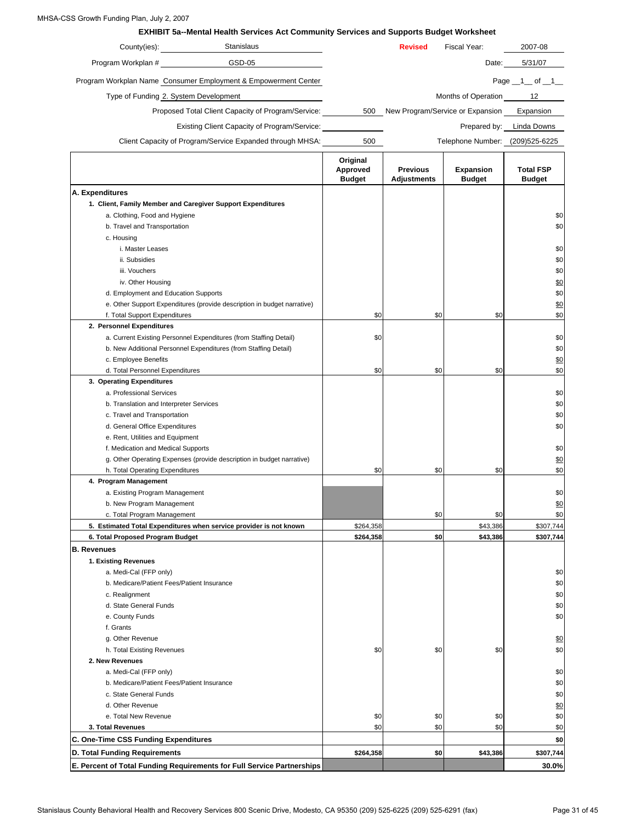#### MHSA-CSS Growth Funding Plan, July 2, 2007

|                                                             | <b>EXHIBIT 5a--Mental Health Services Act Community Services and Supports Budget Worksheet</b><br>Stanislaus |                                       | <b>Revised</b>                        | Fiscal Year:                         | 2007-08                           |
|-------------------------------------------------------------|--------------------------------------------------------------------------------------------------------------|---------------------------------------|---------------------------------------|--------------------------------------|-----------------------------------|
|                                                             | GSD-05                                                                                                       |                                       |                                       |                                      |                                   |
| Program Workplan #                                          |                                                                                                              |                                       |                                       | Date:                                | 5/31/07                           |
|                                                             | Program Workplan Name Consumer Employment & Empowerment Center                                               |                                       |                                       |                                      | Page $1$ of $1$                   |
| Type of Funding 2. System Development                       |                                                                                                              |                                       |                                       | Months of Operation                  | 12                                |
|                                                             | Proposed Total Client Capacity of Program/Service:                                                           |                                       |                                       | 500 New Program/Service or Expansion | Expansion                         |
|                                                             | Existing Client Capacity of Program/Service: ________________                                                |                                       |                                       |                                      | Prepared by: Linda Downs          |
|                                                             | Client Capacity of Program/Service Expanded through MHSA:                                                    | 500                                   |                                       | Telephone Number: (209)525-6225      |                                   |
|                                                             |                                                                                                              |                                       |                                       |                                      |                                   |
|                                                             |                                                                                                              | Original<br>Approved<br><b>Budget</b> | <b>Previous</b><br><b>Adjustments</b> | <b>Expansion</b><br><b>Budget</b>    | <b>Total FSP</b><br><b>Budget</b> |
| A. Expenditures                                             |                                                                                                              |                                       |                                       |                                      |                                   |
| 1. Client, Family Member and Caregiver Support Expenditures |                                                                                                              |                                       |                                       |                                      |                                   |
| a. Clothing, Food and Hygiene                               |                                                                                                              |                                       |                                       |                                      |                                   |
| b. Travel and Transportation                                |                                                                                                              |                                       |                                       |                                      |                                   |
| c. Housing                                                  |                                                                                                              |                                       |                                       |                                      |                                   |
| i. Master Leases                                            |                                                                                                              |                                       |                                       |                                      |                                   |
| ii. Subsidies                                               |                                                                                                              |                                       |                                       |                                      |                                   |
| iii. Vouchers                                               |                                                                                                              |                                       |                                       |                                      |                                   |
| iv. Other Housing                                           |                                                                                                              |                                       |                                       |                                      |                                   |
| d. Employment and Education Supports                        |                                                                                                              |                                       |                                       |                                      |                                   |
|                                                             | e. Other Support Expenditures (provide description in budget narrative)                                      |                                       |                                       |                                      |                                   |
| f. Total Support Expenditures                               |                                                                                                              | \$0                                   | \$0                                   | \$0                                  |                                   |
| 2. Personnel Expenditures                                   |                                                                                                              |                                       |                                       |                                      |                                   |
|                                                             | a. Current Existing Personnel Expenditures (from Staffing Detail)                                            | \$0                                   |                                       |                                      |                                   |
|                                                             | b. New Additional Personnel Expenditures (from Staffing Detail)                                              |                                       |                                       |                                      |                                   |
| c. Employee Benefits                                        |                                                                                                              |                                       |                                       |                                      |                                   |
| d. Total Personnel Expenditures                             |                                                                                                              | \$0                                   | \$0                                   | \$0                                  |                                   |
| 3. Operating Expenditures                                   |                                                                                                              |                                       |                                       |                                      |                                   |
| a. Professional Services                                    |                                                                                                              |                                       |                                       |                                      |                                   |
| b. Translation and Interpreter Services                     |                                                                                                              |                                       |                                       |                                      |                                   |
| c. Travel and Transportation                                |                                                                                                              |                                       |                                       |                                      |                                   |
| d. General Office Expenditures                              |                                                                                                              |                                       |                                       |                                      |                                   |
| e. Rent, Utilities and Equipment                            |                                                                                                              |                                       |                                       |                                      |                                   |
| f. Medication and Medical Supports                          |                                                                                                              |                                       |                                       |                                      |                                   |
|                                                             | g. Other Operating Expenses (provide description in budget narrative)                                        |                                       |                                       |                                      |                                   |
| h. Total Operating Expenditures                             |                                                                                                              | \$0                                   | \$0                                   | \$0                                  |                                   |
| 4. Program Management                                       |                                                                                                              |                                       |                                       |                                      |                                   |
| a. Existing Program Management                              |                                                                                                              |                                       |                                       |                                      |                                   |
| b. New Program Management                                   |                                                                                                              |                                       |                                       |                                      |                                   |
| c. Total Program Management                                 |                                                                                                              |                                       | \$0                                   | \$0                                  |                                   |
|                                                             | 5. Estimated Total Expenditures when service provider is not known                                           | \$264,358                             |                                       | \$43,386                             | \$307,744                         |
| 6. Total Proposed Program Budget                            |                                                                                                              | \$264,358                             | \$0                                   | \$43,386                             | \$307,744                         |
| <b>B.</b> Revenues                                          |                                                                                                              |                                       |                                       |                                      |                                   |
| 1. Existing Revenues                                        |                                                                                                              |                                       |                                       |                                      |                                   |
| a. Medi-Cal (FFP only)                                      |                                                                                                              |                                       |                                       |                                      |                                   |
| b. Medicare/Patient Fees/Patient Insurance                  |                                                                                                              |                                       |                                       |                                      |                                   |
| c. Realignment                                              |                                                                                                              |                                       |                                       |                                      |                                   |
| d. State General Funds                                      |                                                                                                              |                                       |                                       |                                      |                                   |
| e. County Funds                                             |                                                                                                              |                                       |                                       |                                      |                                   |
| f. Grants                                                   |                                                                                                              |                                       |                                       |                                      |                                   |
| g. Other Revenue                                            |                                                                                                              |                                       |                                       |                                      |                                   |
| h. Total Existing Revenues                                  |                                                                                                              | \$0                                   | \$0                                   | \$0                                  |                                   |
| 2. New Revenues                                             |                                                                                                              |                                       |                                       |                                      |                                   |
| a. Medi-Cal (FFP only)                                      |                                                                                                              |                                       |                                       |                                      |                                   |
| b. Medicare/Patient Fees/Patient Insurance                  |                                                                                                              |                                       |                                       |                                      |                                   |
| c. State General Funds                                      |                                                                                                              |                                       |                                       |                                      |                                   |
| d. Other Revenue                                            |                                                                                                              |                                       |                                       |                                      |                                   |
| e. Total New Revenue                                        |                                                                                                              | \$0                                   | \$0                                   | \$0                                  |                                   |
| 3. Total Revenues                                           |                                                                                                              | \$0                                   | \$0                                   | \$0                                  |                                   |
| C. One-Time CSS Funding Expenditures                        |                                                                                                              |                                       |                                       |                                      |                                   |
|                                                             |                                                                                                              |                                       |                                       |                                      |                                   |

**E. Percent of Total Funding Requirements for Full Service Partnerships**

**D. Total Funding Requirements**

**30.0%**

**\$264,358 \$0 \$43,386 \$307,744**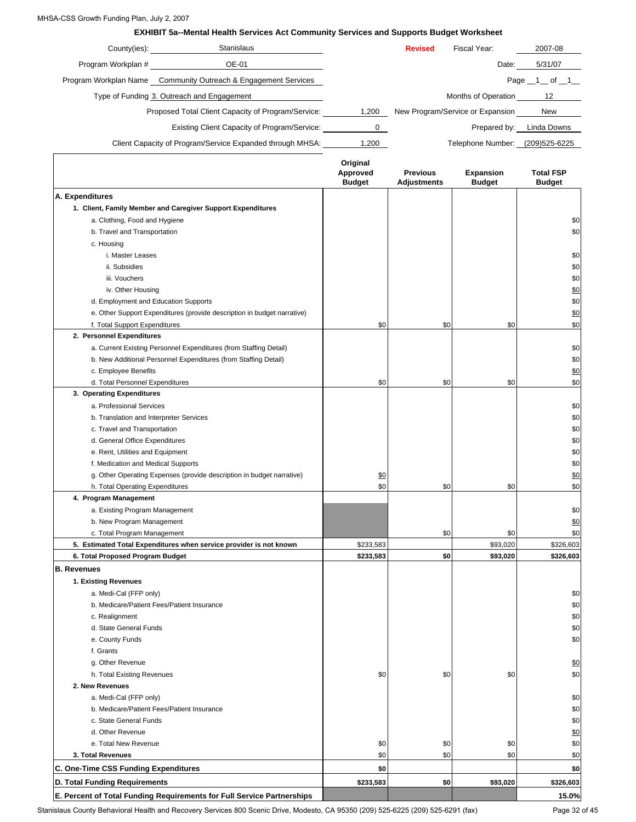#### MHSA-CSS Growth Funding Plan, July 2, 2007

#### **EXHIBIT 5a--Mental Health Services Act Community Services and Supports Budget Worksheet**

| County(ies):       | <b>Stanislaus</b>                                              |       | <b>Revised</b> | Fiscal Year:                     | 2007-08            |
|--------------------|----------------------------------------------------------------|-------|----------------|----------------------------------|--------------------|
| Program Workplan # | OE-01                                                          |       |                | Date:                            | 5/31/07            |
|                    | Program Workplan Name Community Outreach & Engagement Services |       |                |                                  | Page $\_1$ of $\_$ |
|                    | Type of Funding 3. Outreach and Engagement                     |       |                | Months of Operation              | 12                 |
|                    | Proposed Total Client Capacity of Program/Service:             | 1,200 |                | New Program/Service or Expansion | <b>New</b>         |
|                    | Existing Client Capacity of Program/Service:                   | o     |                | Prepared by:                     | Linda Downs        |
|                    | Client Capacity of Program/Service Expanded through MHSA:      | 1,200 |                | Telephone Number:                | (209)525-6225      |
|                    |                                                                |       |                |                                  |                    |

| A. Expenditures<br>1. Client, Family Member and Caregiver Support Expenditures<br>a. Clothing, Food and Hygiene<br>b. Travel and Transportation<br>c. Housing<br>i. Master Leases<br>ii. Subsidies<br>iii. Vouchers<br>iv. Other Housing<br>d. Employment and Education Supports<br>e. Other Support Expenditures (provide description in budget narrative)<br>\$0<br>\$0<br>\$0<br>f. Total Support Expenditures<br>2. Personnel Expenditures<br>a. Current Existing Personnel Expenditures (from Staffing Detail)<br>b. New Additional Personnel Expenditures (from Staffing Detail)<br>c. Employee Benefits<br>\$0<br>\$0<br>\$0<br>d. Total Personnel Expenditures<br>3. Operating Expenditures<br>a. Professional Services<br>b. Translation and Interpreter Services<br>c. Travel and Transportation<br>d. General Office Expenditures<br>e. Rent, Utilities and Equipment<br>f. Medication and Medical Supports<br>g. Other Operating Expenses (provide description in budget narrative)<br>\$0<br>\$0<br>\$0<br>\$0<br>h. Total Operating Expenditures<br>4. Program Management<br>a. Existing Program Management<br>b. New Program Management<br>\$0<br>\$0<br>c. Total Program Management<br>5. Estimated Total Expenditures when service provider is not known<br>\$233,583<br>\$93,020<br>\$326,603<br>\$0<br>\$233,583<br>\$93,020<br>\$326,603<br>6. Total Proposed Program Budget<br><b>B.</b> Revenues |
|------------------------------------------------------------------------------------------------------------------------------------------------------------------------------------------------------------------------------------------------------------------------------------------------------------------------------------------------------------------------------------------------------------------------------------------------------------------------------------------------------------------------------------------------------------------------------------------------------------------------------------------------------------------------------------------------------------------------------------------------------------------------------------------------------------------------------------------------------------------------------------------------------------------------------------------------------------------------------------------------------------------------------------------------------------------------------------------------------------------------------------------------------------------------------------------------------------------------------------------------------------------------------------------------------------------------------------------------------------------------------------------------------------------------|
|                                                                                                                                                                                                                                                                                                                                                                                                                                                                                                                                                                                                                                                                                                                                                                                                                                                                                                                                                                                                                                                                                                                                                                                                                                                                                                                                                                                                                        |
|                                                                                                                                                                                                                                                                                                                                                                                                                                                                                                                                                                                                                                                                                                                                                                                                                                                                                                                                                                                                                                                                                                                                                                                                                                                                                                                                                                                                                        |
|                                                                                                                                                                                                                                                                                                                                                                                                                                                                                                                                                                                                                                                                                                                                                                                                                                                                                                                                                                                                                                                                                                                                                                                                                                                                                                                                                                                                                        |
|                                                                                                                                                                                                                                                                                                                                                                                                                                                                                                                                                                                                                                                                                                                                                                                                                                                                                                                                                                                                                                                                                                                                                                                                                                                                                                                                                                                                                        |
|                                                                                                                                                                                                                                                                                                                                                                                                                                                                                                                                                                                                                                                                                                                                                                                                                                                                                                                                                                                                                                                                                                                                                                                                                                                                                                                                                                                                                        |
|                                                                                                                                                                                                                                                                                                                                                                                                                                                                                                                                                                                                                                                                                                                                                                                                                                                                                                                                                                                                                                                                                                                                                                                                                                                                                                                                                                                                                        |
|                                                                                                                                                                                                                                                                                                                                                                                                                                                                                                                                                                                                                                                                                                                                                                                                                                                                                                                                                                                                                                                                                                                                                                                                                                                                                                                                                                                                                        |
|                                                                                                                                                                                                                                                                                                                                                                                                                                                                                                                                                                                                                                                                                                                                                                                                                                                                                                                                                                                                                                                                                                                                                                                                                                                                                                                                                                                                                        |
|                                                                                                                                                                                                                                                                                                                                                                                                                                                                                                                                                                                                                                                                                                                                                                                                                                                                                                                                                                                                                                                                                                                                                                                                                                                                                                                                                                                                                        |
|                                                                                                                                                                                                                                                                                                                                                                                                                                                                                                                                                                                                                                                                                                                                                                                                                                                                                                                                                                                                                                                                                                                                                                                                                                                                                                                                                                                                                        |
|                                                                                                                                                                                                                                                                                                                                                                                                                                                                                                                                                                                                                                                                                                                                                                                                                                                                                                                                                                                                                                                                                                                                                                                                                                                                                                                                                                                                                        |
|                                                                                                                                                                                                                                                                                                                                                                                                                                                                                                                                                                                                                                                                                                                                                                                                                                                                                                                                                                                                                                                                                                                                                                                                                                                                                                                                                                                                                        |
|                                                                                                                                                                                                                                                                                                                                                                                                                                                                                                                                                                                                                                                                                                                                                                                                                                                                                                                                                                                                                                                                                                                                                                                                                                                                                                                                                                                                                        |
|                                                                                                                                                                                                                                                                                                                                                                                                                                                                                                                                                                                                                                                                                                                                                                                                                                                                                                                                                                                                                                                                                                                                                                                                                                                                                                                                                                                                                        |
|                                                                                                                                                                                                                                                                                                                                                                                                                                                                                                                                                                                                                                                                                                                                                                                                                                                                                                                                                                                                                                                                                                                                                                                                                                                                                                                                                                                                                        |
|                                                                                                                                                                                                                                                                                                                                                                                                                                                                                                                                                                                                                                                                                                                                                                                                                                                                                                                                                                                                                                                                                                                                                                                                                                                                                                                                                                                                                        |
|                                                                                                                                                                                                                                                                                                                                                                                                                                                                                                                                                                                                                                                                                                                                                                                                                                                                                                                                                                                                                                                                                                                                                                                                                                                                                                                                                                                                                        |
|                                                                                                                                                                                                                                                                                                                                                                                                                                                                                                                                                                                                                                                                                                                                                                                                                                                                                                                                                                                                                                                                                                                                                                                                                                                                                                                                                                                                                        |
|                                                                                                                                                                                                                                                                                                                                                                                                                                                                                                                                                                                                                                                                                                                                                                                                                                                                                                                                                                                                                                                                                                                                                                                                                                                                                                                                                                                                                        |
|                                                                                                                                                                                                                                                                                                                                                                                                                                                                                                                                                                                                                                                                                                                                                                                                                                                                                                                                                                                                                                                                                                                                                                                                                                                                                                                                                                                                                        |
|                                                                                                                                                                                                                                                                                                                                                                                                                                                                                                                                                                                                                                                                                                                                                                                                                                                                                                                                                                                                                                                                                                                                                                                                                                                                                                                                                                                                                        |
|                                                                                                                                                                                                                                                                                                                                                                                                                                                                                                                                                                                                                                                                                                                                                                                                                                                                                                                                                                                                                                                                                                                                                                                                                                                                                                                                                                                                                        |
|                                                                                                                                                                                                                                                                                                                                                                                                                                                                                                                                                                                                                                                                                                                                                                                                                                                                                                                                                                                                                                                                                                                                                                                                                                                                                                                                                                                                                        |
|                                                                                                                                                                                                                                                                                                                                                                                                                                                                                                                                                                                                                                                                                                                                                                                                                                                                                                                                                                                                                                                                                                                                                                                                                                                                                                                                                                                                                        |
|                                                                                                                                                                                                                                                                                                                                                                                                                                                                                                                                                                                                                                                                                                                                                                                                                                                                                                                                                                                                                                                                                                                                                                                                                                                                                                                                                                                                                        |
|                                                                                                                                                                                                                                                                                                                                                                                                                                                                                                                                                                                                                                                                                                                                                                                                                                                                                                                                                                                                                                                                                                                                                                                                                                                                                                                                                                                                                        |
|                                                                                                                                                                                                                                                                                                                                                                                                                                                                                                                                                                                                                                                                                                                                                                                                                                                                                                                                                                                                                                                                                                                                                                                                                                                                                                                                                                                                                        |
|                                                                                                                                                                                                                                                                                                                                                                                                                                                                                                                                                                                                                                                                                                                                                                                                                                                                                                                                                                                                                                                                                                                                                                                                                                                                                                                                                                                                                        |
|                                                                                                                                                                                                                                                                                                                                                                                                                                                                                                                                                                                                                                                                                                                                                                                                                                                                                                                                                                                                                                                                                                                                                                                                                                                                                                                                                                                                                        |
|                                                                                                                                                                                                                                                                                                                                                                                                                                                                                                                                                                                                                                                                                                                                                                                                                                                                                                                                                                                                                                                                                                                                                                                                                                                                                                                                                                                                                        |
|                                                                                                                                                                                                                                                                                                                                                                                                                                                                                                                                                                                                                                                                                                                                                                                                                                                                                                                                                                                                                                                                                                                                                                                                                                                                                                                                                                                                                        |
|                                                                                                                                                                                                                                                                                                                                                                                                                                                                                                                                                                                                                                                                                                                                                                                                                                                                                                                                                                                                                                                                                                                                                                                                                                                                                                                                                                                                                        |
|                                                                                                                                                                                                                                                                                                                                                                                                                                                                                                                                                                                                                                                                                                                                                                                                                                                                                                                                                                                                                                                                                                                                                                                                                                                                                                                                                                                                                        |
| 1. Existing Revenues                                                                                                                                                                                                                                                                                                                                                                                                                                                                                                                                                                                                                                                                                                                                                                                                                                                                                                                                                                                                                                                                                                                                                                                                                                                                                                                                                                                                   |
| a. Medi-Cal (FFP only)                                                                                                                                                                                                                                                                                                                                                                                                                                                                                                                                                                                                                                                                                                                                                                                                                                                                                                                                                                                                                                                                                                                                                                                                                                                                                                                                                                                                 |
| b. Medicare/Patient Fees/Patient Insurance                                                                                                                                                                                                                                                                                                                                                                                                                                                                                                                                                                                                                                                                                                                                                                                                                                                                                                                                                                                                                                                                                                                                                                                                                                                                                                                                                                             |
| c. Realignment                                                                                                                                                                                                                                                                                                                                                                                                                                                                                                                                                                                                                                                                                                                                                                                                                                                                                                                                                                                                                                                                                                                                                                                                                                                                                                                                                                                                         |
| d. State General Funds                                                                                                                                                                                                                                                                                                                                                                                                                                                                                                                                                                                                                                                                                                                                                                                                                                                                                                                                                                                                                                                                                                                                                                                                                                                                                                                                                                                                 |
| e. County Funds                                                                                                                                                                                                                                                                                                                                                                                                                                                                                                                                                                                                                                                                                                                                                                                                                                                                                                                                                                                                                                                                                                                                                                                                                                                                                                                                                                                                        |
| f. Grants                                                                                                                                                                                                                                                                                                                                                                                                                                                                                                                                                                                                                                                                                                                                                                                                                                                                                                                                                                                                                                                                                                                                                                                                                                                                                                                                                                                                              |
| g. Other Revenue                                                                                                                                                                                                                                                                                                                                                                                                                                                                                                                                                                                                                                                                                                                                                                                                                                                                                                                                                                                                                                                                                                                                                                                                                                                                                                                                                                                                       |
| h. Total Existing Revenues<br>\$0<br>\$0<br>\$0                                                                                                                                                                                                                                                                                                                                                                                                                                                                                                                                                                                                                                                                                                                                                                                                                                                                                                                                                                                                                                                                                                                                                                                                                                                                                                                                                                        |
| 2. New Revenues                                                                                                                                                                                                                                                                                                                                                                                                                                                                                                                                                                                                                                                                                                                                                                                                                                                                                                                                                                                                                                                                                                                                                                                                                                                                                                                                                                                                        |
| a. Medi-Cal (FFP only)                                                                                                                                                                                                                                                                                                                                                                                                                                                                                                                                                                                                                                                                                                                                                                                                                                                                                                                                                                                                                                                                                                                                                                                                                                                                                                                                                                                                 |
| b. Medicare/Patient Fees/Patient Insurance                                                                                                                                                                                                                                                                                                                                                                                                                                                                                                                                                                                                                                                                                                                                                                                                                                                                                                                                                                                                                                                                                                                                                                                                                                                                                                                                                                             |
| c. State General Funds                                                                                                                                                                                                                                                                                                                                                                                                                                                                                                                                                                                                                                                                                                                                                                                                                                                                                                                                                                                                                                                                                                                                                                                                                                                                                                                                                                                                 |
| d. Other Revenue                                                                                                                                                                                                                                                                                                                                                                                                                                                                                                                                                                                                                                                                                                                                                                                                                                                                                                                                                                                                                                                                                                                                                                                                                                                                                                                                                                                                       |
| e. Total New Revenue<br>\$0<br>\$0<br>\$0                                                                                                                                                                                                                                                                                                                                                                                                                                                                                                                                                                                                                                                                                                                                                                                                                                                                                                                                                                                                                                                                                                                                                                                                                                                                                                                                                                              |
| \$0<br>\$0<br>\$0<br>3. Total Revenues                                                                                                                                                                                                                                                                                                                                                                                                                                                                                                                                                                                                                                                                                                                                                                                                                                                                                                                                                                                                                                                                                                                                                                                                                                                                                                                                                                                 |
|                                                                                                                                                                                                                                                                                                                                                                                                                                                                                                                                                                                                                                                                                                                                                                                                                                                                                                                                                                                                                                                                                                                                                                                                                                                                                                                                                                                                                        |
|                                                                                                                                                                                                                                                                                                                                                                                                                                                                                                                                                                                                                                                                                                                                                                                                                                                                                                                                                                                                                                                                                                                                                                                                                                                                                                                                                                                                                        |
| C. One-Time CSS Funding Expenditures<br>\$0<br>D. Total Funding Requirements<br>\$233,583<br>\$0<br>\$93,020<br>\$326,603                                                                                                                                                                                                                                                                                                                                                                                                                                                                                                                                                                                                                                                                                                                                                                                                                                                                                                                                                                                                                                                                                                                                                                                                                                                                                              |

Stanislaus County Behavioral Health and Recovery Services 800 Scenic Drive, Modesto, CA 95350 (209) 525-6225 (209) 525-6291 (fax) Page 32 of 45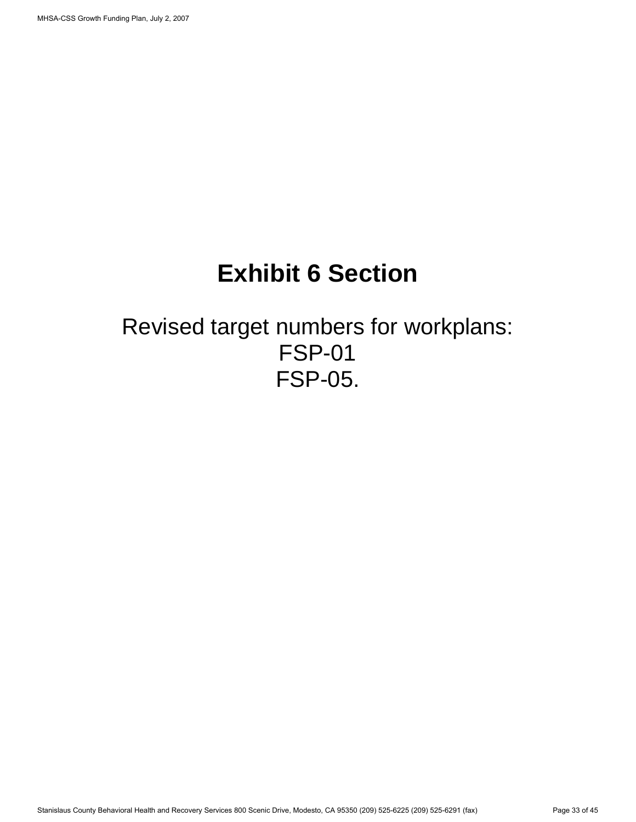# **Exhibit 6 Section**

## Revised target numbers for workplans: FSP-01 FSP-05.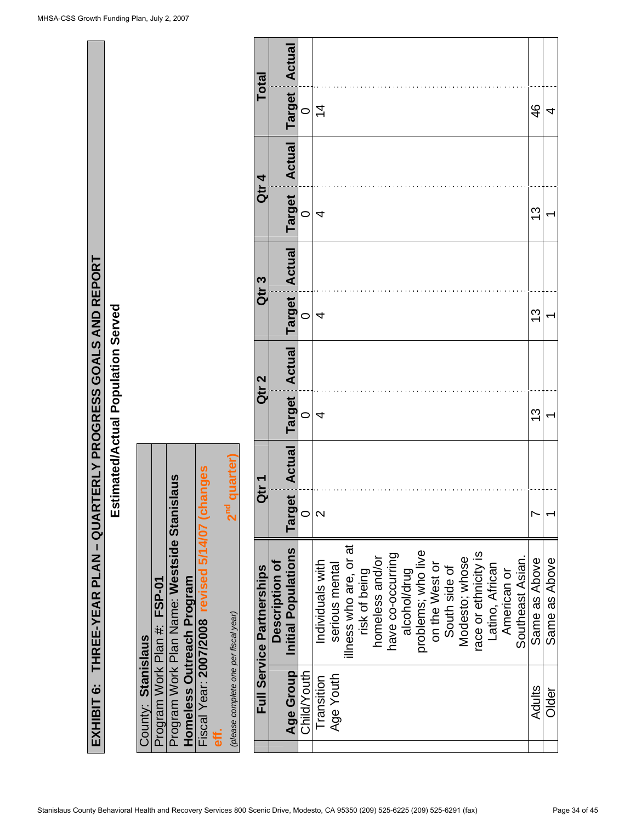| ואוס ושאו                                                       |  |
|-----------------------------------------------------------------|--|
|                                                                 |  |
| (HIBIT 6: THREE-YEAR PLAN – QUARTERLY PROGRESS GOALS AND REPORT |  |
|                                                                 |  |

# Estimated/Actual Population Served **Estimated/Actual Population Served**

|                    |                             |                                             |                           |                                                 | 2 <sup>nd</sup> quarter)              |
|--------------------|-----------------------------|---------------------------------------------|---------------------------|-------------------------------------------------|---------------------------------------|
| County: Stanislaus | Program Work Plan #: FSP-01 | Program Work Plan Name: Westside Stanislaus | Homeless Outreach Program | Fiscal Year: 2007/2008 revised 5/14/07 (changes | (please complete one per fiscal year) |

| Total                            |                       | Actual                         |             |                  |                |                        |               |                 |                   |              |                                      |               |                |                      |                 |             |                  |               |               |
|----------------------------------|-----------------------|--------------------------------|-------------|------------------|----------------|------------------------|---------------|-----------------|-------------------|--------------|--------------------------------------|---------------|----------------|----------------------|-----------------|-------------|------------------|---------------|---------------|
|                                  |                       | <b>Target</b>                  | $\circ$     | $\overline{4}$   |                |                        |               |                 |                   |              |                                      |               |                |                      |                 |             |                  | 46            | 4             |
| Qtr 4                            |                       | Actual<br><b>Target</b>        | 0           | 4                |                |                        |               |                 |                   |              |                                      |               |                |                      |                 |             |                  | <u>ლ</u>      |               |
| Qtr 3                            |                       | <b>Actual</b><br><b>Target</b> | $\circ$     | 4                |                |                        |               |                 |                   |              |                                      |               |                |                      |                 |             |                  | <u>ლ</u>      |               |
| Qtr <sub>2</sub>                 |                       | Actual<br><b>Target</b>        | $\circ$     | 4                |                |                        |               |                 |                   |              |                                      |               |                |                      |                 |             |                  | <u>ლ</u>      |               |
| đr                               |                       | <b>Actual</b><br><b>Target</b> | 0           | $\mathsf{\sim}$  |                |                        |               |                 |                   |              |                                      |               |                |                      |                 |             |                  |               |               |
| <b>Full Service Partnerships</b> | <b>Description of</b> | Initial Populations            |             | Individuals with | serious mental | illness who are, or at | risk of being | homeless and/or | have co-occurring | alcohol/drug | problems; who live<br>on the West or | South side of | Modesto; whose | race or ethnicity is | Latino, African | American or | Southeast Asian. | Same as Above | Same as Above |
|                                  |                       | Age Group                      | Child/Youth | Transition       | Age Youth      |                        |               |                 |                   |              |                                      |               |                |                      |                 |             |                  | Adults        | Older         |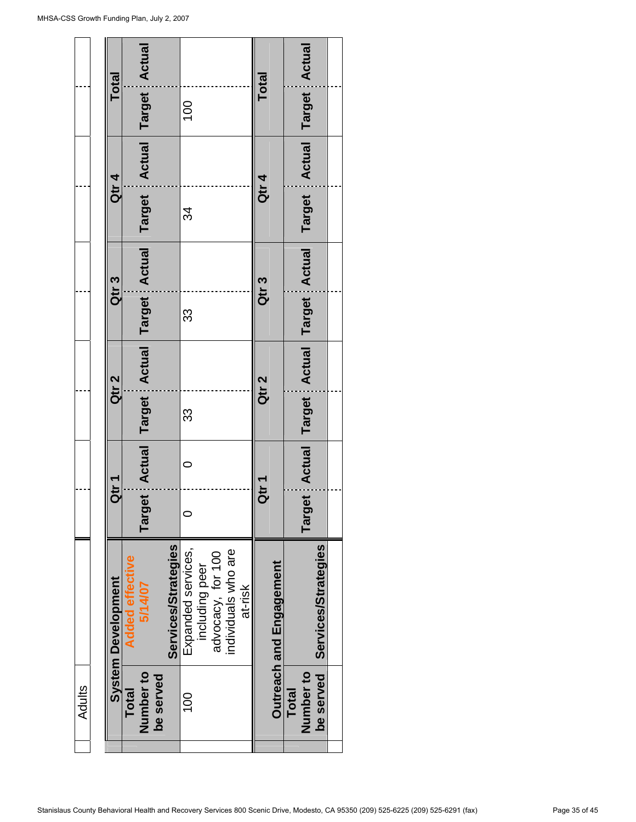| Adults               |                           |                  |                  |                                        |                                                                |               |  |
|----------------------|---------------------------|------------------|------------------|----------------------------------------|----------------------------------------------------------------|---------------|--|
|                      | <b>System Development</b> | Qtr <sub>1</sub> | Qtr 2            | Qtr <sub>3</sub>                       | Qtr 4                                                          | Total         |  |
| <b>Total</b>         | <b>Added effective</b>    |                  |                  |                                        |                                                                |               |  |
| Number to            | 5/14/07                   | Target           |                  |                                        | Actual Target Actual Target Actual Target Actual Target Actual |               |  |
| be served            |                           |                  |                  |                                        |                                                                |               |  |
|                      | Services/Strategies       |                  |                  |                                        |                                                                |               |  |
| 100                  | Expanded services,        | 0                | 33               | 33                                     | 34                                                             | 100           |  |
|                      | including peer            |                  |                  |                                        |                                                                |               |  |
|                      | advocacy, for 100         |                  |                  |                                        |                                                                |               |  |
|                      | individuals who are       |                  |                  |                                        |                                                                |               |  |
|                      | at-risk                   |                  |                  |                                        |                                                                |               |  |
|                      |                           | Qtr 1            | Qtr <sub>2</sub> | Qtr <sub>3</sub>                       | Qtr 4                                                          | <b>Total</b>  |  |
|                      | Outreach and Engagement   |                  |                  |                                        |                                                                |               |  |
| <b>Total</b>         |                           |                  |                  |                                        |                                                                |               |  |
| Number <sub>to</sub> |                           | <b>Target</b>    |                  | Actual Target : Actual Target : Actual | Target Actual                                                  | Target Actual |  |
| be served            | Services/Strategies       |                  |                  |                                        |                                                                |               |  |
|                      |                           |                  |                  |                                        |                                                                |               |  |
|                      |                           |                  |                  |                                        |                                                                |               |  |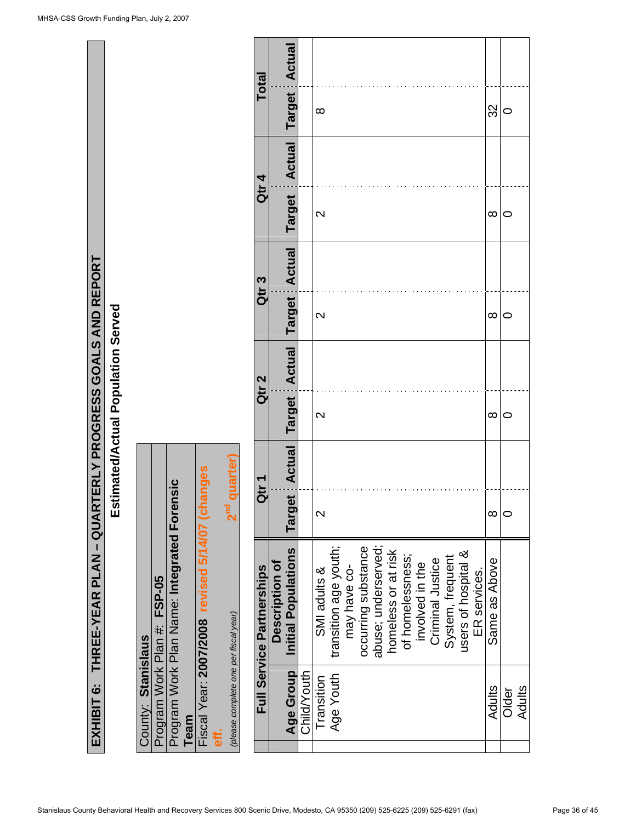| <b>NU NETVIN</b><br>EXHIBIT 6:    THREE-YEAR PLAN – QUARTERLY PROGRESS GOALS AND REPORT |
|-----------------------------------------------------------------------------------------|

Estimated/Actual Population Served **Estimated/Actual Population Served** 

|                    |                             |                                             |      |                                                 |   | 2 <sup>nd</sup> quarter)              |
|--------------------|-----------------------------|---------------------------------------------|------|-------------------------------------------------|---|---------------------------------------|
| County: Stanislaus | Program Work Plan #: FSP-05 | Program Work Plan Name: Integrated Forensic | Team | Fiscal Year: 2007/2008 revised 5/14/07 (changes | ŧ | (please complete one per fiscal year) |

| Total                            |                       |                                                     |             |                         |                       |              |                     |                     |                     |                  |                 |                  |                  |                     |              |               |       |        |
|----------------------------------|-----------------------|-----------------------------------------------------|-------------|-------------------------|-----------------------|--------------|---------------------|---------------------|---------------------|------------------|-----------------|------------------|------------------|---------------------|--------------|---------------|-------|--------|
|                                  |                       | <b>Target Actual</b>                                |             | $\infty$                |                       |              |                     |                     |                     |                  |                 |                  |                  |                     |              | 32            |       |        |
|                                  |                       |                                                     |             |                         |                       |              |                     |                     |                     |                  |                 |                  |                  |                     |              |               |       |        |
| Qtr 4                            |                       | Target Actual                                       |             | $\mathbf{\Omega}$       |                       |              |                     |                     |                     |                  |                 |                  |                  |                     |              | $\infty$      |       |        |
| Qtr <sub>3</sub>                 |                       |                                                     |             |                         |                       |              |                     |                     |                     |                  |                 |                  |                  |                     |              |               |       |        |
|                                  |                       |                                                     |             | $\mathbf{\Omega}$       |                       |              |                     |                     |                     |                  |                 |                  |                  |                     |              | $\infty$      |       |        |
| Qtr <sub>2</sub>                 |                       | Target : Actual   Target : Actual   Target : Actual |             |                         |                       |              |                     |                     |                     |                  |                 |                  |                  |                     |              |               |       |        |
|                                  |                       |                                                     |             | $\mathbf{\Omega}$       |                       |              |                     |                     |                     |                  |                 |                  |                  |                     |              | $\infty$      |       |        |
|                                  |                       |                                                     |             |                         |                       |              |                     |                     |                     |                  |                 |                  |                  |                     |              |               |       |        |
| Qtr <sub>1</sub>                 |                       |                                                     |             | $\overline{\mathsf{C}}$ |                       |              |                     |                     |                     |                  |                 |                  |                  |                     |              | ∞             |       |        |
| <b>Full Service Partnerships</b> | <b>Description of</b> | Initial Populations                                 |             | SMI adults &            | transition age youth; | may have co- | occurring substance | abuse; underserved; | homeless or at risk | of homelessness; | involved in the | Criminal Justice | System, frequent | users of hospital & | ER services. | Same as Above |       |        |
|                                  |                       | Age Group                                           | Child/Youth | Transition              | Age Youth             |              |                     |                     |                     |                  |                 |                  |                  |                     |              | <b>Adults</b> | Older | Adults |
|                                  |                       |                                                     |             |                         |                       |              |                     |                     |                     |                  |                 |                  |                  |                     |              |               |       |        |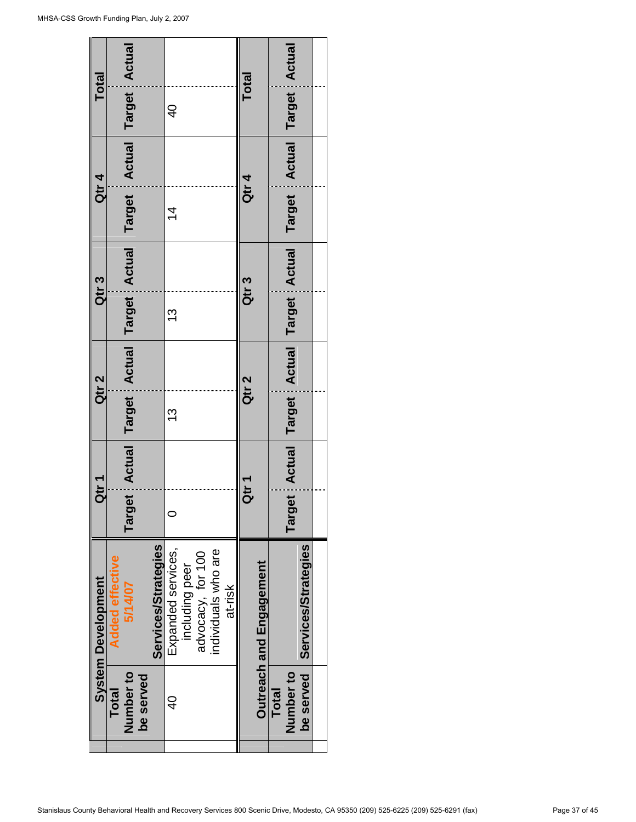$\mathbf{r}$ 

| <b>Total</b>              |                        |                                                                       |           |                     |                    |                |                   |                     |         | <b>Total</b>     |                         |              | Actual                             |                            |  |
|---------------------------|------------------------|-----------------------------------------------------------------------|-----------|---------------------|--------------------|----------------|-------------------|---------------------|---------|------------------|-------------------------|--------------|------------------------------------|----------------------------|--|
|                           |                        |                                                                       |           |                     | $\frac{1}{2}$      |                |                   |                     |         |                  |                         |              | Target                             |                            |  |
|                           |                        |                                                                       |           |                     |                    |                |                   |                     |         |                  |                         |              | Actual                             |                            |  |
| Qtr 4                     |                        |                                                                       |           |                     | $\overline{4}$     |                |                   |                     |         | Qtr 4            |                         |              | Target                             |                            |  |
| Qtr <sub>3</sub>          |                        |                                                                       |           |                     |                    |                |                   |                     |         | Qtr <sub>3</sub> |                         |              |                                    |                            |  |
|                           |                        |                                                                       |           |                     | <u>ლ</u>           |                |                   |                     |         |                  |                         |              |                                    |                            |  |
| Qtr <sub>2</sub>          |                        |                                                                       |           |                     |                    |                |                   |                     |         | Qtr <sub>2</sub> |                         |              | Actual Target Actual Target Actual |                            |  |
|                           |                        |                                                                       |           |                     | <u>ო</u>           |                |                   |                     |         |                  |                         |              |                                    |                            |  |
| Qtr <sub>1</sub>          |                        | Target Actual Target Actual Target Actual Target Actual Target Actual |           |                     |                    |                |                   |                     |         | Qtr <sub>1</sub> |                         |              | <b>Target</b>                      |                            |  |
| <b>System Development</b> | <b>Added effective</b> | 5/14/07                                                               |           | Services/Strategies | Expanded services, | including peer | advocacy, for 100 | individuals who are | at-risk |                  | Outreach and Engagement |              |                                    | <b>Services/Strategies</b> |  |
|                           | Total                  | Number to                                                             | be served |                     | d<br>4             |                |                   |                     |         |                  |                         | <b>Total</b> | Number to                          | be served                  |  |
|                           |                        |                                                                       |           |                     |                    |                |                   |                     |         |                  |                         |              |                                    |                            |  |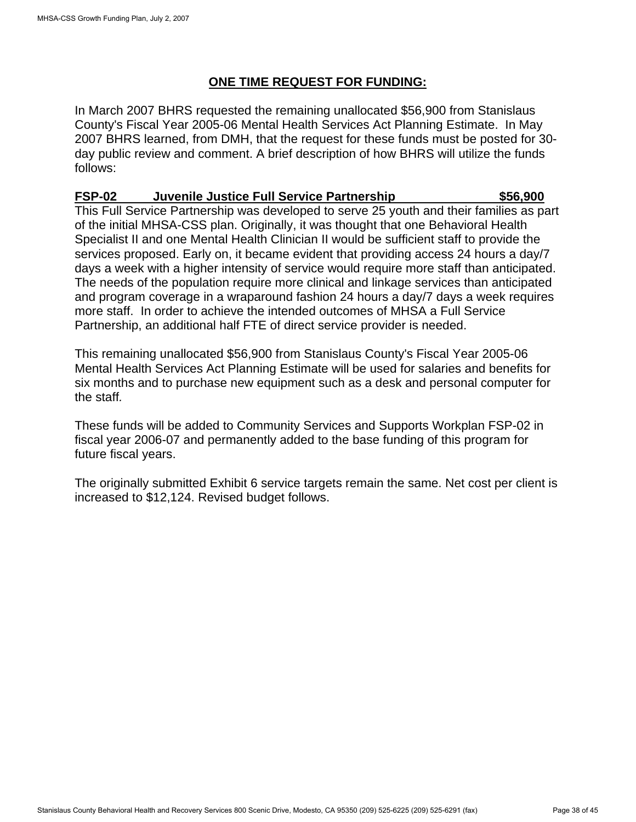### **ONE TIME REQUEST FOR FUNDING:**

In March 2007 BHRS requested the remaining unallocated \$56,900 from Stanislaus County's Fiscal Year 2005-06 Mental Health Services Act Planning Estimate. In May 2007 BHRS learned, from DMH, that the request for these funds must be posted for 30 day public review and comment. A brief description of how BHRS will utilize the funds follows:

## **FSP-02 Juvenile Justice Full Service Partnership \$56,900**

This Full Service Partnership was developed to serve 25 youth and their families as part of the initial MHSA-CSS plan. Originally, it was thought that one Behavioral Health Specialist II and one Mental Health Clinician II would be sufficient staff to provide the services proposed. Early on, it became evident that providing access 24 hours a day/7 days a week with a higher intensity of service would require more staff than anticipated. The needs of the population require more clinical and linkage services than anticipated and program coverage in a wraparound fashion 24 hours a day/7 days a week requires more staff. In order to achieve the intended outcomes of MHSA a Full Service Partnership, an additional half FTE of direct service provider is needed.

This remaining unallocated \$56,900 from Stanislaus County's Fiscal Year 2005-06 Mental Health Services Act Planning Estimate will be used for salaries and benefits for six months and to purchase new equipment such as a desk and personal computer for the staff*.* 

These funds will be added to Community Services and Supports Workplan FSP-02 in fiscal year 2006-07 and permanently added to the base funding of this program for future fiscal years.

The originally submitted Exhibit 6 service targets remain the same. Net cost per client is increased to \$12,124. Revised budget follows.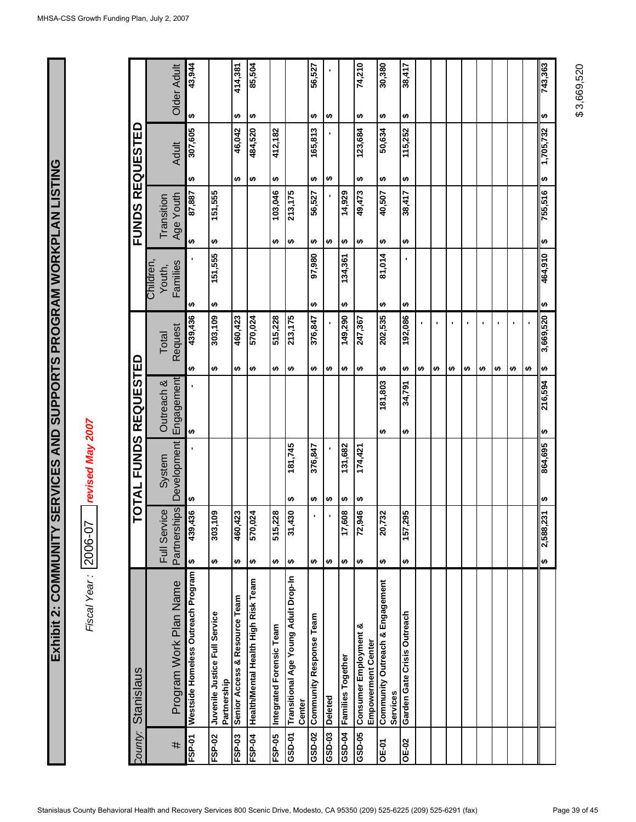Fiscal Year: 2006-07 revised May 2007 *Fiscal Year :* 2006-07 *revised May 2007*

|                              | Older Adult                     | 43,944                             |                                              | 414,381                       | 85,504                              |                          |                                                | 56,527                  |                |                   | 74,210                                             | 30,380                                      | 38,417                      |   |   |   |   |   |   |   |   | 743,363   |
|------------------------------|---------------------------------|------------------------------------|----------------------------------------------|-------------------------------|-------------------------------------|--------------------------|------------------------------------------------|-------------------------|----------------|-------------------|----------------------------------------------------|---------------------------------------------|-----------------------------|---|---|---|---|---|---|---|---|-----------|
|                              |                                 | ↮                                  |                                              | ↮                             | ↮                                   |                          |                                                | ↮                       | ↮              |                   | ↮                                                  | ↮                                           | ↮                           |   |   |   |   |   |   |   |   | ↮         |
|                              | <b>Adult</b>                    | 307,605                            |                                              | 46,042                        | 484,520                             | 412,182                  |                                                | 165,813                 |                |                   | 123,684                                            | 50,634                                      | 115,252                     |   |   |   |   |   |   |   |   | 1,705,732 |
|                              |                                 | ↮                                  |                                              | ↮                             | ↮                                   | ↮                        |                                                | ↮                       | ↮              |                   | ↮                                                  | ↮                                           | ↮                           |   |   |   |   |   |   |   |   | ↔         |
| <b>FUNDS REQUESTED</b>       | Age Youth<br>Transition         | 87,887                             | 151,555                                      |                               |                                     | 103,046                  | 213,175                                        | 56,527                  |                | 14,929            | 49,473                                             | 40,507                                      | 38,417                      |   |   |   |   |   |   |   |   | 755,516   |
|                              |                                 | ↮                                  | ↮                                            |                               |                                     | ↮                        | ↮                                              | ↮                       | မာ             | ↮                 | ↮                                                  | ↮                                           | ↮                           |   |   |   |   |   |   |   |   | ω         |
|                              | Families<br>Children,<br>Youth, |                                    | 151,555                                      |                               |                                     |                          |                                                | 97,980                  |                | 134,361           |                                                    | 81,014                                      |                             |   |   |   |   |   |   |   |   | 464,910   |
|                              |                                 | ↮                                  | ↮                                            |                               |                                     |                          |                                                | မာ                      |                | ↮                 |                                                    | ↮                                           | ↮                           |   |   |   |   |   |   |   |   | မာ        |
|                              | Request<br>Total                | 439,436                            | 303,109                                      | 460,423                       | 570,024                             | 515,228                  | 213,175                                        | 376,847                 |                | 149,290           | 247,367                                            | 202,535                                     | 192,086                     |   | ٠ |   | ٠ | ı | ٠ | ٠ | , | 3,669,520 |
|                              |                                 | ↮                                  | ↮                                            | ↮                             | ↮                                   | ↮                        | ↮                                              | ↮                       | ↮              | ↮                 | ↮                                                  | ↮                                           | ↮                           | ↮ | ↮ | ↮ | ↮ | ↮ | ↮ | ↮ | ↮ | ↔         |
|                              | Engagement<br>Outreach &        |                                    |                                              |                               |                                     |                          |                                                |                         |                |                   |                                                    | 181,803                                     | 34,791                      |   |   |   |   |   |   |   |   | 216,594   |
|                              |                                 | ↮                                  |                                              |                               |                                     |                          |                                                |                         |                |                   |                                                    | ↮                                           | ↮                           |   |   |   |   |   |   |   |   | ↮         |
| <b>TOTAL FUNDS REQUESTED</b> | Development<br>System           |                                    |                                              |                               |                                     |                          | 181,745                                        | 376,847                 |                | 131,682           | 174,421                                            |                                             |                             |   |   |   |   |   |   |   |   | 864,695   |
|                              |                                 | ↮                                  |                                              |                               |                                     |                          | ↮                                              | ↮                       | ↮              | ↮                 | ↮                                                  |                                             |                             |   |   |   |   |   |   |   |   | ↮         |
|                              | Partnerships<br>Full Service    | 439,436                            | 303,109                                      | ,423<br>460                   | ,024<br>570                         | ,228<br>515              | 430<br>స్                                      | ٠                       | ٠              | 608<br>17         | 946<br>2                                           | ,732<br>$\overline{20}$                     | ,295<br>157                 |   |   |   |   |   |   |   |   | 2,588,231 |
|                              |                                 | ₩                                  | ↮                                            | ↮                             | ↮                                   | ↮                        | ↮                                              | ↮                       | ↮              | ↮                 | ↮                                                  | ↮                                           | ↮                           |   |   |   |   |   |   |   |   | ₩         |
| Dounty: Stanislaus           | Program Work Plan Name          | Westside Homeless Outreach Program | Juvenile Justice Full Service<br>Partnership | Senior Access & Resource Team | Health/Mental Health High Risk Team | Integrated Forensic Team | Transitional Age Young Adult Drop-In<br>Center | Community Response Team | <b>Deleted</b> | Families Together | Consumer Employment &<br><b>Empowerment Center</b> | Community Outreach & Engagement<br>Services | Garden Gate Crisis Outreach |   |   |   |   |   |   |   |   |           |
|                              | #                               | FSP-01                             | FSP-02                                       | FSP-03                        | FSP-04                              | FSP-05                   | GSD-01                                         | GSD-02                  | GSD-03         | <b>6-025</b>      | GSD-05                                             | OE-01                                       | <b>OE-02</b>                |   |   |   |   |   |   |   |   |           |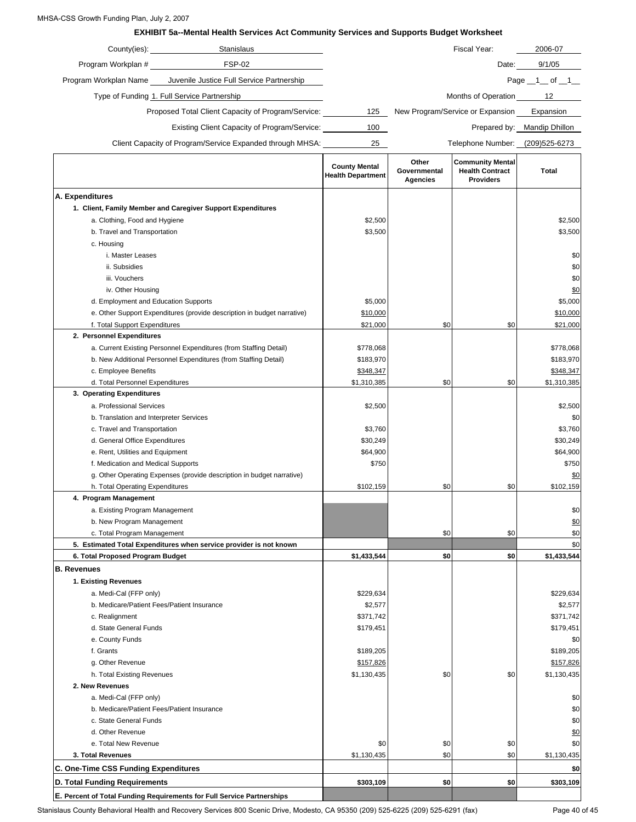#### MHSA-CSS Growth Funding Plan, July 2, 2007

#### **EXHIBIT 5a--Mental Health Services Act Community Services and Supports Budget Worksheet**

| County(ies):          | <b>Stanislaus</b>                                         |     | Fiscal Year:                     | 2006-07        |
|-----------------------|-----------------------------------------------------------|-----|----------------------------------|----------------|
| Program Workplan #    | <b>FSP-02</b>                                             |     | Date:                            | 9/1/05         |
| Program Workplan Name | Juvenile Justice Full Service Partnership                 |     |                                  | Page 1<br>of 1 |
|                       | Type of Funding 1. Full Service Partnership               |     | Months of Operation              | 12             |
|                       | Proposed Total Client Capacity of Program/Service:        | 125 | New Program/Service or Expansion | Expansion      |
|                       | Existing Client Capacity of Program/Service:              | 100 | Prepared by:                     | Mandip Dhillon |
|                       | Client Capacity of Program/Service Expanded through MHSA: | 25  | Telephone Number:                | (209)525-6273  |

|                                                                         | <b>County Mental</b><br><b>Health Department</b> | Other<br>Governmental<br><b>Agencies</b> | <b>Community Mental</b><br><b>Health Contract</b><br><b>Providers</b> | Total       |
|-------------------------------------------------------------------------|--------------------------------------------------|------------------------------------------|-----------------------------------------------------------------------|-------------|
| A. Expenditures                                                         |                                                  |                                          |                                                                       |             |
| 1. Client, Family Member and Caregiver Support Expenditures             |                                                  |                                          |                                                                       |             |
| a. Clothing, Food and Hygiene                                           | \$2,500                                          |                                          |                                                                       | \$2,500     |
| b. Travel and Transportation                                            | \$3,500                                          |                                          |                                                                       | \$3,500     |
| c. Housing                                                              |                                                  |                                          |                                                                       |             |
| i. Master Leases                                                        |                                                  |                                          |                                                                       | \$0         |
| ii. Subsidies                                                           |                                                  |                                          |                                                                       | \$0         |
| iii. Vouchers                                                           |                                                  |                                          |                                                                       | \$0         |
| iv. Other Housing                                                       |                                                  |                                          |                                                                       | \$0         |
| d. Employment and Education Supports                                    | \$5,000                                          |                                          |                                                                       | \$5,000     |
| e. Other Support Expenditures (provide description in budget narrative) | \$10,000                                         |                                          |                                                                       | \$10,000    |
| f. Total Support Expenditures                                           | \$21,000                                         | \$0                                      | \$0                                                                   | \$21,000    |
| 2. Personnel Expenditures                                               |                                                  |                                          |                                                                       |             |
| a. Current Existing Personnel Expenditures (from Staffing Detail)       | \$778,068                                        |                                          |                                                                       | \$778,068   |
| b. New Additional Personnel Expenditures (from Staffing Detail)         | \$183,970                                        |                                          |                                                                       | \$183,970   |
| c. Employee Benefits                                                    | \$348,347                                        |                                          |                                                                       | \$348,347   |
| d. Total Personnel Expenditures                                         | \$1,310,385                                      | \$0                                      | \$0                                                                   | \$1,310,385 |
| 3. Operating Expenditures                                               |                                                  |                                          |                                                                       |             |
| a. Professional Services                                                | \$2,500                                          |                                          |                                                                       | \$2,500     |
| b. Translation and Interpreter Services                                 |                                                  |                                          |                                                                       | \$0         |
| c. Travel and Transportation                                            | \$3,760                                          |                                          |                                                                       | \$3,760     |
| d. General Office Expenditures                                          | \$30,249                                         |                                          |                                                                       | \$30,249    |
| e. Rent, Utilities and Equipment                                        | \$64,900                                         |                                          |                                                                       | \$64,900    |
| f. Medication and Medical Supports                                      | \$750                                            |                                          |                                                                       | \$750       |
| g. Other Operating Expenses (provide description in budget narrative)   |                                                  |                                          |                                                                       | \$0         |
| h. Total Operating Expenditures                                         | \$102,159                                        | \$0                                      | \$0                                                                   | \$102,159   |
| 4. Program Management                                                   |                                                  |                                          |                                                                       |             |
| a. Existing Program Management                                          |                                                  |                                          |                                                                       | \$0         |
| b. New Program Management                                               |                                                  |                                          |                                                                       | \$0         |
| c. Total Program Management                                             |                                                  | \$0                                      | \$0                                                                   | \$0         |
| 5. Estimated Total Expenditures when service provider is not known      |                                                  |                                          |                                                                       | \$0         |
| 6. Total Proposed Program Budget                                        | \$1,433,544                                      | \$0                                      | \$0                                                                   | \$1,433,544 |
| <b>B.</b> Revenues                                                      |                                                  |                                          |                                                                       |             |
| 1. Existing Revenues                                                    |                                                  |                                          |                                                                       |             |
| a. Medi-Cal (FFP only)                                                  | \$229,634                                        |                                          |                                                                       | \$229,634   |
| b. Medicare/Patient Fees/Patient Insurance                              | \$2,577                                          |                                          |                                                                       | \$2,577     |
| c. Realignment                                                          | \$371,742                                        |                                          |                                                                       | \$371,742   |
| d. State General Funds                                                  | \$179,451                                        |                                          |                                                                       | \$179,451   |
| e. County Funds                                                         |                                                  |                                          |                                                                       | \$0         |
| f. Grants                                                               | \$189,205                                        |                                          |                                                                       | \$189,205   |
| g. Other Revenue                                                        | \$157,826                                        |                                          |                                                                       | \$157,826   |
| h. Total Existing Revenues                                              | \$1,130,435                                      | \$0                                      | \$0                                                                   | \$1,130,435 |
| 2. New Revenues                                                         |                                                  |                                          |                                                                       |             |
| a. Medi-Cal (FFP only)                                                  |                                                  |                                          |                                                                       | \$0         |
| b. Medicare/Patient Fees/Patient Insurance                              |                                                  |                                          |                                                                       | \$0         |
| c. State General Funds                                                  |                                                  |                                          |                                                                       | \$0         |
| d. Other Revenue                                                        |                                                  |                                          |                                                                       | <u>\$0</u>  |
| e. Total New Revenue                                                    | \$0                                              | \$0                                      | \$0                                                                   | \$0         |
| 3. Total Revenues                                                       | \$1,130,435                                      | \$0                                      | \$0                                                                   | \$1,130,435 |
| C. One-Time CSS Funding Expenditures                                    |                                                  |                                          |                                                                       | \$0         |
| D. Total Funding Requirements                                           | \$303,109                                        | \$0                                      | \$0                                                                   | \$303,109   |
| E. Percent of Total Funding Requirements for Full Service Partnerships  |                                                  |                                          |                                                                       |             |

Stanislaus County Behavioral Health and Recovery Services 800 Scenic Drive, Modesto, CA 95350 (209) 525-6225 (209) 525-6291 (fax) Page 40 of 45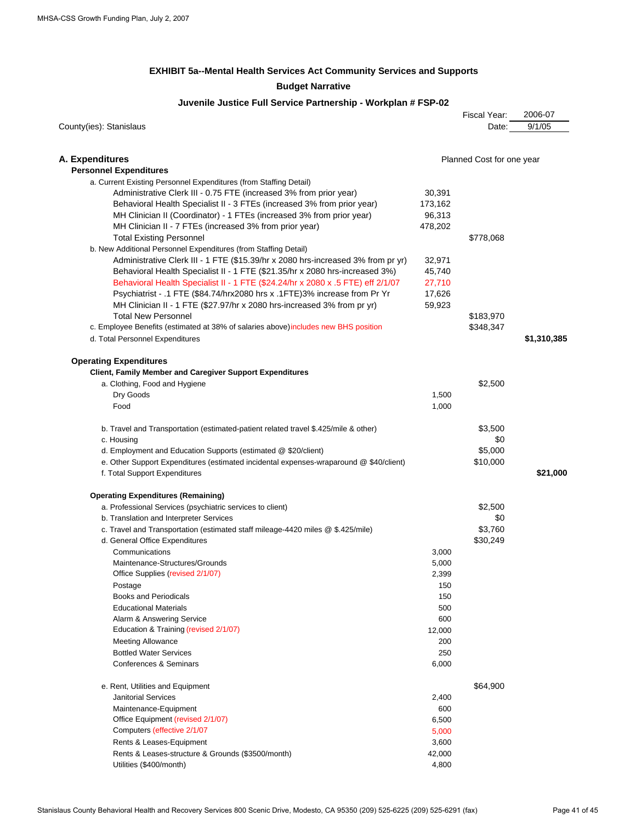#### **EXHIBIT 5a--Mental Health Services Act Community Services and Supports Budget Narrative**

#### **Juvenile Justice Full Service Partnership - Workplan # FSP-02**

| County(ies): Stanislaus                                                                |         | Fiscal Year:<br>Date:     | 2006-07<br>9/1/05 |
|----------------------------------------------------------------------------------------|---------|---------------------------|-------------------|
|                                                                                        |         |                           |                   |
| A. Expenditures                                                                        |         | Planned Cost for one year |                   |
| <b>Personnel Expenditures</b>                                                          |         |                           |                   |
| a. Current Existing Personnel Expenditures (from Staffing Detail)                      |         |                           |                   |
| Administrative Clerk III - 0.75 FTE (increased 3% from prior year)                     | 30,391  |                           |                   |
| Behavioral Health Specialist II - 3 FTEs (increased 3% from prior year)                | 173,162 |                           |                   |
| MH Clinician II (Coordinator) - 1 FTEs (increased 3% from prior year)                  | 96,313  |                           |                   |
| MH Clinician II - 7 FTEs (increased 3% from prior year)                                | 478,202 |                           |                   |
| <b>Total Existing Personnel</b>                                                        |         | \$778,068                 |                   |
| b. New Additional Personnel Expenditures (from Staffing Detail)                        |         |                           |                   |
| Administrative Clerk III - 1 FTE (\$15.39/hr x 2080 hrs-increased 3% from pr yr)       | 32,971  |                           |                   |
| Behavioral Health Specialist II - 1 FTE (\$21.35/hr x 2080 hrs-increased 3%)           | 45,740  |                           |                   |
| Behavioral Health Specialist II - 1 FTE (\$24.24/hr x 2080 x .5 FTE) eff 2/1/07        | 27,710  |                           |                   |
| Psychiatrist - .1 FTE (\$84.74/hrx2080 hrs x .1 FTE) 3% increase from Pr Yr            | 17,626  |                           |                   |
| MH Clinician II - 1 FTE (\$27.97/hr x 2080 hrs-increased 3% from pr yr)                | 59,923  |                           |                   |
| <b>Total New Personnel</b>                                                             |         | \$183,970                 |                   |
| c. Employee Benefits (estimated at 38% of salaries above) includes new BHS position    |         | \$348,347                 |                   |
| d. Total Personnel Expenditures                                                        |         |                           | \$1,310,385       |
| <b>Operating Expenditures</b>                                                          |         |                           |                   |
| <b>Client, Family Member and Caregiver Support Expenditures</b>                        |         |                           |                   |
| a. Clothing, Food and Hygiene                                                          |         | \$2,500                   |                   |
| Dry Goods                                                                              | 1,500   |                           |                   |
| Food                                                                                   | 1,000   |                           |                   |
| b. Travel and Transportation (estimated-patient related travel \$.425/mile & other)    |         | \$3,500                   |                   |
| c. Housing                                                                             |         | \$0                       |                   |
| d. Employment and Education Supports (estimated @ \$20/client)                         |         | \$5,000                   |                   |
| e. Other Support Expenditures (estimated incidental expenses-wraparound @ \$40/client) |         | \$10,000                  |                   |
| f. Total Support Expenditures                                                          |         |                           | \$21,000          |
| <b>Operating Expenditures (Remaining)</b>                                              |         |                           |                   |
| a. Professional Services (psychiatric services to client)                              |         | \$2,500                   |                   |
| b. Translation and Interpreter Services                                                |         | \$0                       |                   |
| c. Travel and Transportation (estimated staff mileage-4420 miles @ \$.425/mile)        |         | \$3,760                   |                   |
| d. General Office Expenditures                                                         |         | \$30,249                  |                   |
| Communications                                                                         | 3,000   |                           |                   |
| Maintenance-Structures/Grounds                                                         | 5,000   |                           |                   |
| Office Supplies (revised 2/1/07)                                                       | 2,399   |                           |                   |
| Postage                                                                                | 150     |                           |                   |
| <b>Books and Periodicals</b>                                                           | 150     |                           |                   |
| <b>Educational Materials</b>                                                           | 500     |                           |                   |
| Alarm & Answering Service                                                              | 600     |                           |                   |
| Education & Training (revised 2/1/07)                                                  | 12,000  |                           |                   |
| <b>Meeting Allowance</b>                                                               | 200     |                           |                   |
| <b>Bottled Water Services</b>                                                          | 250     |                           |                   |
| Conferences & Seminars                                                                 | 6,000   |                           |                   |
| e. Rent, Utilities and Equipment                                                       |         | \$64,900                  |                   |
| <b>Janitorial Services</b>                                                             | 2,400   |                           |                   |
| Maintenance-Equipment                                                                  | 600     |                           |                   |
| Office Equipment (revised 2/1/07)                                                      | 6,500   |                           |                   |
| Computers (effective 2/1/07                                                            | 5,000   |                           |                   |
| Rents & Leases-Equipment                                                               | 3,600   |                           |                   |
| Rents & Leases-structure & Grounds (\$3500/month)                                      | 42,000  |                           |                   |
| Utilities (\$400/month)                                                                | 4,800   |                           |                   |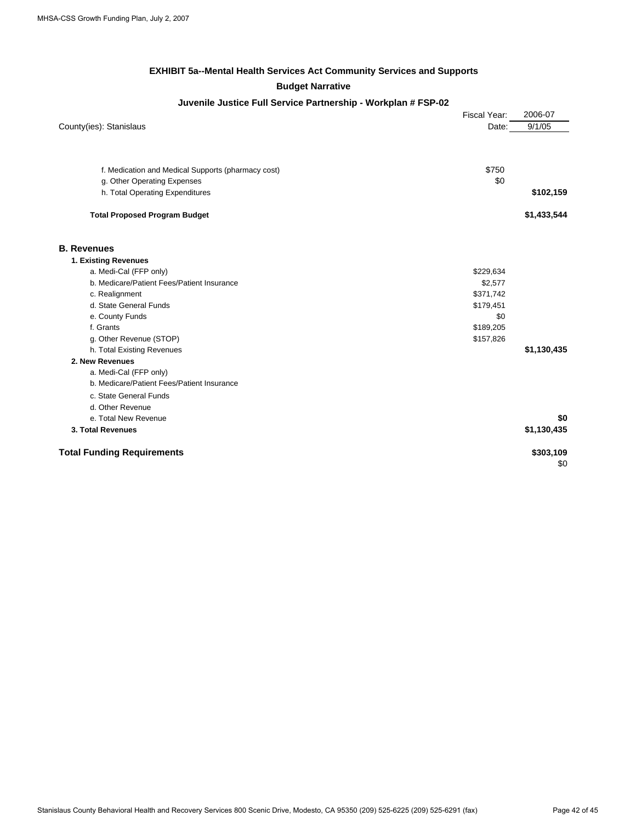#### **EXHIBIT 5a--Mental Health Services Act Community Services and Supports Budget Narrative**

#### **Juvenile Justice Full Service Partnership - Workplan # FSP-02**

|                                                    | Fiscal Year: | 2006-07     |
|----------------------------------------------------|--------------|-------------|
| County(ies): Stanislaus                            | Date:        | 9/1/05      |
|                                                    |              |             |
|                                                    |              |             |
| f. Medication and Medical Supports (pharmacy cost) | \$750        |             |
| g. Other Operating Expenses                        | \$0          |             |
| h. Total Operating Expenditures                    |              | \$102,159   |
| <b>Total Proposed Program Budget</b>               |              | \$1,433,544 |
| <b>B. Revenues</b>                                 |              |             |
| 1. Existing Revenues                               |              |             |
| a. Medi-Cal (FFP only)                             | \$229,634    |             |
| b. Medicare/Patient Fees/Patient Insurance         | \$2,577      |             |
| c. Realignment                                     | \$371,742    |             |
| d. State General Funds                             | \$179,451    |             |
| e. County Funds                                    | \$0          |             |
| f. Grants                                          | \$189,205    |             |
| g. Other Revenue (STOP)                            | \$157,826    |             |
| h. Total Existing Revenues                         |              | \$1,130,435 |
| 2. New Revenues                                    |              |             |
| a. Medi-Cal (FFP only)                             |              |             |
| b. Medicare/Patient Fees/Patient Insurance         |              |             |
| c. State General Funds                             |              |             |
| d. Other Revenue                                   |              |             |
| e. Total New Revenue                               |              | \$0         |
| 3. Total Revenues                                  |              | \$1,130,435 |
| <b>Total Funding Requirements</b>                  |              | \$303,109   |
|                                                    |              | \$0         |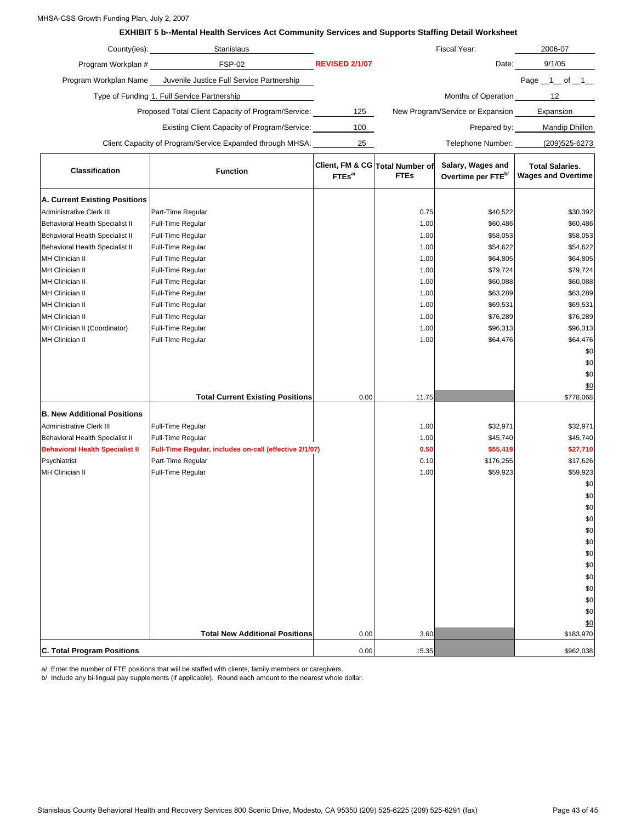#### MHSA-CSS Growth Funding Plan, July 2, 2007

#### **EXHIBIT 5 b--Mental Health Services Act Community Services and Supports Staffing Detail Worksheet**

| County(ies):          | <b>Stanislaus</b>                                         |                       | Fiscal Year:                     | 2006-07               |
|-----------------------|-----------------------------------------------------------|-----------------------|----------------------------------|-----------------------|
| Program Workplan #    | <b>FSP-02</b>                                             | <b>REVISED 2/1/07</b> | Date:                            | 9/1/05                |
| Program Workplan Name | Juvenile Justice Full Service Partnership                 |                       |                                  | Page 1<br>of 1        |
|                       | Type of Funding 1. Full Service Partnership               |                       | Months of Operation              | 12                    |
|                       | Proposed Total Client Capacity of Program/Service:        | 125                   | New Program/Service or Expansion | Expansion             |
|                       | Existing Client Capacity of Program/Service:              | 100                   | Prepared by:                     | <b>Mandip Dhillon</b> |
|                       | Client Capacity of Program/Service Expanded through MHSA: | 25                    | Telephone Number:                | (209)525-6273         |

| <b>Classification</b>                  | <b>Function</b>                                        | $FTEs^{a}$ | Client, FM & CG Total Number of<br><b>FTEs</b> | Salary, Wages and<br>Overtime per FTE <sup>b/</sup> | <b>Total Salaries.</b><br><b>Wages and Overtime</b> |
|----------------------------------------|--------------------------------------------------------|------------|------------------------------------------------|-----------------------------------------------------|-----------------------------------------------------|
| A. Current Existing Positions          |                                                        |            |                                                |                                                     |                                                     |
| Administrative Clerk III               | Part-Time Regular                                      |            | 0.75                                           | \$40,522                                            | \$30,392                                            |
| <b>Behavioral Health Specialist II</b> | Full-Time Regular                                      |            | 1.00                                           | \$60,486                                            | \$60,486                                            |
| <b>Behavioral Health Specialist II</b> | Full-Time Regular                                      |            | 1.00                                           | \$58,053                                            | \$58,053                                            |
| <b>Behavioral Health Specialist II</b> | Full-Time Regular                                      |            | 1.00                                           | \$54,622                                            | \$54,622                                            |
| MH Clinician II                        | Full-Time Regular                                      |            | 1.00                                           | \$64,805                                            | \$64,805                                            |
| MH Clinician II                        | Full-Time Regular                                      |            | 1.00                                           | \$79,724                                            | \$79,724                                            |
| MH Clinician II                        | Full-Time Regular                                      |            | 1.00                                           | \$60,088                                            | \$60,088                                            |
| MH Clinician II                        | Full-Time Regular                                      |            | 1.00                                           | \$63,289                                            | \$63,289                                            |
| MH Clinician II                        | Full-Time Regular                                      |            | 1.00                                           | \$69,531                                            | \$69,531                                            |
| MH Clinician II                        | Full-Time Regular                                      |            | 1.00                                           | \$76,289                                            | \$76,289                                            |
| MH Clinician II (Coordinator)          | Full-Time Regular                                      |            | 1.00                                           | \$96,313                                            | \$96,313                                            |
| <b>MH Clinician II</b>                 | Full-Time Regular                                      |            | 1.00                                           | \$64,476                                            | \$64,476                                            |
|                                        |                                                        |            |                                                |                                                     | \$0                                                 |
|                                        |                                                        |            |                                                |                                                     | \$0                                                 |
|                                        |                                                        |            |                                                |                                                     | \$0                                                 |
|                                        |                                                        |            |                                                |                                                     | \$0                                                 |
|                                        | <b>Total Current Existing Positions</b>                | 0.00       | 11.75                                          |                                                     | \$778,068                                           |
| <b>B. New Additional Positions</b>     |                                                        |            |                                                |                                                     |                                                     |
| <b>Administrative Clerk III</b>        | Full-Time Regular                                      |            | 1.00                                           | \$32,971                                            | \$32,971                                            |
| <b>Behavioral Health Specialist II</b> | Full-Time Regular                                      |            | 1.00                                           | \$45,740                                            | \$45,740                                            |
| <b>Behavioral Health Specialist II</b> | Full-Time Regular, includes on-call (effective 2/1/07) |            | 0.50                                           | \$55,419                                            | \$27,710                                            |
| Psychiatrist                           | Part-Time Regular                                      |            | 0.10                                           | \$176,255                                           | \$17,626                                            |
| MH Clinician II                        | Full-Time Regular                                      |            | 1.00                                           | \$59,923                                            | \$59,923                                            |
|                                        |                                                        |            |                                                |                                                     | \$0                                                 |
|                                        |                                                        |            |                                                |                                                     | \$0                                                 |
|                                        |                                                        |            |                                                |                                                     | \$0                                                 |
|                                        |                                                        |            |                                                |                                                     | \$0                                                 |
|                                        |                                                        |            |                                                |                                                     | \$0                                                 |
|                                        |                                                        |            |                                                |                                                     | \$0                                                 |
|                                        |                                                        |            |                                                |                                                     | \$0                                                 |
|                                        |                                                        |            |                                                |                                                     | \$0                                                 |
|                                        |                                                        |            |                                                |                                                     | \$0                                                 |
|                                        |                                                        |            |                                                |                                                     | \$0                                                 |
|                                        |                                                        |            |                                                |                                                     | \$0                                                 |
|                                        |                                                        |            |                                                |                                                     | \$0                                                 |
|                                        | <b>Total New Additional Positions</b>                  | 0.00       | 3.60                                           |                                                     | \$0<br>\$183,970                                    |
|                                        |                                                        |            |                                                |                                                     |                                                     |
| <b>C. Total Program Positions</b>      |                                                        | 0.00       | 15.35                                          |                                                     | \$962,038                                           |

a/ Enter the number of FTE positions that will be staffed with clients, family members or caregivers.

b/ Include any bi-lingual pay supplements (if applicable). Round each amount to the nearest whole dollar.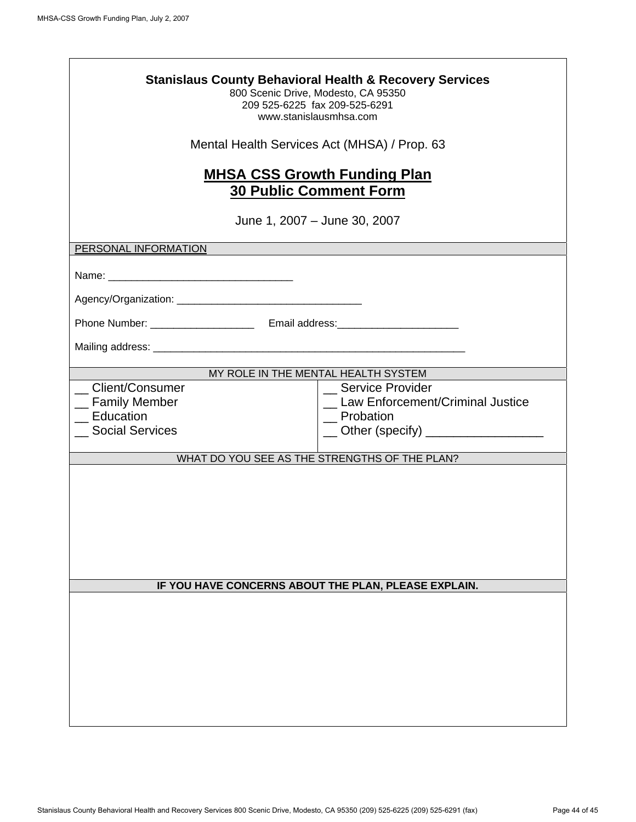| <b>Stanislaus County Behavioral Health &amp; Recovery Services</b><br>800 Scenic Drive, Modesto, CA 95350<br>209 525-6225 fax 209-525-6291<br>www.stanislausmhsa.com |                                                                                                                |  |  |  |  |  |  |  |
|----------------------------------------------------------------------------------------------------------------------------------------------------------------------|----------------------------------------------------------------------------------------------------------------|--|--|--|--|--|--|--|
| Mental Health Services Act (MHSA) / Prop. 63                                                                                                                         |                                                                                                                |  |  |  |  |  |  |  |
| <b>MHSA CSS Growth Funding Plan</b><br><b>30 Public Comment Form</b><br>June 1, 2007 – June 30, 2007                                                                 |                                                                                                                |  |  |  |  |  |  |  |
| PERSONAL INFORMATION                                                                                                                                                 |                                                                                                                |  |  |  |  |  |  |  |
|                                                                                                                                                                      |                                                                                                                |  |  |  |  |  |  |  |
|                                                                                                                                                                      |                                                                                                                |  |  |  |  |  |  |  |
|                                                                                                                                                                      |                                                                                                                |  |  |  |  |  |  |  |
| MY ROLE IN THE MENTAL HEALTH SYSTEM                                                                                                                                  |                                                                                                                |  |  |  |  |  |  |  |
| Client/Consumer<br><sub>_</sub> Family Member<br>Education<br><b>Social Services</b>                                                                                 | _ Service Provider<br>_ Law Enforcement/Criminal Justice<br>Probation<br>__ Other (specify) __________________ |  |  |  |  |  |  |  |
| WHAT DO YOU SEE AS THE STRENGTHS OF THE PLAN?                                                                                                                        |                                                                                                                |  |  |  |  |  |  |  |
| IF YOU HAVE CONCERNS ABOUT THE PLAN, PLEASE EXPLAIN.                                                                                                                 |                                                                                                                |  |  |  |  |  |  |  |
|                                                                                                                                                                      |                                                                                                                |  |  |  |  |  |  |  |